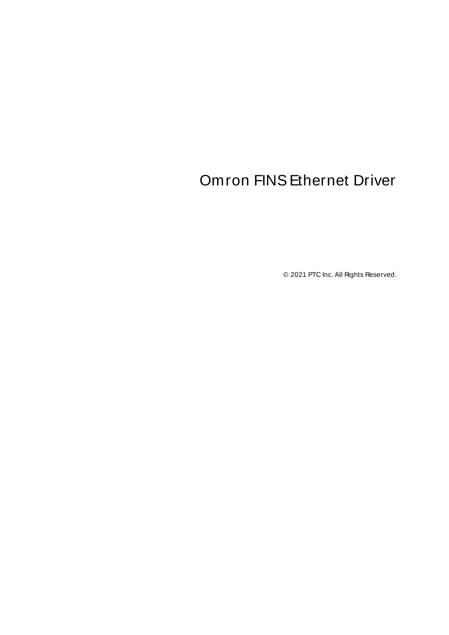# <span id="page-0-0"></span>Omron FINSEthernet Driver

© 2021 PTC Inc. All Rights Reserved.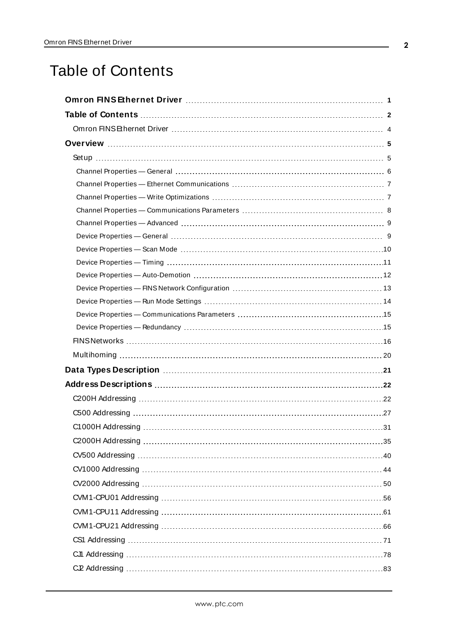# <span id="page-1-0"></span>Table of Contents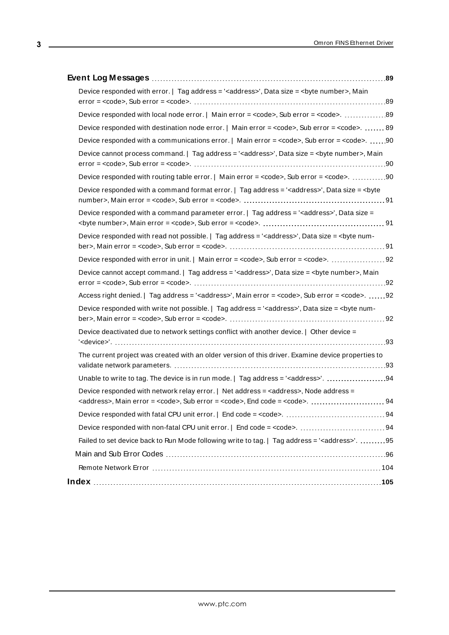| Device responded with error.   Tag address = ' <address>', Data size = <br/>syte number&gt;, Main<br/><math>error = <code>code&gt;</code>, Sub error = <code> <code>code&gt;</code>. <code></code> <code></code> <code></code> <code></code> <code></code> <code>89</code></code></math></address>                                                                                                                                  |
|-------------------------------------------------------------------------------------------------------------------------------------------------------------------------------------------------------------------------------------------------------------------------------------------------------------------------------------------------------------------------------------------------------------------------------------|
|                                                                                                                                                                                                                                                                                                                                                                                                                                     |
| Device responded with destination node error.   Main error = <code>, Sub error = <code>.  89</code></code>                                                                                                                                                                                                                                                                                                                          |
| Device responded with a communications error.   Main error = <code>, Sub error = <code>. 90</code></code>                                                                                                                                                                                                                                                                                                                           |
| Device cannot process command.   Tag address = ' <address>', Data size = <br/>byte number&gt;, Main<br/><math>error = <code>ncodes</code>, Sub error = <code>ccode</code>. <code></code> <code></code> <code></code> <code></code> <code></code> <code>90</code></math></address>                                                                                                                                                   |
| Device responded with routing table error.   Main error = <code>, Sub error = <code>. 90</code></code>                                                                                                                                                                                                                                                                                                                              |
| Device responded with a command format error.   Tag address = ' <address>', Data size = <br/>syte</address>                                                                                                                                                                                                                                                                                                                         |
| Device responded with a command parameter error.   Tag address = ' <address>', Data size =</address>                                                                                                                                                                                                                                                                                                                                |
| Device responded with read not possible.   Tag address = ' <address>', Data size = <br/>syte num-</address>                                                                                                                                                                                                                                                                                                                         |
|                                                                                                                                                                                                                                                                                                                                                                                                                                     |
| Device cannot accept command.   Tag address = ' <address>', Data size = <br/> <br/> <br/> <br/> /&gt; Device cannot accept command.   Tag address = '<address>', Data size = <br/> <br/> <br/> <br/> <br/> <r></r> <r></r> <r></r> Lata siz<br/><math>error = <code>ncodes</code>, Sub error = <code>ccode</code>. <code></code> <code></code> <code></code> <code></code> <code></code> <code>92</code></math></address></address> |
| Access right denied.   Tag address = ' <address>', Main error = <code>, Sub error = <code>. 92</code></code></address>                                                                                                                                                                                                                                                                                                              |
| Device responded with write not possible.   Tag address = ' <address>', Data size = <br/>syte num-</address>                                                                                                                                                                                                                                                                                                                        |
| Device deactivated due to network settings conflict with another device.   Other device =                                                                                                                                                                                                                                                                                                                                           |
| The current project was created with an older version of this driver. Examine device properties to                                                                                                                                                                                                                                                                                                                                  |
| Unable to write to tag. The device is in run mode.   Tag address = ' <address>'. 94</address>                                                                                                                                                                                                                                                                                                                                       |
| Device responded with network relay error.   Net address = <address>, Node address =</address>                                                                                                                                                                                                                                                                                                                                      |
|                                                                                                                                                                                                                                                                                                                                                                                                                                     |
|                                                                                                                                                                                                                                                                                                                                                                                                                                     |
| Failed to set device back to Run Mode following write to tag.   Tag address = ' <address>'. 95</address>                                                                                                                                                                                                                                                                                                                            |
|                                                                                                                                                                                                                                                                                                                                                                                                                                     |
|                                                                                                                                                                                                                                                                                                                                                                                                                                     |
|                                                                                                                                                                                                                                                                                                                                                                                                                                     |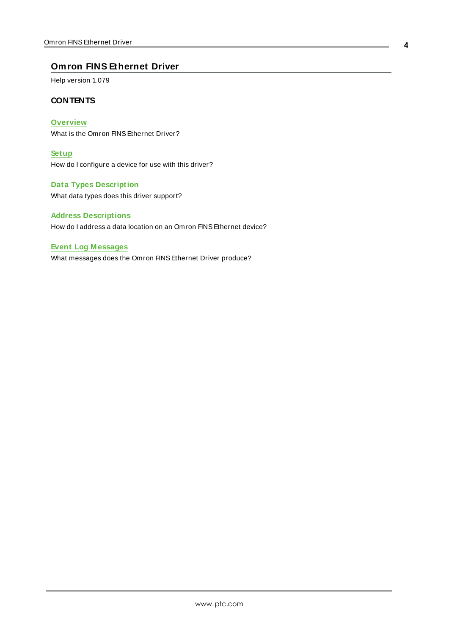## <span id="page-3-0"></span>**Omron FINS Ethernet Driver**

Help version 1.079

## **CONTENTS**

**[Overview](#page-4-0)** What is the Omron FINSEthernet Driver?

**[Setup](#page-4-1)** How do I configure a device for use with this driver?

**Data Types [Description](#page-20-0)** What data types does this driver support?

## **Address [Descriptions](#page-21-0)**

How do I address a data location on an Omron FINSEthernet device?

#### **Event Log [M essages](#page-88-1)**

What messages does the Omron FINSEthernet Driver produce?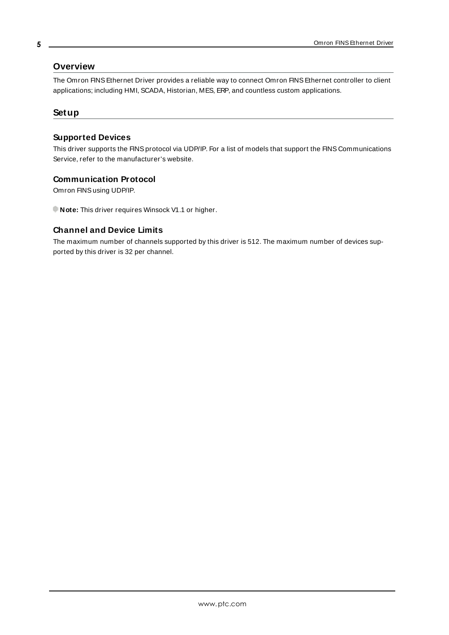## **Overview**

The Omron FINSEthernet Driver provides a reliable way to connect Omron FINSEthernet controller to client applications; including HMI, SCADA, Historian, MES, ERP, and countless custom applications.

## <span id="page-4-1"></span>**Setup**

## **Supported Devices**

This driver supports the FINS protocol via UDP/IP. For a list of models that support the FINS Communications Service, refer to the manufacturer's website.

## **Communication Protocol**

Omron FINSusing UDP/IP.

**Note:** This driver requires Winsock V1.1 or higher.

## **Channel and Device Limits**

The maximum number of channels supported by this driver is 512. The maximum number of devices supported by this driver is 32 per channel.

www.ptc.com

<span id="page-4-0"></span>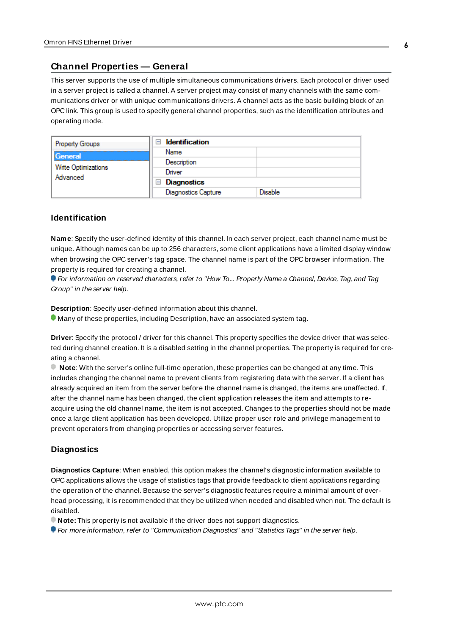## <span id="page-5-0"></span>**Channel Properties — General**

This server supports the use of multiple simultaneous communications drivers. Each protocol or driver used in a server project is called a channel. A server project may consist of many channels with the same communications driver or with unique communications drivers. A channel acts as the basic building block of an OPC link. This group is used to specify general channel properties, such as the identification attributes and operating mode.

| <b>Property Groups</b>          | <b>Identification</b><br>$\overline{\phantom{0}}$ |                |
|---------------------------------|---------------------------------------------------|----------------|
| General                         | Name                                              |                |
| Write Optimizations<br>Advanced | Description                                       |                |
|                                 | Driver                                            |                |
|                                 | $\Box$ Diagnostics                                |                |
|                                 | <b>Diagnostics Capture</b>                        | <b>Disable</b> |

## **Identification**

**Name**: Specify the user-defined identity of this channel. In each server project, each channel name must be unique. Although names can be up to 256 characters, some client applications have a limited display window when browsing the OPC server's tag space. The channel name is part of the OPC browser information. The property is required for creating a channel.

For information on reserved characters, refer to "How To... Properly Name a Channel, Device, Tag, and Tag Group" in the server help.

**Description**: Specify user-defined information about this channel.

Many of these properties, including Description, have an associated system tag.

**Driver**: Specify the protocol / driver for this channel. This property specifies the device driver that was selected during channel creation. It is a disabled setting in the channel properties. The property is required for creating a channel.

**Note**: With the server's online full-time operation, these properties can be changed at any time. This includes changing the channel name to prevent clients from registering data with the server. If a client has already acquired an item from the server before the channel name is changed, the items are unaffected. If, after the channel name has been changed, the client application releases the item and attempts to reacquire using the old channel name, the item is not accepted. Changes to the properties should not be made once a large client application has been developed. Utilize proper user role and privilege management to prevent operators from changing properties or accessing server features.

## **Diagnostics**

**Diagnostics Capture**: When enabled, this option makes the channel's diagnostic information available to OPC applications allows the usage of statistics tags that provide feedback to client applications regarding the operation of the channel. Because the server's diagnostic features require a minimal amount of overhead processing, it is recommended that they be utilized when needed and disabled when not. The default is disabled.

**Note:** This property is not available if the driver does not support diagnostics.

**• For more information, refer to "Communication Diagnostics" and "Statistics Tags" in the server help.**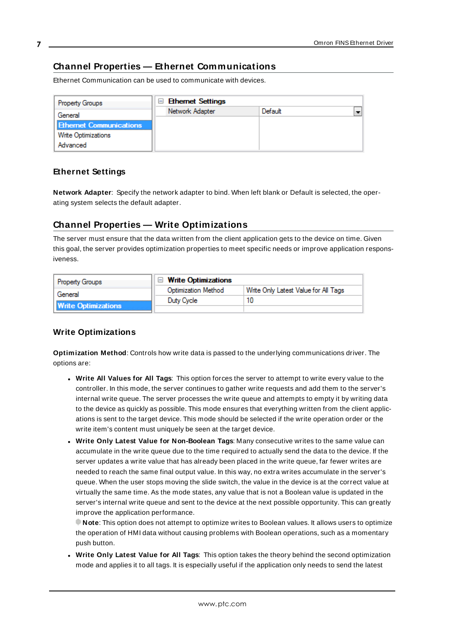## <span id="page-6-0"></span>**Channel Properties — Ethernet Communications**

Ethernet Communication can be used to communicate with devices.

| <b>Property Groups</b>         | <b>Ethemet Settings</b> |         |                          |
|--------------------------------|-------------------------|---------|--------------------------|
| General                        | Network Adapter         | Default | $\overline{\phantom{0}}$ |
| <b>Ethernet Communications</b> |                         |         |                          |
| <b>Write Optimizations</b>     |                         |         |                          |
| Advanced                       |                         |         |                          |

## **Ethernet Settings**

**Network Adapter**: Specify the network adapter to bind. When left blank or Default is selected, the operating system selects the default adapter.

## <span id="page-6-1"></span>**Channel Properties — Write Optimizations**

The server must ensure that the data written from the client application gets to the device on time. Given this goal, the server provides optimization properties to meet specific needs or improve application responsiveness.

| <b>Property Groups</b>     | $\Box$ Write Optimizations |                                      |
|----------------------------|----------------------------|--------------------------------------|
| General                    | <b>Optimization Method</b> | Write Only Latest Value for All Tags |
|                            | Duty Cycle                 |                                      |
| <b>Write Optimizations</b> |                            |                                      |

## **Write Optimizations**

**Optimization Method**: Controls how write data is passed to the underlying communications driver. The options are:

- <sup>l</sup> **Write All Values for All Tags**: This option forces the server to attempt to write every value to the controller. In this mode, the server continues to gather write requests and add them to the server's internal write queue. The server processes the write queue and attempts to empty it by writing data to the device as quickly as possible. This mode ensures that everything written from the client applications is sent to the target device. This mode should be selected if the write operation order or the write item's content must uniquely be seen at the target device.
- <sup>l</sup> **Write Only Latest Value for Non-Boolean Tags**: Many consecutive writes to the same value can accumulate in the write queue due to the time required to actually send the data to the device. If the server updates a write value that has already been placed in the write queue, far fewer writes are needed to reach the same final output value. In this way, no extra writes accumulate in the server's queue. When the user stops moving the slide switch, the value in the device is at the correct value at virtually the same time. As the mode states, any value that is not a Boolean value is updated in the server's internal write queue and sent to the device at the next possible opportunity. This can greatly improve the application performance.

**Note**: This option does not attempt to optimize writes to Boolean values. It allows users to optimize the operation of HMI data without causing problems with Boolean operations, such as a momentary push button.

<sup>l</sup> **Write Only Latest Value for All Tags**: This option takes the theory behind the second optimization mode and applies it to all tags. It is especially useful if the application only needs to send the latest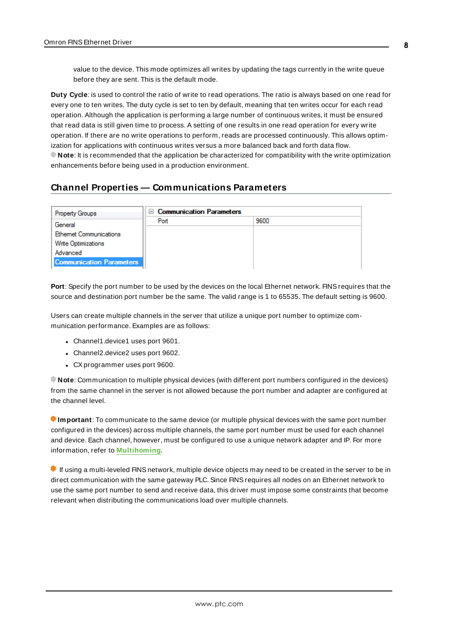value to the device. This mode optimizes all writes by updating the tags currently in the write queue before they are sent. This is the default mode.

**Duty Cycle**: is used to control the ratio of write to read operations. The ratio is always based on one read for every one to ten writes. The duty cycle is set to ten by default, meaning that ten writes occur for each read operation. Although the application is performing a large number of continuous writes, it must be ensured that read data is still given time to process. A setting of one results in one read operation for every write operation. If there are no write operations to perform, reads are processed continuously. This allows optimization for applications with continuous writes versus a more balanced back and forth data flow. **Note**: It is recommended that the application be characterized for compatibility with the write optimization enhancements before being used in a production environment.

## <span id="page-7-0"></span>**Channel Properties — Communications Parameters**

| <b>Property Groups</b>          | <b>□ Communication Parameters</b> |      |  |
|---------------------------------|-----------------------------------|------|--|
| General                         | Port                              | 9600 |  |
| <b>Ethemet Communications</b>   |                                   |      |  |
| <b>Write Optimizations</b>      |                                   |      |  |
| Advanced                        |                                   |      |  |
| <b>Communication Parameters</b> |                                   |      |  |

Port: Specify the port number to be used by the devices on the local Ethernet network. FINS requires that the source and destination port number be the same. The valid range is 1 to 65535. The default setting is 9600.

Users can create multiple channels in the server that utilize a unique port number to optimize communication performance. Examples are as follows:

- Channel1.device1 uses port 9601.
- Channel2.device2 uses port 9602.
- CX programmer uses port 9600.

**Note**: Communication to multiple physical devices (with different port numbers configured in the devices) from the same channel in the server is not allowed because the port number and adapter are configured at the channel level.

**Important**: To communicate to the same device (or multiple physical devices with the same port number configured in the devices) across multiple channels, the same port number must be used for each channel and device. Each channel, however, must be configured to use a unique network adapter and IP. For more information, refer to **[Multihoming](#page-19-0)**.

If using a multi-leveled FINS network, multiple device objects may need to be created in the server to be in direct communication with the same gateway PLC. Since FINSrequires all nodes on an Ethernet network to use the same port number to send and receive data, this driver must impose some constraints that become relevant when distributing the communications load over multiple channels.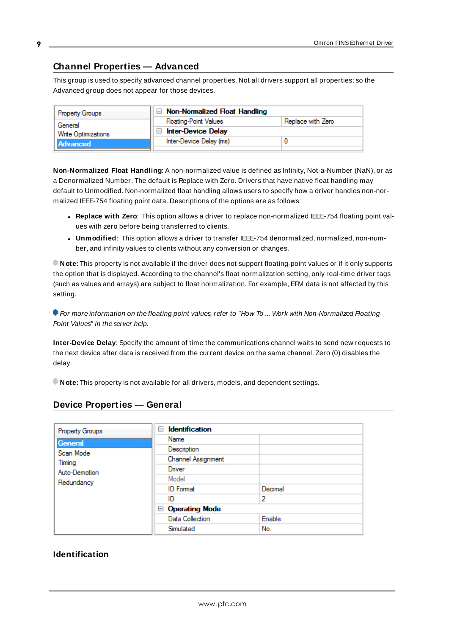## <span id="page-8-0"></span>**Channel Properties — Advanced**

This group is used to specify advanced channel properties. Not all drivers support all properties; so the Advanced group does not appear for those devices.

| <b>Property Groups</b>     | $\Box$ Non-Normalized Float Handling |                   |
|----------------------------|--------------------------------------|-------------------|
| General                    | <b>Floating-Point Values</b>         | Replace with Zero |
| <b>Write Optimizations</b> | <b>Inter-Device Delay</b>            |                   |
| Advanced                   | Inter-Device Delay (ms)              |                   |
|                            |                                      |                   |

**Non-Normalized Float Handling**: A non-normalized value is defined as Infinity, Not-a-Number (NaN), or as a Denormalized Number. The default is Replace with Zero. Drivers that have native float handling may default to Unmodified. Non-normalized float handling allows users to specify how a driver handles non-normalized IEEE-754 floating point data. Descriptions of the options are as follows:

- <sup>l</sup> **Replace with Zero**: This option allows a driver to replace non-normalized IEEE-754 floating point values with zero before being transferred to clients.
- <sup>l</sup> **Unmodified**: This option allows a driver to transfer IEEE-754 denormalized, normalized, non-number, and infinity values to clients without any conversion or changes.

**Note:** This property is not available if the driver does not support floating-point values or if it only supports the option that is displayed. According to the channel's float normalization setting, only real-time driver tags (such as values and arrays) are subject to float normalization. For example, EFM data is not affected by this setting.

For more information on the floating-point values, refer to "How To ... Work with Non-Normalized Floating-Point Values" in the server help.

**Inter-Device Delay**: Specify the amount of time the communications channel waits to send new requests to the next device after data is received from the current device on the same channel. Zero (0) disables the delay.

<span id="page-8-1"></span>**Note:** This property is not available for all drivers, models, and dependent settings.

| <b>Property Groups</b>      | $\equiv$<br><b>Identification</b> |         |  |
|-----------------------------|-----------------------------------|---------|--|
| General                     | Name                              |         |  |
| Scan Mode                   | Description                       |         |  |
| Timing                      | Channel Assignment                |         |  |
| Auto-Demotion<br>Redundancy | Driver                            |         |  |
|                             | Model                             |         |  |
|                             | <b>ID</b> Format                  | Decimal |  |
|                             | ID                                | 2       |  |
|                             | □ Operating Mode                  |         |  |
|                             | Data Collection                   | Enable  |  |
|                             | Simulated                         | No      |  |

## **Device Properties — General**

## **Identification**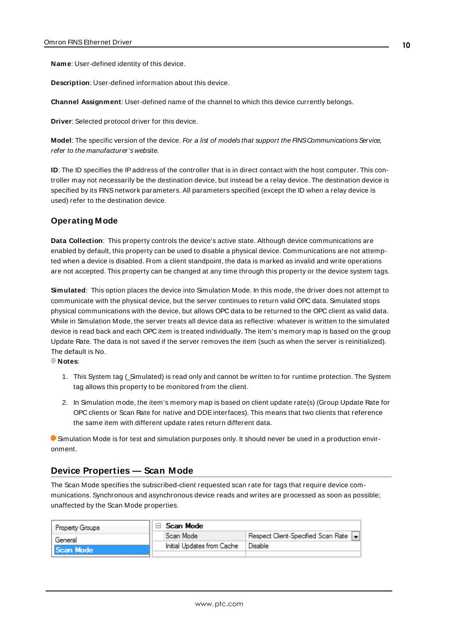**Name**: User-defined identity of this device.

**Description**: User-defined information about this device.

**Channel Assignment**: User-defined name of the channel to which this device currently belongs.

**Driver**: Selected protocol driver for this device.

Model: The specific version of the device. For a list of models that support the FINS Communications Service, refer to the manufacturer's website.

**ID**: The ID specifies the IPaddress of the controller that is in direct contact with the host computer. This controller may not necessarily be the destination device, but instead be a relay device. The destination device is specified by its FINSnetwork parameters. All parameters specified (except the ID when a relay device is used) refer to the destination device.

## **Operating Mode**

**Data Collection**: This property controls the device's active state. Although device communications are enabled by default, this property can be used to disable a physical device. Communications are not attempted when a device is disabled. From a client standpoint, the data is marked as invalid and write operations are not accepted. This property can be changed at any time through this property or the device system tags.

**Simulated**: This option places the device into Simulation Mode. In this mode, the driver does not attempt to communicate with the physical device, but the server continues to return valid OPC data. Simulated stops physical communications with the device, but allows OPC data to be returned to the OPC client as valid data. While in Simulation Mode, the server treats all device data as reflective: whatever is written to the simulated device is read back and each OPC item is treated individually. The item's memory map is based on the group Update Rate. The data is not saved if the server removes the item (such as when the server is reinitialized). The default is No.

**Notes**:

- 1. This System tag (Simulated) is read only and cannot be written to for runtime protection. The System tag allows this property to be monitored from the client.
- 2. In Simulation mode, the item's memory map is based on client update rate(s) (Group Update Rate for OPC clients or Scan Rate for native and DDEinterfaces). This means that two clients that reference the same item with different update rates return different data.

 Simulation Mode is for test and simulation purposes only. It should never be used in a production environment.

## <span id="page-9-0"></span>**Device Properties — Scan Mode**

The Scan Mode specifies the subscribed-client requested scan rate for tags that require device communications. Synchronous and asynchronous device reads and writes are processed as soon as possible; unaffected by the Scan Mode properties.

| <b>Property Groups</b> | <b>Scan Mode</b>           |                                       |
|------------------------|----------------------------|---------------------------------------|
| General                | Scan Mode                  | Respect Client-Specified Scan Rate  - |
| Il Scan Mode           | Initial Updates from Cache | Disable                               |
|                        |                            |                                       |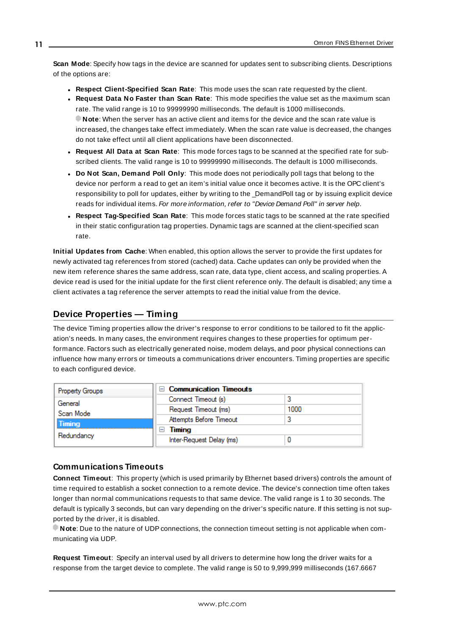**Scan Mode**: Specify how tags in the device are scanned for updates sent to subscribing clients. Descriptions of the options are:

- <sup>l</sup> **Respect Client-Specified Scan Rate**: This mode uses the scan rate requested by the client.
- <sup>l</sup> **Request Data No Faster than Scan Rate**: This mode specifies the value set as the maximum scan rate. The valid range is 10 to 99999990 milliseconds. The default is 1000 milliseconds. **Note**: When the server has an active client and items for the device and the scan rate value is increased, the changes take effect immediately. When the scan rate value is decreased, the changes do not take effect until all client applications have been disconnected.
- <sup>l</sup> **Request All Data at Scan Rate**: This mode forces tags to be scanned at the specified rate for subscribed clients. The valid range is 10 to 99999990 milliseconds. The default is 1000 milliseconds.
- <sup>l</sup> **Do Not Scan, Demand Poll Only**: This mode does not periodically poll tags that belong to the device nor perform a read to get an item's initial value once it becomes active. It is the OPC client's responsibility to poll for updates, either by writing to the \_DemandPoll tag or by issuing explicit device reads for individual items. For more information, refer to "Device Demand Poll" in server help.
- <sup>l</sup> **Respect Tag-Specified Scan Rate**: This mode forces static tags to be scanned at the rate specified in their static configuration tag properties. Dynamic tags are scanned at the client-specified scan rate.

**Initial Updates from Cache**: When enabled, this option allows the server to provide the first updates for newly activated tag references from stored (cached) data. Cache updates can only be provided when the new item reference shares the same address, scan rate, data type, client access, and scaling properties. A device read is used for the initial update for the first client reference only. The default is disabled; any time a client activates a tag reference the server attempts to read the initial value from the device.

# <span id="page-10-0"></span>**Device Properties — Timing**

The device Timing properties allow the driver's response to error conditions to be tailored to fit the application's needs. In many cases, the environment requires changes to these properties for optimum performance. Factors such as electrically generated noise, modem delays, and poor physical connections can influence how many errors or timeouts a communications driver encounters. Timing properties are specific to each configured device.

| <b>Property Groups</b> | $\Box$ Communication Timeouts |      |
|------------------------|-------------------------------|------|
| General                | Connect Timeout (s)           |      |
| Scan Mode              | Request Timeout (ms)          | 1000 |
| <b>Timing</b>          | Attempts Before Timeout       |      |
| Redundancy             | Timing                        |      |
|                        | Inter-Request Delay (ms)      |      |

## **Communications Timeouts**

**Connect Timeout**: This property (which is used primarily by Ethernet based drivers) controls the amount of time required to establish a socket connection to a remote device. The device's connection time often takes longer than normal communications requests to that same device. The valid range is 1 to 30 seconds. The default is typically 3 seconds, but can vary depending on the driver's specific nature. If this setting is not supported by the driver, it is disabled.

**Note**: Due to the nature of UDPconnections, the connection timeout setting is not applicable when communicating via UDP.

**Request Timeout**: Specify an interval used by all drivers to determine how long the driver waits for a response from the target device to complete. The valid range is 50 to 9,999,999 milliseconds (167.6667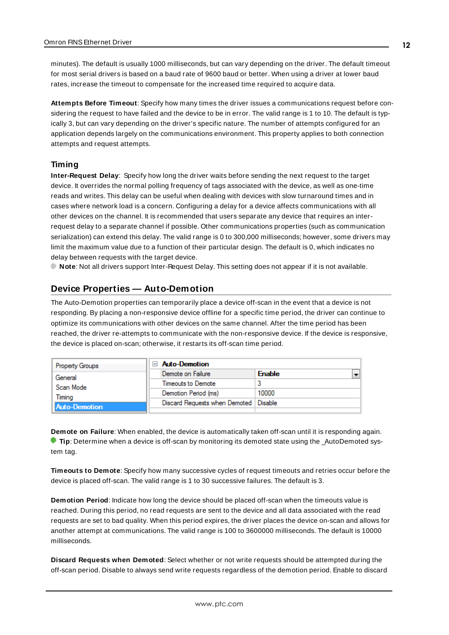minutes). The default is usually 1000 milliseconds, but can vary depending on the driver. The default timeout for most serial drivers is based on a baud rate of 9600 baud or better. When using a driver at lower baud rates, increase the timeout to compensate for the increased time required to acquire data.

**Attempts Before Timeout**: Specify how many times the driver issues a communications request before considering the request to have failed and the device to be in error. The valid range is 1 to 10. The default is typically 3, but can vary depending on the driver's specific nature. The number of attempts configured for an application depends largely on the communications environment. This property applies to both connection attempts and request attempts.

## **Timing**

**Inter-Request Delay**: Specify how long the driver waits before sending the next request to the target device. It overrides the normal polling frequency of tags associated with the device, as well as one-time reads and writes. This delay can be useful when dealing with devices with slow turnaround times and in cases where network load is a concern. Configuring a delay for a device affects communications with all other devices on the channel. It is recommended that users separate any device that requires an interrequest delay to a separate channel if possible. Other communications properties (such as communication serialization) can extend this delay. The valid range is 0 to 300,000 milliseconds; however, some drivers may limit the maximum value due to a function of their particular design. The default is 0, which indicates no delay between requests with the target device.

<span id="page-11-0"></span>**Note**: Not all drivers support Inter-Request Delay. This setting does not appear if it is not available.

## **Device Properties — Auto-Demotion**

The Auto-Demotion properties can temporarily place a device off-scan in the event that a device is not responding. By placing a non-responsive device offline for a specific time period, the driver can continue to optimize its communications with other devices on the same channel. After the time period has been reached, the driver re-attempts to communicate with the non-responsive device. If the device is responsive, the device is placed on-scan; otherwise, it restarts its off-scan time period.

| <b>Property Groups</b> | <b>Auto-Demotion</b>          |               |
|------------------------|-------------------------------|---------------|
| General                | Demote on Failure             | <b>Enable</b> |
| Scan Mode              | Timeouts to Demote            |               |
| Timina                 | Demotion Period (ms)          | 10000         |
| Auto-Demotion          | Discard Requests when Demoted | Disable       |
|                        |                               |               |

**Demote on Failure**: When enabled, the device is automatically taken off-scan until it is responding again. **Tip:** Determine when a device is off-scan by monitoring its demoted state using the \_AutoDemoted system tag.

**Timeouts to Demote**: Specify how many successive cycles of request timeouts and retries occur before the device is placed off-scan. The valid range is 1 to 30 successive failures. The default is 3.

**Demotion Period**: Indicate how long the device should be placed off-scan when the timeouts value is reached. During this period, no read requests are sent to the device and all data associated with the read requests are set to bad quality. When this period expires, the driver places the device on-scan and allows for another attempt at communications. The valid range is 100 to 3600000 milliseconds. The default is 10000 milliseconds.

**Discard Requests when Demoted**: Select whether or not write requests should be attempted during the off-scan period. Disable to always send write requests regardless of the demotion period. Enable to discard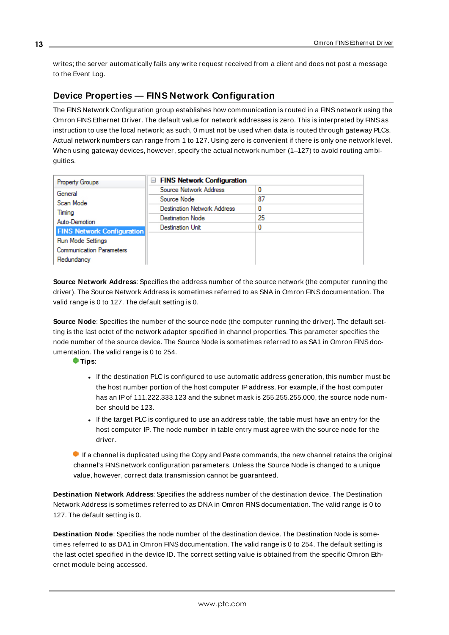writes; the server automatically fails any write request received from a client and does not post a message to the Event Log.

# <span id="page-12-0"></span>**Device Properties — FINS Network Configuration**

The FINS Network Configuration group establishes how communication is routed in a FINSnetwork using the Omron FINSEthernet Driver. The default value for network addresses is zero. This is interpreted by FINSas instruction to use the local network; as such, 0 must not be used when data is routed through gateway PLCs. Actual network numbers can range from 1 to 127. Using zero is convenient if there is only one network level. When using gateway devices, however, specify the actual network number (1–127) to avoid routing ambiguities.

| <b>Property Groups</b>            | $\Box$ FINS Network Configuration  |    |
|-----------------------------------|------------------------------------|----|
| General                           | Source Network Address             |    |
| Scan Mode                         | Source Node                        | 87 |
| Timing                            | <b>Destination Network Address</b> | 0  |
| Auto-Demotion                     | <b>Destination Node</b>            | 25 |
| <b>FINS Network Configuration</b> | Destination Unit                   |    |
| <b>Run Mode Settings</b>          |                                    |    |
| <b>Communication Parameters</b>   |                                    |    |
|                                   |                                    |    |
| Redundancy                        |                                    |    |

**Source Network Address**: Specifies the address number of the source network (the computer running the driver). The Source Network Address is sometimes referred to as SNA in Omron FINS documentation. The valid range is 0 to 127. The default setting is 0.

**Source Node**: Specifies the number of the source node (the computer running the driver). The default setting is the last octet of the network adapter specified in channel properties. This parameter specifies the node number of the source device. The Source Node is sometimes referred to as SA1 in Omron FINSdocumentation. The valid range is 0 to 254.

### **Tips**:

- If the destination PLC is configured to use automatic address generation, this number must be the host number portion of the host computer IPaddress. For example, if the host computer has an IP of 111.222.333.123 and the subnet mask is 255.255.255.000, the source node number should be 123.
- If the target PLC is configured to use an address table, the table must have an entry for the host computer IP. The node number in table entry must agree with the source node for the driver.

 $\bullet$  If a channel is duplicated using the Copy and Paste commands, the new channel retains the original channel's FINSnetwork configuration parameters. Unless the Source Node is changed to a unique value, however, correct data transmission cannot be guaranteed.

**Destination Network Address**: Specifies the address number of the destination device. The Destination Network Address is sometimes referred to as DNA in Omron FINSdocumentation. The valid range is 0 to 127. The default setting is 0.

**Destination Node**: Specifies the node number of the destination device. The Destination Node is sometimes referred to as DA1 in Omron FINSdocumentation. The valid range is 0 to 254. The default setting is the last octet specified in the device ID. The correct setting value is obtained from the specific Omron Ethernet module being accessed.

**13**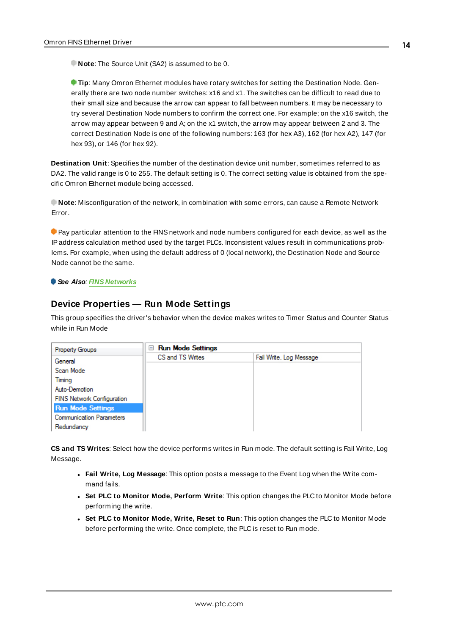**Note**: The Source Unit (SA2) is assumed to be 0.

**Tip**: Many Omron Ethernet modules have rotary switches for setting the Destination Node. Generally there are two node number switches: x16 and x1. The switches can be difficult to read due to their small size and because the arrow can appear to fall between numbers. It may be necessary to try several Destination Node numbers to confirm the correct one. For example; on the x16 switch, the arrow may appear between 9 and A; on the x1 switch, the arrow may appear between 2 and 3. The correct Destination Node is one of the following numbers: 163 (for hex A3), 162 (for hex A2), 147 (for hex 93), or 146 (for hex 92).

**Destination Unit**: Specifies the number of the destination device unit number, sometimes referred to as DA2. The valid range is 0 to 255. The default setting is 0. The correct setting value is obtained from the specific Omron Ethernet module being accessed.

**Note**: Misconfiguration of the network, in combination with some errors, can cause a Remote Network Error.

**Pay particular attention to the FINS network and node numbers configured for each device, as well as the** IPaddress calculation method used by the target PLCs. Inconsistent values result in communications problems. For example, when using the default address of 0 (local network), the Destination Node and Source Node cannot be the same.

#### <span id="page-13-0"></span>**See Also**: **[FINS Networks](#page-15-0)**

## **Device Properties — Run Mode Settings**

This group specifies the driver's behavior when the device makes writes to Timer Status and Counter Status while in Run Mode

| <b>Property Groups</b>          | <b>Run Mode Settings</b><br>$-$ |                         |
|---------------------------------|---------------------------------|-------------------------|
| General                         | CS and TS Writes                | Fail Write, Log Message |
| Scan Mode                       |                                 |                         |
| Timing                          |                                 |                         |
| Auto-Demotion                   |                                 |                         |
| FINS Network Configuration      |                                 |                         |
| <b>Run Mode Settings</b>        |                                 |                         |
| <b>Communication Parameters</b> |                                 |                         |
| Redundancy                      |                                 |                         |

**CS and TS Writes**: Select how the device performs writes in Run mode. The default setting is Fail Write, Log Message.

- <sup>l</sup> **Fail Write, Log Message**: This option posts a message to the Event Log when the Write command fails.
- <sup>l</sup> **Set PLC to Monitor Mode, Perform Write**: This option changes the PLC to Monitor Mode before performing the write.
- <sup>l</sup> **Set PLC to Monitor Mode, Write, Reset to Run**: This option changes the PLC to Monitor Mode before performing the write. Once complete, the PLC is reset to Run mode.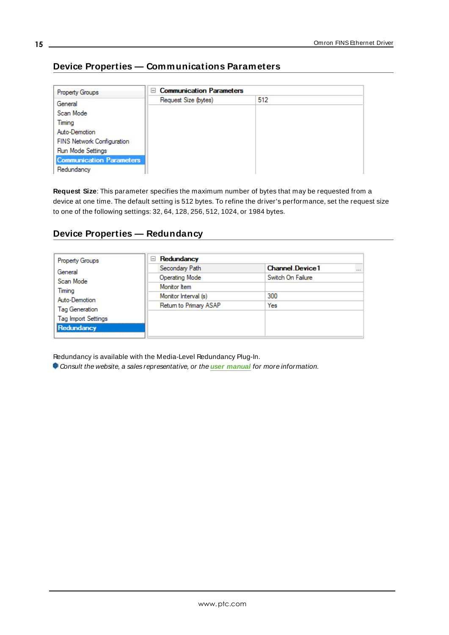# <span id="page-14-0"></span>**Device Properties — Communications Parameters**

| <b>Property Groups</b>            | <b>Communication Parameters</b><br>$=$ |     |  |
|-----------------------------------|----------------------------------------|-----|--|
| General                           | Request Size (bytes)                   | 512 |  |
| Scan Mode                         |                                        |     |  |
| Timing                            |                                        |     |  |
| Auto-Demotion                     |                                        |     |  |
| <b>FINS Network Configuration</b> |                                        |     |  |
| <b>Run Mode Settings</b>          |                                        |     |  |
| <b>Communication Parameters</b>   |                                        |     |  |
| Redundancy                        |                                        |     |  |

**Request Size**: This parameter specifies the maximum number of bytes that may be requested from a device at one time. The default setting is 512 bytes. To refine the driver's performance, set the request size to one of the following settings: 32, 64, 128, 256, 512, 1024, or 1984 bytes.

## <span id="page-14-1"></span>**Device Properties — Redundancy**

| <b>Property Groups</b>     | Redundancy<br>$=$      |                                    |
|----------------------------|------------------------|------------------------------------|
| General                    | Secondary Path         | <b>Channel Device1</b><br>$\cdots$ |
| Scan Mode                  | <b>Operating Mode</b>  | Switch On Failure                  |
| Timing                     | Monitor Item           |                                    |
| Auto-Demotion              | Monitor Interval (s)   | 300                                |
| Tag Generation             | Return to Primary ASAP | Yes                                |
|                            |                        |                                    |
| <b>Tag Import Settings</b> |                        |                                    |
| Redundancy                 |                        |                                    |

Redundancy is available with the Media-Level Redundancy Plug-In.

Consult the website, a sales representative, or the **user [manual](https://www.kepware.com/getattachment/35461efd-b53a-4219-a109-a89fad20b230/media-level-redundancy-manual.pdf)** for more information.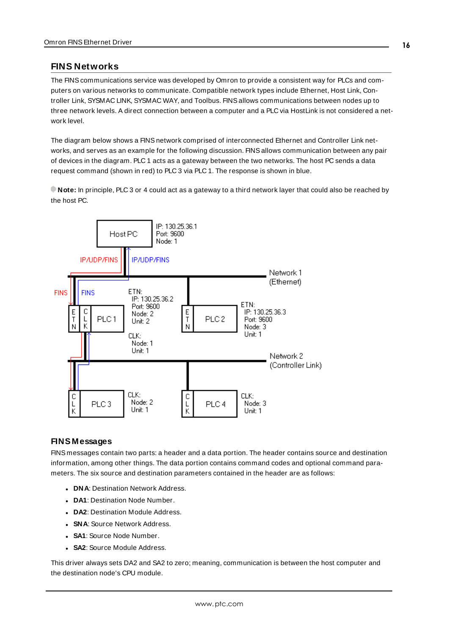## <span id="page-15-0"></span>**FINS Networks**

The FINScommunications service was developed by Omron to provide a consistent way for PLCs and computers on various networks to communicate. Compatible network types include Ethernet, Host Link, Controller Link, SYSMAC LINK, SYSMAC WAY, and Toolbus. FINSallows communications between nodes up to three network levels. A direct connection between a computer and a PLC via HostLink is not considered a network level.

The diagram below shows a FINS network comprised of interconnected Ethernet and Controller Link networks, and serves as an example for the following discussion. FINSallows communication between any pair of devices in the diagram. PLC 1 acts as a gateway between the two networks. The host PC sends a data request command (shown in red) to PLC 3 via PLC 1. The response is shown in blue.

**Note:** In principle, PLC 3 or 4 could act as a gateway to a third network layer that could also be reached by the host PC.



## **FINS Messages**

FINS messages contain two parts: a header and a data portion. The header contains source and destination information, among other things. The data portion contains command codes and optional command parameters. The six source and destination parameters contained in the header are as follows:

- **. DNA: Destination Network Address.**
- **DA1**: Destination Node Number.
- **. DA2**: Destination Module Address.
- **SNA: Source Network Address.**
- **SA1**: Source Node Number.
- **SA2: Source Module Address.**

This driver always sets DA2 and SA2 to zero; meaning, communication is between the host computer and the destination node's CPU module.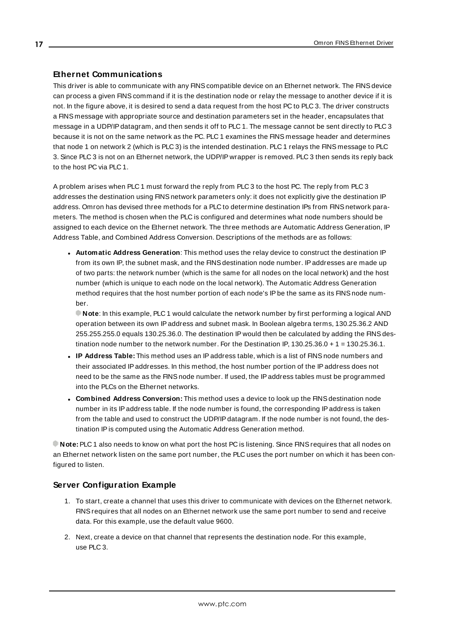## **Ethernet Communications**

This driver is able to communicate with any FINScompatible device on an Ethernet network. The FINSdevice can process a given FINScommand if it is the destination node or relay the message to another device if it is not. In the figure above, it is desired to send a data request from the host PC to PLC 3. The driver constructs a FINS message with appropriate source and destination parameters set in the header, encapsulates that message in a UDP/IPdatagram, and then sends it off to PLC 1. The message cannot be sent directly to PLC 3 because it is not on the same network as the PC. PLC 1 examines the FINS message header and determines that node 1 on network 2 (which is PLC 3) is the intended destination. PLC 1 relays the FINS message to PLC 3. Since PLC 3 is not on an Ethernet network, the UDP/IP wrapper is removed. PLC 3 then sends its reply back to the host PC via PLC 1.

A problem arises when PLC 1 must forward the reply from PLC 3 to the host PC. The reply from PLC 3 addresses the destination using FINSnetwork parameters only: it does not explicitly give the destination IP address. Omron has devised three methods for a PLC to determine destination IPs from FINS network parameters. The method is chosen when the PLC is configured and determines what node numbers should be assigned to each device on the Ethernet network. The three methods are Automatic Address Generation, IP Address Table, and Combined Address Conversion. Descriptions of the methods are as follows:

<sup>l</sup> **Automatic Address Generation**: This method uses the relay device to construct the destination IP from its own IP, the subnet mask, and the FINSdestination node number. IPaddresses are made up of two parts: the network number (which is the same for all nodes on the local network) and the host number (which is unique to each node on the local network). The Automatic Address Generation method requires that the host number portion of each node's IPbe the same as its FINS node number.

**Note**: In this example, PLC 1 would calculate the network number by first performing a logical AND operation between its own IPaddress and subnet mask. In Boolean algebra terms, 130.25.36.2 AND 255.255.255.0 equals 130.25.36.0. The destination IP would then be calculated by adding the FINSdestination node number to the network number. For the Destination IP, 130.25.36.0 + 1 = 130.25.36.1.

- IP Address Table: This method uses an IP address table, which is a list of FINS node numbers and their associated IPaddresses. In this method, the host number portion of the IPaddress does not need to be the same as the FINSnode number. If used, the IPaddress tables must be programmed into the PLCs on the Ethernet networks.
- <sup>l</sup> **Combined Address Conversion:** This method uses a device to look up the FINSdestination node number in its IPaddress table. If the node number is found, the corresponding IPaddress is taken from the table and used to construct the UDP/IPdatagram. If the node number is not found, the destination IP is computed using the Automatic Address Generation method.

**Note:** PLC 1 also needs to know on what port the host PC is listening. Since FINSrequires that all nodes on an Ethernet network listen on the same port number, the PLC uses the port number on which it has been configured to listen.

## **Server Configuration Example**

- 1. To start, create a channel that uses this driver to communicate with devices on the Ethernet network. FINSrequires that all nodes on an Ethernet network use the same port number to send and receive data. For this example, use the default value 9600.
- 2. Next, create a device on that channel that represents the destination node. For this example, use PLC 3.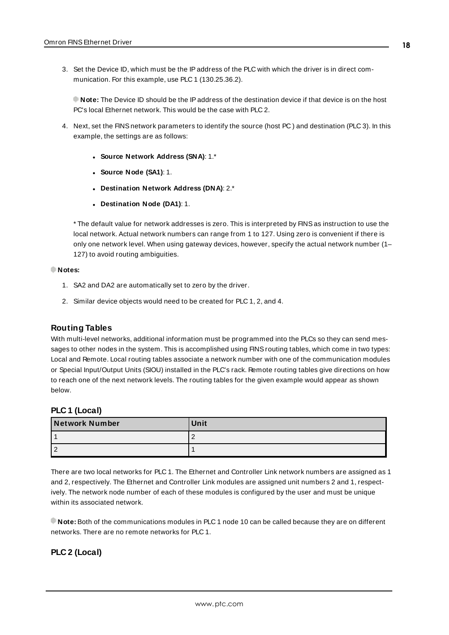3. Set the Device ID, which must be the IPaddress of the PLC with which the driver is in direct communication. For this example, use PLC 1 (130.25.36.2).

**Note:** The Device ID should be the IPaddress of the destination device if that device is on the host PC's local Ethernet network. This would be the case with PLC 2.

- 4. Next, set the FINSnetwork parameters to identify the source (host PC ) and destination (PLC 3). In this example, the settings are as follows:
	- <sup>l</sup> **Source Network Address (SNA)**: 1.\*
	- <sup>l</sup> **Source Node (SA1)**: 1.
	- <sup>l</sup> **Destination Network Address (DNA)**: 2.\*
	- <sup>l</sup> **Destination Node (DA1)**: 1.

\* The default value for network addresses is zero. This is interpreted by FINSas instruction to use the local network. Actual network numbers can range from 1 to 127. Using zero is convenient if there is only one network level. When using gateway devices, however, specify the actual network number (1– 127) to avoid routing ambiguities.

#### **Notes:**

- 1. SA2 and DA2 are automatically set to zero by the driver.
- 2. Similar device objects would need to be created for PLC 1, 2, and 4.

#### **Routing Tables**

With multi-level networks, additional information must be programmed into the PLCs so they can send messages to other nodes in the system. This is accomplished using FINSrouting tables, which come in two types: Local and Remote. Local routing tables associate a network number with one of the communication modules or Special Input/Output Units (SIOU) installed in the PLC's rack. Remote routing tables give directions on how to reach one of the next network levels. The routing tables for the given example would appear as shown below.

### **PLC 1 (Local)**

| <b>Network Number</b> | Unit |
|-----------------------|------|
|                       |      |
|                       |      |

There are two local networks for PLC 1. The Ethernet and Controller Link network numbers are assigned as 1 and 2, respectively. The Ethernet and Controller Link modules are assigned unit numbers 2 and 1, respectively. The network node number of each of these modules is configured by the user and must be unique within its associated network.

**Note:** Both of the communications modules in PLC 1 node 10 can be called because they are on different networks. There are no remote networks for PLC 1.

## **PLC 2 (Local)**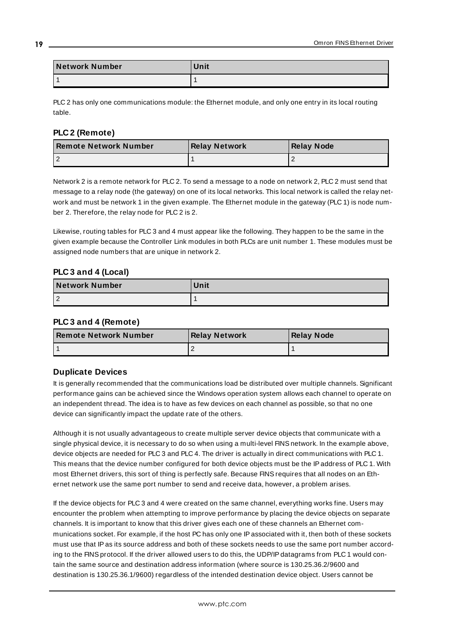| Network Number | Unit |
|----------------|------|
|                |      |

PLC 2 has only one communications module: the Ethernet module, and only one entry in its local routing table.

## **PLC 2 (Remote)**

| <b>I Remote Network Number</b> | <b>Relay Network</b> | <b>Relay Node</b> |
|--------------------------------|----------------------|-------------------|
|                                |                      |                   |

Network 2 is a remote network for PLC 2. To send a message to a node on network 2, PLC 2 must send that message to a relay node (the gateway) on one of its local networks. This local network is called the relay network and must be network 1 in the given example. The Ethernet module in the gateway (PLC 1) is node number 2. Therefore, the relay node for PLC 2 is 2.

Likewise, routing tables for PLC 3 and 4 must appear like the following. They happen to be the same in the given example because the Controller Link modules in both PLCs are unit number 1. These modules must be assigned node numbers that are unique in network 2.

## **PLC 3 and 4 (Local)**

| Network Number | <b>Unit</b> |
|----------------|-------------|
|                |             |

## **PLC 3 and 4 (Remote)**

| <b>I Remote Network Number</b> | <b>Relay Network</b> | Relay Node |
|--------------------------------|----------------------|------------|
|                                |                      |            |

## **Duplicate Devices**

It is generally recommended that the communications load be distributed over multiple channels. Significant performance gains can be achieved since the Windows operation system allows each channel to operate on an independent thread. The idea is to have as few devices on each channel as possible, so that no one device can significantly impact the update rate of the others.

Although it is not usually advantageous to create multiple server device objects that communicate with a single physical device, it is necessary to do so when using a multi-level FINSnetwork. In the example above, device objects are needed for PLC 3 and PLC 4. The driver is actually in direct communications with PLC 1. This means that the device number configured for both device objects must be the IPaddress of PLC 1. With most Ethernet drivers, this sort of thing is perfectly safe. Because FINSrequires that all nodes on an Ethernet network use the same port number to send and receive data, however, a problem arises.

If the device objects for PLC 3 and 4 were created on the same channel, everything works fine. Users may encounter the problem when attempting to improve performance by placing the device objects on separate channels. It is important to know that this driver gives each one of these channels an Ethernet communications socket. For example, if the host PC has only one IPassociated with it, then both of these sockets must use that IPas its source address and both of these sockets needs to use the same port number according to the FINS protocol. If the driver allowed users to do this, the UDP/IP datagrams from PLC 1 would contain the same source and destination address information (where source is 130.25.36.2/9600 and destination is 130.25.36.1/9600) regardless of the intended destination device object. Users cannot be

**19**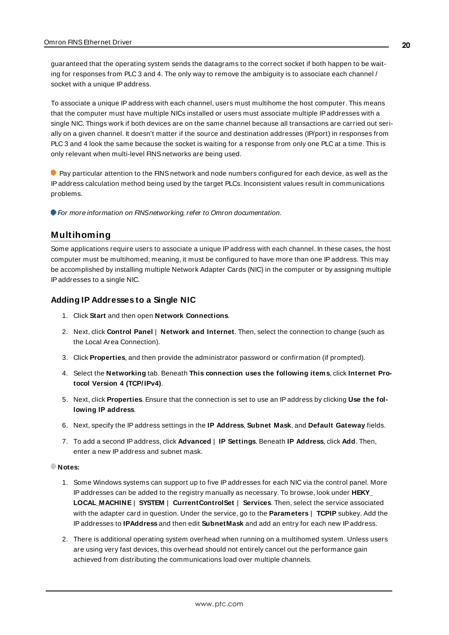guaranteed that the operating system sends the datagrams to the correct socket if both happen to be waiting for responses from PLC 3 and 4. The only way to remove the ambiguity is to associate each channel / socket with a unique IP address.

To associate a unique IPaddress with each channel, users must multihome the host computer. This means that the computer must have multiple NICs installed or users must associate multiple IPaddresses with a single NIC. Things work if both devices are on the same channel because all transactions are carried out serially on a given channel. It doesn't matter if the source and destination addresses (IP/port) in responses from PLC 3 and 4 look the same because the socket is waiting for a response from only one PLC at a time. This is only relevant when multi-level FINSnetworks are being used.

**Pay particular attention to the FINS network and node numbers configured for each device, as well as the** IPaddress calculation method being used by the target PLCs. Inconsistent values result in communications problems.

<span id="page-19-0"></span>For more information on FINSnetworking, refer to Omron documentation.

## **Multihoming**

Some applications require users to associate a unique IPaddress with each channel. In these cases, the host computer must be multihomed; meaning, it must be configured to have more than one IPaddress. This may be accomplished by installing multiple Network Adapter Cards (NIC) in the computer or by assigning multiple IPaddresses to a single NIC.

#### **Adding IP Addresses to a Single NIC**

- 1. Click **Start** and then open **Network Connections**.
- 2. Next, click **Control Panel** | **Network and Internet**. Then, select the connection to change (such as the Local Area Connection).
- 3. Click **Properties**, and then provide the administrator password or confirmation (if prompted).
- 4. Select the **Networking** tab. Beneath **This connection uses the following items**, click **Internet Protocol Version 4 (TCP/IPv4)**.
- 5. Next, click **Properties**. Ensure that the connection is set to use an IPaddress by clicking **Use the following IP address**.
- 6. Next, specify the IPaddress settings in the **IP Address**, **Subnet Mask**, and **Default Gateway** fields.
- 7. To add a second IPaddress, click **Advanced** | **IP Settings**. Beneath **IP Address**, click **Add**. Then, enter a new IP address and subnet mask.

#### **Notes:**

- 1. Some Windows systems can support up to five IPaddresses for each NIC via the control panel. More IPaddresses can be added to the registry manually as necessary. To browse, look under **HEKY\_ LOCAL\_MACHINE** | **SYSTEM** | **CurrentControlSet** | **Services**. Then, select the service associated with the adapter card in question. Under the service, go to the **Parameters** | **TCPIP** subkey. Add the IPaddresses to **IPAddress** and then edit **SubnetMask** and add an entry for each new IPaddress.
- 2. There is additional operating system overhead when running on a multihomed system. Unless users are using very fast devices, this overhead should not entirely cancel out the performance gain achieved from distributing the communications load over multiple channels.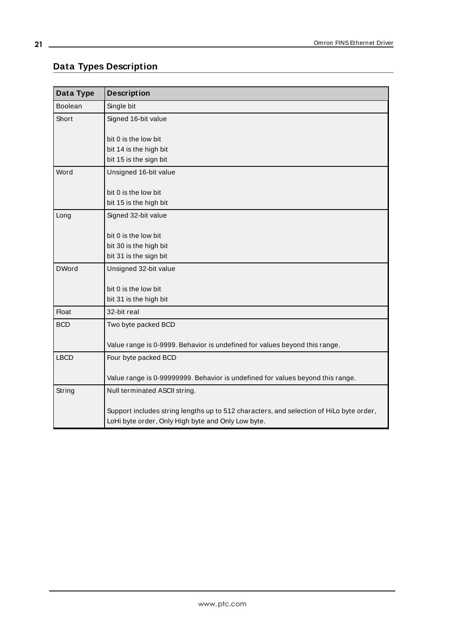# <span id="page-20-0"></span>**Data Types Description**

<u> 1989 - Johann Barn, mars eta bainar eta baina eta baina eta baina eta baina eta baina eta baina eta baina e</u>

| Data Type    | <b>Description</b>                                                                      |
|--------------|-----------------------------------------------------------------------------------------|
| Boolean      | Single bit                                                                              |
| Short        | Signed 16-bit value                                                                     |
|              |                                                                                         |
|              | bit 0 is the low bit                                                                    |
|              | bit 14 is the high bit<br>bit 15 is the sign bit                                        |
|              |                                                                                         |
| Word         | Unsigned 16-bit value                                                                   |
|              | bit 0 is the low bit                                                                    |
|              | bit 15 is the high bit                                                                  |
| Long         | Signed 32-bit value                                                                     |
|              |                                                                                         |
|              | bit 0 is the low bit                                                                    |
|              | bit 30 is the high bit                                                                  |
|              | bit 31 is the sign bit                                                                  |
| <b>DWord</b> | Unsigned 32-bit value                                                                   |
|              | bit 0 is the low bit                                                                    |
|              | bit 31 is the high bit                                                                  |
| Float        | 32-bit real                                                                             |
| <b>BCD</b>   | Two byte packed BCD                                                                     |
|              |                                                                                         |
|              | Value range is 0-9999. Behavior is undefined for values beyond this range.              |
| <b>LBCD</b>  | Four byte packed BCD                                                                    |
|              |                                                                                         |
|              | Value range is 0-99999999. Behavior is undefined for values beyond this range.          |
| String       | Null terminated ASCII string.                                                           |
|              | Support includes string lengths up to 512 characters, and selection of HiLo byte order, |
|              | LoHi byte order, Only High byte and Only Low byte.                                      |
|              |                                                                                         |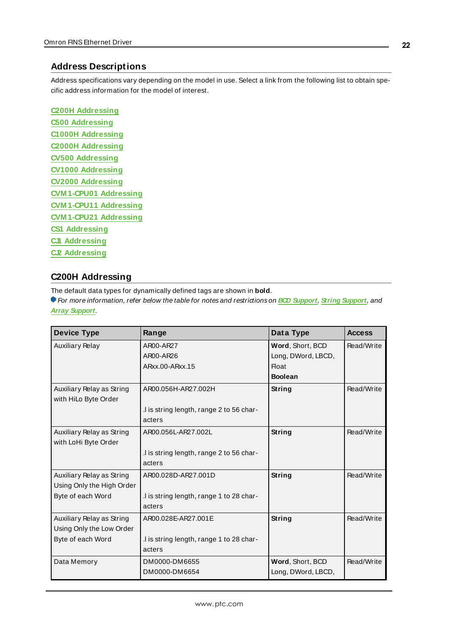## <span id="page-21-0"></span>**Address Descriptions**

Address specifications vary depending on the model in use. Select a link from the following list to obtain specific address information for the model of interest.

**C200H [Addressing](#page-21-1) C500 [Addressing](#page-26-0) C1000H [Addressing](#page-30-0) C2000H [Addressing](#page-34-0) CV500 [Addressing](#page-39-0) CV1000 [Addressing](#page-43-0) CV2000 [Addressing](#page-49-0) [CVM 1-CPU01](#page-55-0) Addressing [CVM 1-CPU11](#page-60-0) Addressing [CVM 1-CPU21](#page-65-0) Addressing CS1 [Addressing](#page-70-0) CJ1 [Addressing](#page-77-0) CJ2 [Addressing](#page-82-0)**

## <span id="page-21-1"></span>**C200H Addressing**

The default data types for dynamically defined tags are shown in **bold**.

For more information, refer below the table for notes and restrictions on **BCD [Support](#page-25-0)**, **String [Support](#page-25-1)**, and **Array [Support](#page-26-1)**.

| <b>Device Type</b>                                                          | Range                                                                     | Data Type                                                                | <b>Access</b> |
|-----------------------------------------------------------------------------|---------------------------------------------------------------------------|--------------------------------------------------------------------------|---------------|
| <b>Auxiliary Relay</b>                                                      | AR00-AR27<br>AR00-AR26<br>ARxx.00-ARxx.15                                 | Word, Short, BCD<br>Long, DWord, LBCD,<br><b>Float</b><br><b>Boolean</b> | Read/Write    |
| Auxiliary Relay as String<br>with HiLo Byte Order                           | AR00.056H-AR27.002H<br>.I is string length, range 2 to 56 char-<br>acters | String                                                                   | Read/Write    |
| Auxiliary Relay as String<br>with LoHi Byte Order                           | AR00.056L-AR27.002L<br>.I is string length, range 2 to 56 char-<br>acters | String                                                                   | Read/Write    |
| Auxiliary Relay as String<br>Using Only the High Order<br>Byte of each Word | AR00.028D-AR27.001D<br>l is string length, range 1 to 28 char-<br>acters  | String                                                                   | Read/Write    |
| Auxiliary Relay as String<br>Using Only the Low Order<br>Byte of each Word  | AR00.028E-AR27.001E<br>.I is string length, range 1 to 28 char-<br>acters | String                                                                   | Read/Write    |
| Data Memory                                                                 | DM0000-DM6655<br>DM0000-DM6654                                            | Word, Short, BCD<br>Long, DWord, LBCD,                                   | Read/Write    |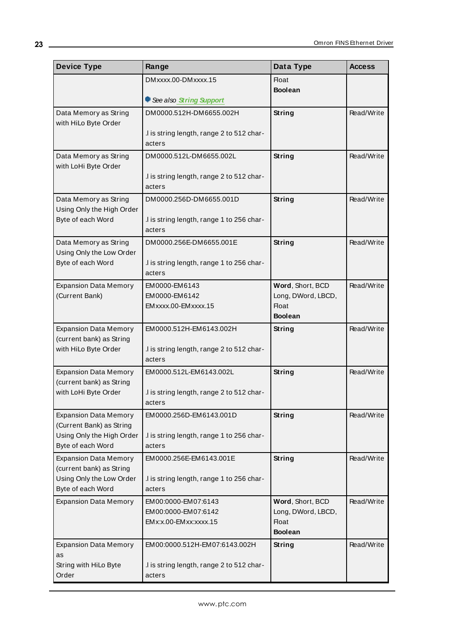| <b>Device Type</b>                                       | Range                                               | Data Type          | <b>Access</b> |
|----------------------------------------------------------|-----------------------------------------------------|--------------------|---------------|
|                                                          | DMxxxx.00-DMxxxx.15                                 | Float              |               |
|                                                          |                                                     | <b>Boolean</b>     |               |
|                                                          | See also String Support                             |                    |               |
| Data Memory as String<br>with HiLo Byte Order            | DM0000.512H-DM6655.002H                             | String             | Read/Write    |
|                                                          | .I is string length, range 2 to 512 char-           |                    |               |
|                                                          | acters                                              |                    |               |
| Data Memory as String                                    | DM0000.512L-DM6655.002L                             | String             | Read/Write    |
| with LoHi Byte Order                                     |                                                     |                    |               |
|                                                          | .I is string length, range 2 to 512 char-<br>acters |                    |               |
| Data Memory as String                                    | DM0000.256D-DM6655.001D                             | String             | Read/Write    |
| Using Only the High Order                                |                                                     |                    |               |
| Byte of each Word                                        | .I is string length, range 1 to 256 char-           |                    |               |
|                                                          | acters                                              |                    |               |
| Data Memory as String                                    | DM0000.256E-DM6655.001E                             | String             | Read/Write    |
| Using Only the Low Order<br>Byte of each Word            |                                                     |                    |               |
|                                                          | .I is string length, range 1 to 256 char-<br>acters |                    |               |
| <b>Expansion Data Memory</b>                             | EM0000-EM6143                                       | Word, Short, BCD   | Read/Write    |
| (Current Bank)                                           | EM0000-EM6142                                       | Long, DWord, LBCD, |               |
|                                                          | EMxxxx.00-EMxxxx.15                                 | Float              |               |
|                                                          |                                                     | <b>Boolean</b>     |               |
| <b>Expansion Data Memory</b>                             | EM0000.512H-EM6143.002H                             | String             | Read/Write    |
| (current bank) as String<br>with HiLo Byte Order         | .I is string length, range 2 to 512 char-           |                    |               |
|                                                          | acters                                              |                    |               |
| <b>Expansion Data Memory</b>                             | EM0000.512L-EM6143.002L                             | <b>String</b>      | Read/Write    |
| (current bank) as String                                 |                                                     |                    |               |
| with LoHi Byte Order                                     | .I is string length, range 2 to 512 char-           |                    |               |
|                                                          | acters                                              |                    |               |
| <b>Expansion Data Memory</b><br>(Current Bank) as String | EM0000.256D-EM6143.001D                             | String             | Read/Write    |
| Using Only the High Order                                | .I is string length, range 1 to 256 char-           |                    |               |
| Byte of each Word                                        | acters                                              |                    |               |
| <b>Expansion Data Memory</b>                             | EM0000.256E-EM6143.001E                             | String             | Read/Write    |
| (current bank) as String                                 |                                                     |                    |               |
| Using Only the Low Order<br>Byte of each Word            | .I is string length, range 1 to 256 char-<br>acters |                    |               |
| <b>Expansion Data Memory</b>                             | EM00:0000-EM07:6143                                 | Word, Short, BCD   | Read/Write    |
|                                                          | EM00:0000-EM07:6142                                 | Long, DWord, LBCD, |               |
|                                                          | EMx:x.00-EMxx:xxxx.15                               | <b>Float</b>       |               |
|                                                          |                                                     | <b>Boolean</b>     |               |
| <b>Expansion Data Memory</b>                             | EM00:0000.512H-EM07:6143.002H                       | <b>String</b>      | Read/Write    |
| as<br>String with HiLo Byte                              | .I is string length, range 2 to 512 char-           |                    |               |
| Order                                                    | acters                                              |                    |               |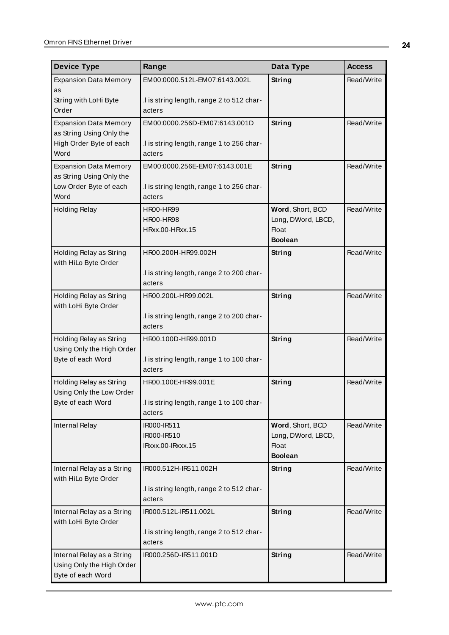| <b>Device Type</b>                                 | Range                                     | Data Type                          | <b>Access</b> |
|----------------------------------------------------|-------------------------------------------|------------------------------------|---------------|
| <b>Expansion Data Memory</b>                       | EM00:0000.512L-EM07:6143.002L             | String                             | Read/Write    |
| as<br>String with LoHi Byte                        | .I is string length, range 2 to 512 char- |                                    |               |
| Order                                              | acters                                    |                                    |               |
| <b>Expansion Data Memory</b>                       | EM00:0000.256D-EM07:6143.001D             | String                             | Read/Write    |
| as String Using Only the                           |                                           |                                    |               |
| High Order Byte of each                            | .I is string length, range 1 to 256 char- |                                    |               |
| Word                                               | acters                                    |                                    |               |
| <b>Expansion Data Memory</b>                       | EM00:0000.256E-EM07:6143.001E             | String                             | Read/Write    |
| as String Using Only the<br>Low Order Byte of each | .I is string length, range 1 to 256 char- |                                    |               |
| Word                                               | acters                                    |                                    |               |
| <b>Holding Relay</b>                               | <b>HR00-HR99</b>                          | Word, Short, BCD                   | Read/Write    |
|                                                    | HR00-HR98                                 | Long, DWord, LBCD,                 |               |
|                                                    | HRxx.00-HRxx.15                           | <b>Float</b>                       |               |
|                                                    |                                           | <b>Boolean</b>                     |               |
| Holding Relay as String<br>with HiLo Byte Order    | HR00.200H-HR99.002H                       | String                             | Read/Write    |
|                                                    | .I is string length, range 2 to 200 char- |                                    |               |
|                                                    | acters                                    |                                    |               |
| Holding Relay as String<br>with LoHi Byte Order    | HR00.200L-HR99.002L                       | String                             | Read/Write    |
|                                                    | .I is string length, range 2 to 200 char- |                                    |               |
|                                                    | acters                                    |                                    |               |
| Holding Relay as String                            | HR00.100D-HR99.001D                       | String                             | Read/Write    |
| Using Only the High Order<br>Byte of each Word     | .I is string length, range 1 to 100 char- |                                    |               |
|                                                    | acters                                    |                                    |               |
| Holding Relay as String                            | HR00.100E-HR99.001E                       | <b>String</b>                      | Read/Write    |
| Using Only the Low Order                           |                                           |                                    |               |
| Byte of each Word                                  | .I is string length, range 1 to 100 char- |                                    |               |
|                                                    | acters                                    |                                    |               |
| Internal Relay                                     | IR000-IR511                               | Word, Short, BCD                   | Read/Write    |
|                                                    | IR000-IR510<br>IRxxx.00-IRxxx.15          | Long, DWord, LBCD,<br><b>Float</b> |               |
|                                                    |                                           | <b>Boolean</b>                     |               |
| Internal Relay as a String<br>with HiLo Byte Order | IR000.512H-IR511.002H                     | String                             | Read/Write    |
|                                                    | .I is string length, range 2 to 512 char- |                                    |               |
|                                                    | acters                                    |                                    |               |
| Internal Relay as a String<br>with LoHi Byte Order | IR000.512L-IR511.002L                     | String                             | Read/Write    |
|                                                    | .I is string length, range 2 to 512 char- |                                    |               |
|                                                    | acters                                    |                                    |               |
| Internal Relay as a String                         | IR000.256D-IR511.001D                     | String                             | Read/Write    |
| Using Only the High Order                          |                                           |                                    |               |
| Byte of each Word                                  |                                           |                                    |               |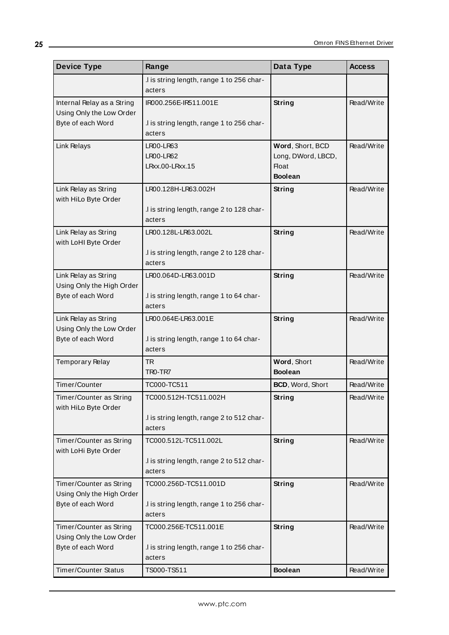| <b>Device Type</b>                              | Range                                              | Data Type                          | <b>Access</b> |
|-------------------------------------------------|----------------------------------------------------|------------------------------------|---------------|
|                                                 | .I is string length, range 1 to 256 char-          |                                    |               |
|                                                 | acters                                             |                                    |               |
| Internal Relay as a String                      | IR000.256E-IR511.001E                              | String                             | Read/Write    |
| Using Only the Low Order                        |                                                    |                                    |               |
| Byte of each Word                               | .I is string length, range 1 to 256 char-          |                                    |               |
|                                                 | acters                                             |                                    |               |
| Link Relays                                     | LR00-LR63                                          | Word, Short, BCD                   | Read/Write    |
|                                                 | <b>LR00-LR62</b><br>LRxx.00-LRxx.15                | Long, DWord, LBCD,<br><b>Float</b> |               |
|                                                 |                                                    | <b>Boolean</b>                     |               |
|                                                 | LR00.128H-LR63.002H                                |                                    | Read/Write    |
| Link Relay as String<br>with HiLo Byte Order    |                                                    | String                             |               |
|                                                 | .I is string length, range 2 to 128 char-          |                                    |               |
|                                                 | acters                                             |                                    |               |
| Link Relay as String                            | LR00.128L-LR63.002L                                | <b>String</b>                      | Read/Write    |
| with LoHI Byte Order                            |                                                    |                                    |               |
|                                                 | .I is string length, range 2 to 128 char-          |                                    |               |
|                                                 | acters                                             |                                    |               |
| Link Relay as String                            | LR00.064D-LR63.001D                                | String                             | Read/Write    |
| Using Only the High Order                       |                                                    |                                    |               |
| Byte of each Word                               | .I is string length, range 1 to 64 char-           |                                    |               |
|                                                 | acters                                             |                                    |               |
| Link Relay as String                            | LR00.064E-LR63.001E                                | String                             | Read/Write    |
| Using Only the Low Order<br>Byte of each Word   |                                                    |                                    |               |
|                                                 | .I is string length, range 1 to 64 char-<br>acters |                                    |               |
|                                                 | <b>TR</b>                                          | Word, Short                        | Read/Write    |
| Temporary Relay                                 | TRO-TR7                                            | <b>Boolean</b>                     |               |
| Timer/Counter                                   | TC000-TC511                                        | BCD, Word, Short                   | Read/Write    |
|                                                 |                                                    |                                    |               |
| Timer/Counter as String<br>with HiLo Byte Order | TC000.512H-TC511.002H                              | <b>String</b>                      | Read/Write    |
|                                                 | .I is string length, range 2 to 512 char-          |                                    |               |
|                                                 | acters                                             |                                    |               |
| Timer/Counter as String                         | TC000.512L-TC511.002L                              | <b>String</b>                      | Read/Write    |
| with LoHi Byte Order                            |                                                    |                                    |               |
|                                                 | .I is string length, range 2 to 512 char-          |                                    |               |
|                                                 | acters                                             |                                    |               |
| Timer/Counter as String                         | TC000.256D-TC511.001D                              | <b>String</b>                      | Read/Write    |
| Using Only the High Order                       |                                                    |                                    |               |
| Byte of each Word                               | .I is string length, range 1 to 256 char-          |                                    |               |
|                                                 | acters                                             |                                    |               |
| Timer/Counter as String                         | TC000.256E-TC511.001E                              | String                             | Read/Write    |
| Using Only the Low Order<br>Byte of each Word   | .I is string length, range 1 to 256 char-          |                                    |               |
|                                                 | acters                                             |                                    |               |
| <b>Timer/Counter Status</b>                     | TS000-TS511                                        | <b>Boolean</b>                     | Read/Write    |
|                                                 |                                                    |                                    |               |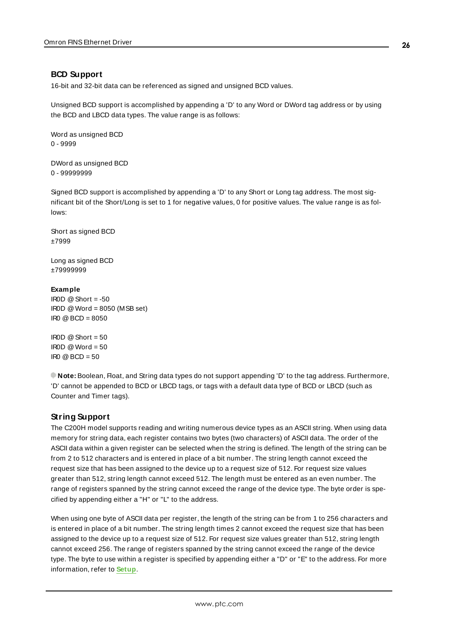## <span id="page-25-0"></span>**BCD Support**

16-bit and 32-bit data can be referenced as signed and unsigned BCD values.

Unsigned BCD support is accomplished by appending a 'D' to any Word or DWord tag address or by using the BCD and LBCD data types. The value range is as follows:

Word as unsigned BCD 0 - 9999

DWord as unsigned BCD 0 - 99999999

Signed BCD support is accomplished by appending a 'D' to any Short or Long tag address. The most significant bit of the Short/Long is set to 1 for negative values, 0 for positive values. The value range is as follows:

Short as signed BCD ±7999

Long as signed BCD ±79999999

#### **Example**

IROD  $@$  Short = -50 IR0D @Word = 8050 (MSB set)  $IRO @ BCD = 8050$ 

 $ROD @ Short = 50$  $\text{IROD} \text{ @Word} = 50$  $IR0 @ BCD = 50$ 

<span id="page-25-1"></span>**Note:** Boolean, Float, and String data types do not support appending 'D' to the tag address. Furthermore, 'D' cannot be appended to BCD or LBCD tags, or tags with a default data type of BCD or LBCD (such as Counter and Timer tags).

## **String Support**

The C200H model supports reading and writing numerous device types as an ASCII string. When using data memory for string data, each register contains two bytes (two characters) of ASCII data. The order of the ASCII data within a given register can be selected when the string is defined. The length of the string can be from 2 to 512 characters and is entered in place of a bit number. The string length cannot exceed the request size that has been assigned to the device up to a request size of 512. For request size values greater than 512, string length cannot exceed 512. The length must be entered as an even number. The range of registers spanned by the string cannot exceed the range of the device type. The byte order is specified by appending either a "H" or "L" to the address.

When using one byte of ASCII data per register, the length of the string can be from 1 to 256 characters and is entered in place of a bit number. The string length times 2 cannot exceed the request size that has been assigned to the device up to a request size of 512. For request size values greater than 512, string length cannot exceed 256. The range of registers spanned by the string cannot exceed the range of the device type. The byte to use within a register is specified by appending either a "D" or "E" to the address. For more information, refer to **[Setup](#page-4-1)**.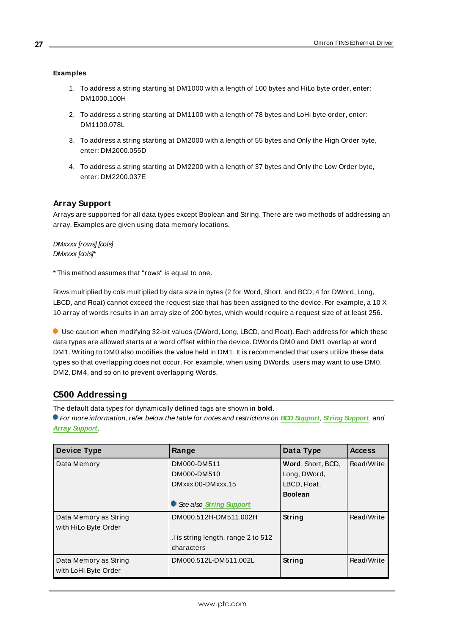## **Examples**

- 1. To address a string starting at DM1000 with a length of 100 bytes and HiLo byte order, enter: DM1000.100H
- 2. To address a string starting at DM1100 with a length of 78 bytes and LoHi byte order, enter: DM1100.078L
- 3. To address a string starting at DM2000 with a length of 55 bytes and Only the High Order byte, enter: DM2000.055D
- 4. To address a string starting at DM2200 with a length of 37 bytes and Only the Low Order byte, enter: DM2200.037E

## <span id="page-26-1"></span>**Array Support**

Arrays are supported for all data types except Boolean and String. There are two methods of addressing an array. Examples are given using data memory locations.

#### DMxxxx [rows] [cols] DMxxxx [cols]\*

\* This method assumes that "rows" is equal to one.

Rows multiplied by cols multiplied by data size in bytes (2 for Word, Short, and BCD; 4 for DWord, Long, LBCD, and Float) cannot exceed the request size that has been assigned to the device. For example, a 10 X 10 array of words results in an array size of 200 bytes, which would require a request size of at least 256.

Use caution when modifying 32-bit values (DWord, Long, LBCD, and Float). Each address for which these data types are allowed starts at a word offset within the device. DWords DM0 and DM1 overlap at word DM1. Writing to DM0 also modifies the value held in DM1. It is recommended that users utilize these data types so that overlapping does not occur. For example, when using DWords, users may want to use DM0, DM2, DM4, and so on to prevent overlapping Words.

## <span id="page-26-0"></span>**C500 Addressing**

The default data types for dynamically defined tags are shown in **bold**.

For more information, refer below the table for notes and restrictions on **BCD [Support](#page-28-0)**, **String [Support](#page-29-0)**, and **Array [Support](#page-30-1)**.

| <b>Device Type</b>    | Range                              | Data Type         | <b>Access</b> |
|-----------------------|------------------------------------|-------------------|---------------|
| Data Memory           | DM000-DM511                        | Word, Short, BCD, | Read/Write    |
|                       | DM000-DM510                        | Long, DWord,      |               |
|                       | DMxxx.00-DMxxx.15                  | LBCD, Float,      |               |
|                       |                                    | <b>Boolean</b>    |               |
|                       | See also String Support            |                   |               |
| Data Memory as String | DM000.512H-DM511.002H              | String            | Read/Write    |
| with HiLo Byte Order  |                                    |                   |               |
|                       | I is string length, range 2 to 512 |                   |               |
|                       | characters                         |                   |               |
| Data Memory as String | DM000.512L-DM511.002L              | String            | Read/Write    |
| with LoHi Byte Order  |                                    |                   |               |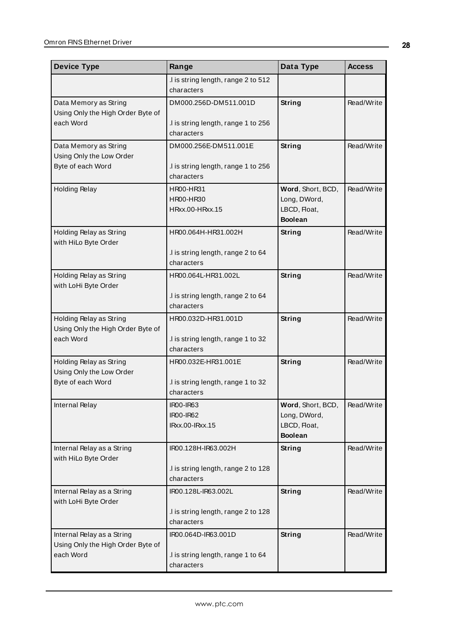| <b>Device Type</b>                                              | Range                                             | Data Type                                                           | <b>Access</b> |
|-----------------------------------------------------------------|---------------------------------------------------|---------------------------------------------------------------------|---------------|
|                                                                 | .I is string length, range 2 to 512<br>characters |                                                                     |               |
| Data Memory as String                                           | DM000.256D-DM511.001D                             | String                                                              | Read/Write    |
| Using Only the High Order Byte of<br>each Word                  | .I is string length, range 1 to 256<br>characters |                                                                     |               |
| Data Memory as String                                           | DM000.256E-DM511.001E                             | <b>String</b>                                                       | Read/Write    |
| Using Only the Low Order<br>Byte of each Word                   | .I is string length, range 1 to 256<br>characters |                                                                     |               |
| <b>Holding Relay</b>                                            | HR00-HR31<br>HR00-HR30<br>HRxx.00-HRxx.15         | Word, Short, BCD,<br>Long, DWord,<br>LBCD, Float,<br><b>Boolean</b> | Read/Write    |
| Holding Relay as String<br>with HiLo Byte Order                 | HR00.064H-HR31.002H                               | String                                                              | Read/Write    |
|                                                                 | .I is string length, range 2 to 64<br>characters  |                                                                     |               |
| Holding Relay as String<br>with LoHi Byte Order                 | HR00.064L-HR31.002L                               | String                                                              | Read/Write    |
|                                                                 | .I is string length, range 2 to 64<br>characters  |                                                                     |               |
| Holding Relay as String<br>Using Only the High Order Byte of    | HR00.032D-HR31.001D                               | <b>String</b>                                                       | Read/Write    |
| each Word                                                       | I is string length, range 1 to 32.<br>characters  |                                                                     |               |
| Holding Relay as String                                         | HR00.032E-HR31.001E                               | <b>String</b>                                                       | Read/Write    |
| Using Only the Low Order<br>Byte of each Word                   | I is string length, range 1 to 32.<br>characters  |                                                                     |               |
| <b>Internal Relay</b>                                           | IR00-IR63<br>IR00-IR62                            | Word, Short, BCD,<br>Long, DWord,                                   | Read/Write    |
|                                                                 | IRxx.00-IRxx.15                                   | LBCD, Float,<br><b>Boolean</b>                                      |               |
| Internal Relay as a String<br>with HiLo Byte Order              | IR00.128H-IR63.002H                               | String                                                              | Read/Write    |
|                                                                 | .I is string length, range 2 to 128<br>characters |                                                                     |               |
| Internal Relay as a String<br>with LoHi Byte Order              | IR00.128L-IR63.002L                               | String                                                              | Read/Write    |
|                                                                 | I is string length, range 2 to 128<br>characters  |                                                                     |               |
| Internal Relay as a String<br>Using Only the High Order Byte of | IR00.064D-IR63.001D                               | <b>String</b>                                                       | Read/Write    |
| each Word                                                       | .I is string length, range 1 to 64<br>characters  |                                                                     |               |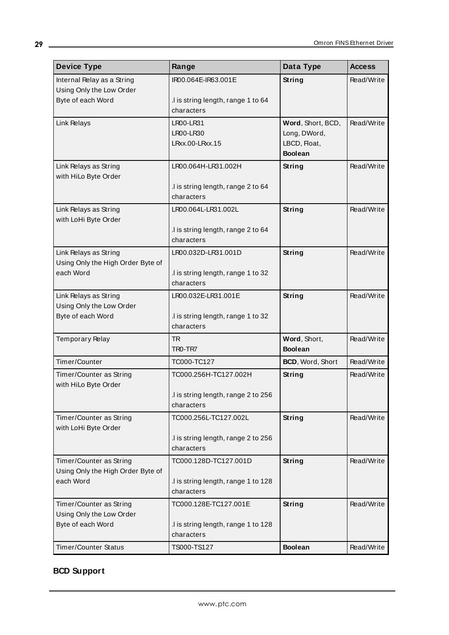| <b>Device Type</b>                            | Range                                            | Data Type                         | <b>Access</b> |
|-----------------------------------------------|--------------------------------------------------|-----------------------------------|---------------|
| Internal Relay as a String                    | IR00.064E-IR63.001E                              | String                            | Read/Write    |
| Using Only the Low Order                      |                                                  |                                   |               |
| Byte of each Word                             | .I is string length, range 1 to 64<br>characters |                                   |               |
|                                               |                                                  |                                   |               |
| Link Relays                                   | LR00-LR31<br>LR00-LR30                           | Word, Short, BCD,<br>Long, DWord, | Read/Write    |
|                                               | LRxx.00-LRxx.15                                  | LBCD, Float,                      |               |
|                                               |                                                  | <b>Boolean</b>                    |               |
| Link Relays as String                         | LR00.064H-LR31.002H                              | <b>String</b>                     | Read/Write    |
| with HiLo Byte Order                          |                                                  |                                   |               |
|                                               | .I is string length, range 2 to 64               |                                   |               |
|                                               | characters                                       |                                   |               |
| Link Relays as String<br>with LoHi Byte Order | LR00.064L-LR31.002L                              | <b>String</b>                     | Read/Write    |
|                                               | .I is string length, range 2 to 64               |                                   |               |
|                                               | characters                                       |                                   |               |
| Link Relays as String                         | LR00.032D-LR31.001D                              | <b>String</b>                     | Read/Write    |
| Using Only the High Order Byte of             |                                                  |                                   |               |
| each Word                                     | I is string length, range 1 to 32.               |                                   |               |
|                                               | characters                                       |                                   |               |
| Link Relays as String                         | LR00.032E-LR31.001E                              | String                            | Read/Write    |
| Using Only the Low Order<br>Byte of each Word | I is string length, range 1 to 32.               |                                   |               |
|                                               | characters                                       |                                   |               |
| Temporary Relay                               | <b>TR</b>                                        | Word, Short,                      | Read/Write    |
|                                               | TRO-TR7                                          | <b>Boolean</b>                    |               |
| Timer/Counter                                 | TC000-TC127                                      | BCD, Word, Short                  | Read/Write    |
| Timer/Counter as String                       | TC000.256H-TC127.002H                            | <b>String</b>                     | Read/Write    |
| with HiLo Byte Order                          |                                                  |                                   |               |
|                                               | I is string length, range 2 to 256<br>characters |                                   |               |
| Timer/Counter as String                       | TC000.256L-TC127.002L                            | String                            | Read/Write    |
| with LoHi Byte Order                          |                                                  |                                   |               |
|                                               | .I is string length, range 2 to 256              |                                   |               |
|                                               | characters                                       |                                   |               |
| Timer/Counter as String                       | TC000.128D-TC127.001D                            | <b>String</b>                     | Read/Write    |
| Using Only the High Order Byte of             |                                                  |                                   |               |
| each Word                                     | I is string length, range 1 to 128<br>characters |                                   |               |
| Timer/Counter as String                       | TC000.128E-TC127.001E                            | String                            | Read/Write    |
| Using Only the Low Order                      |                                                  |                                   |               |
| Byte of each Word                             | I is string length, range 1 to 128               |                                   |               |
|                                               | characters                                       |                                   |               |
| <b>Timer/Counter Status</b>                   | TS000-TS127                                      | <b>Boolean</b>                    | Read/Write    |

# <span id="page-28-0"></span>**BCD Support**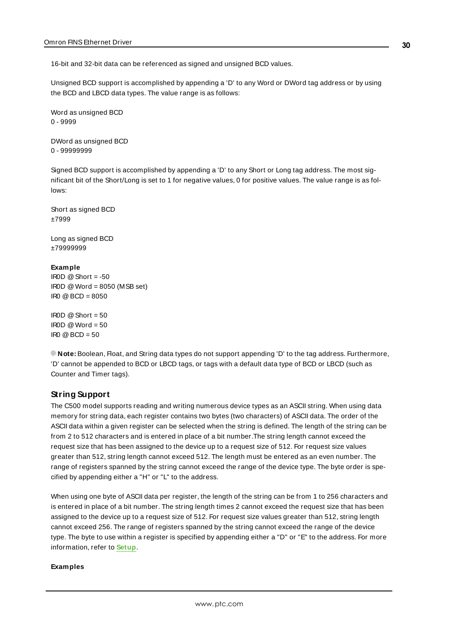16-bit and 32-bit data can be referenced as signed and unsigned BCD values.

Unsigned BCD support is accomplished by appending a 'D' to any Word or DWord tag address or by using the BCD and LBCD data types. The value range is as follows:

Word as unsigned BCD 0 - 9999

DWord as unsigned BCD 0 - 99999999

Signed BCD support is accomplished by appending a 'D' to any Short or Long tag address. The most significant bit of the Short/Long is set to 1 for negative values, 0 for positive values. The value range is as follows:

Short as signed BCD ±7999

Long as signed BCD ±79999999

#### **Example**

 $IROD \ @$  Short = -50 IR0D @Word = 8050 (MSB set) IR0 @BCD = 8050

```
IROD @ Short = 50\text{IROD} \otimes \text{Word} = 50IR0 @ BCD = 50
```
<span id="page-29-0"></span>**Note:** Boolean, Float, and String data types do not support appending 'D' to the tag address. Furthermore, 'D' cannot be appended to BCD or LBCD tags, or tags with a default data type of BCD or LBCD (such as Counter and Timer tags).

## **String Support**

The C500 model supports reading and writing numerous device types as an ASCII string. When using data memory for string data, each register contains two bytes (two characters) of ASCII data. The order of the ASCII data within a given register can be selected when the string is defined. The length of the string can be from 2 to 512 characters and is entered in place of a bit number.The string length cannot exceed the request size that has been assigned to the device up to a request size of 512. For request size values greater than 512, string length cannot exceed 512. The length must be entered as an even number. The range of registers spanned by the string cannot exceed the range of the device type. The byte order is specified by appending either a "H" or "L" to the address.

When using one byte of ASCII data per register, the length of the string can be from 1 to 256 characters and is entered in place of a bit number. The string length times 2 cannot exceed the request size that has been assigned to the device up to a request size of 512. For request size values greater than 512, string length cannot exceed 256. The range of registers spanned by the string cannot exceed the range of the device type. The byte to use within a register is specified by appending either a "D" or "E" to the address. For more information, refer to **[Setup](#page-4-1)**.

#### **Examples**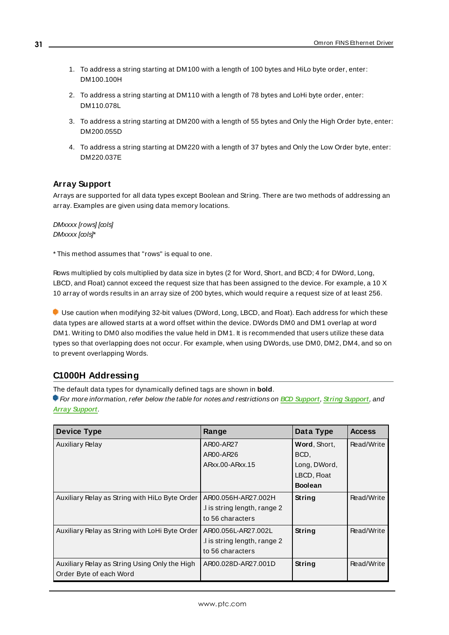- 1. To address a string starting at DM100 with a length of 100 bytes and HiLo byte order, enter: DM100.100H
- 2. To address a string starting at DM110 with a length of 78 bytes and LoHi byte order, enter: DM110.078L
- 3. To address a string starting at DM200 with a length of 55 bytes and Only the High Order byte, enter: DM200.055D
- 4. To address a string starting at DM220 with a length of 37 bytes and Only the Low Order byte, enter: DM220.037E

## <span id="page-30-1"></span>**Array Support**

Arrays are supported for all data types except Boolean and String. There are two methods of addressing an array. Examples are given using data memory locations.

DMxxxx [rows] [cols] DMxxxx [cols]\*

\* This method assumes that "rows" is equal to one.

Rows multiplied by cols multiplied by data size in bytes (2 for Word, Short, and BCD; 4 for DWord, Long, LBCD, and Float) cannot exceed the request size that has been assigned to the device. For example, a 10 X 10 array of words results in an array size of 200 bytes, which would require a request size of at least 256.

Use caution when modifying 32-bit values (DWord, Long, LBCD, and Float). Each address for which these data types are allowed starts at a word offset within the device. DWords DM0 and DM1 overlap at word DM1. Writing to DM0 also modifies the value held in DM1. It is recommended that users utilize these data types so that overlapping does not occur. For example, when using DWords, use DM0, DM2, DM4, and so on to prevent overlapping Words.

## <span id="page-30-0"></span>**C1000H Addressing**

The default data types for dynamically defined tags are shown in **bold**.

For more information, refer below the table for notes and restrictions on **BCD [Support](#page-33-0)**, **String [Support](#page-33-1)**, and **Array [Support](#page-34-1)**.

| <b>Device Type</b>                             | Range                       | Data Type      | <b>Access</b> |
|------------------------------------------------|-----------------------------|----------------|---------------|
| <b>Auxiliary Relay</b>                         | AR00-AR27                   | Word, Short,   | Read/Write    |
|                                                | AR00-AR26                   | BCD,           |               |
|                                                | ARxx.00-ARxx.15             | Long, DWord,   |               |
|                                                |                             | LBCD, Float    |               |
|                                                |                             | <b>Boolean</b> |               |
| Auxiliary Relay as String with HiLo Byte Order | AR00.056H-AR27.002H         | String         | Read/Write    |
|                                                | I is string length, range 2 |                |               |
|                                                | to 56 characters            |                |               |
| Auxiliary Relay as String with LoHi Byte Order | AR00.056L-AR27.002L         | String         | Read/Write    |
|                                                | I is string length, range 2 |                |               |
|                                                | to 56 characters            |                |               |
| Auxiliary Relay as String Using Only the High  | AR00.028D-AR27.001D         | String         | Read/Write    |
| Order Byte of each Word                        |                             |                |               |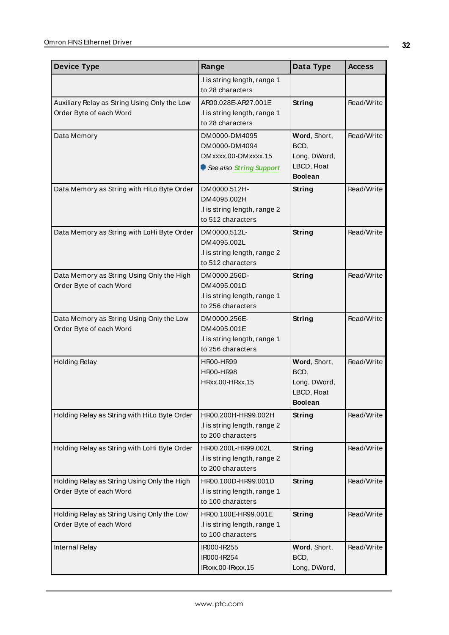| <b>Device Type</b>                                                      | Range                                                                            | Data Type                                                             | <b>Access</b> |
|-------------------------------------------------------------------------|----------------------------------------------------------------------------------|-----------------------------------------------------------------------|---------------|
|                                                                         | .I is string length, range 1<br>to 28 characters                                 |                                                                       |               |
| Auxiliary Relay as String Using Only the Low<br>Order Byte of each Word | AR00.028E-AR27.001E<br>I is string length, range 1<br>to 28 characters           | String                                                                | Read/Write    |
| Data Memory                                                             | DM0000-DM4095<br>DM0000-DM4094<br>DMxxxx.00-DMxxxx.15<br>See also String Support | Word, Short,<br>BCD,<br>Long, DWord,<br>LBCD, Float<br><b>Boolean</b> | Read/Write    |
| Data Memory as String with HiLo Byte Order                              | DM0000.512H-<br>DM4095.002H<br>.I is string length, range 2<br>to 512 characters | <b>String</b>                                                         | Read/Write    |
| Data Memory as String with LoHi Byte Order                              | DM0000.512L-<br>DM4095.002L<br>.I is string length, range 2<br>to 512 characters | <b>String</b>                                                         | Read/Write    |
| Data Memory as String Using Only the High<br>Order Byte of each Word    | DM0000.256D-<br>DM4095.001D<br>.I is string length, range 1<br>to 256 characters | String                                                                | Read/Write    |
| Data Memory as String Using Only the Low<br>Order Byte of each Word     | DM0000.256E-<br>DM4095.001E<br>.I is string length, range 1<br>to 256 characters | <b>String</b>                                                         | Read/Write    |
| <b>Holding Relay</b>                                                    | <b>HR00-HR99</b><br><b>HR00-HR98</b><br>HRxx.00-HRxx.15                          | Word, Short,<br>BCD,<br>Long, DWord,<br>LBCD, Float<br><b>Boolean</b> | Read/Write    |
| Holding Relay as String with HiLo Byte Order                            | HR00.200H-HR99.002H<br>.I is string length, range 2<br>to 200 characters         | <b>String</b>                                                         | Read/Write    |
| Holding Relay as String with LoHi Byte Order                            | HR00.200L-HR99.002L<br>.I is string length, range 2<br>to 200 characters         | <b>String</b>                                                         | Read/Write    |
| Holding Relay as String Using Only the High<br>Order Byte of each Word  | HR00.100D-HR99.001D<br>.I is string length, range 1<br>to 100 characters         | <b>String</b>                                                         | Read/Write    |
| Holding Relay as String Using Only the Low<br>Order Byte of each Word   | HR00.100E-HR99.001E<br>.I is string length, range 1<br>to 100 characters         | <b>String</b>                                                         | Read/Write    |
| <b>Internal Relay</b>                                                   | IR000-IR255<br>IR000-IR254<br>IRxxx.00-IRxxx.15                                  | Word, Short,<br>BCD,<br>Long, DWord,                                  | Read/Write    |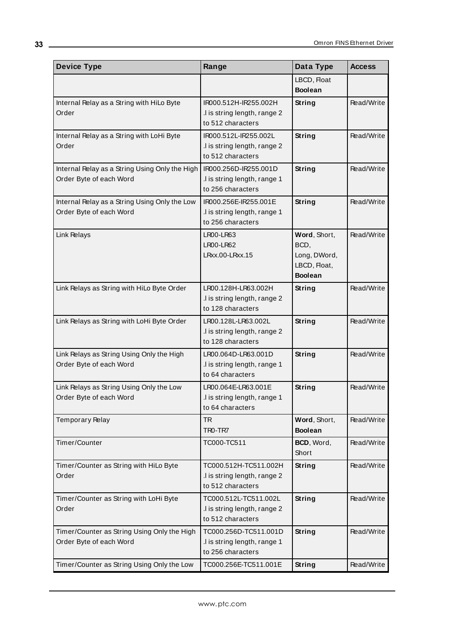| <b>Device Type</b>                                                        | Range                                                                      | Data Type                                                              | <b>Access</b> |
|---------------------------------------------------------------------------|----------------------------------------------------------------------------|------------------------------------------------------------------------|---------------|
|                                                                           |                                                                            | LBCD, Float<br><b>Boolean</b>                                          |               |
| Internal Relay as a String with HiLo Byte<br>Order                        | IR000.512H-IR255.002H<br>.I is string length, range 2<br>to 512 characters | String                                                                 | Read/Write    |
| Internal Relay as a String with LoHi Byte<br>Order                        | IR000.512L-IR255.002L<br>.I is string length, range 2<br>to 512 characters | <b>String</b>                                                          | Read/Write    |
| Internal Relay as a String Using Only the High<br>Order Byte of each Word | IR000.256D-IR255.001D<br>.I is string length, range 1<br>to 256 characters | <b>String</b>                                                          | Read/Write    |
| Internal Relay as a String Using Only the Low<br>Order Byte of each Word  | IR000.256E-IR255.001E<br>.I is string length, range 1<br>to 256 characters | String                                                                 | Read/Write    |
| Link Relays                                                               | <b>LR00-LR63</b><br><b>LR00-LR62</b><br>LRxx.00-LRxx.15                    | Word, Short,<br>BCD,<br>Long, DWord,<br>LBCD, Float,<br><b>Boolean</b> | Read/Write    |
| Link Relays as String with HiLo Byte Order                                | LR00.128H-LR63.002H<br>.I is string length, range 2<br>to 128 characters   | String                                                                 | Read/Write    |
| Link Relays as String with LoHi Byte Order                                | LR00.128L-LR63.002L<br>.I is string length, range 2<br>to 128 characters   | <b>String</b>                                                          | Read/Write    |
| Link Relays as String Using Only the High<br>Order Byte of each Word      | LR00.064D-LR63.001D<br>I is string length, range 1<br>to 64 characters     | <b>String</b>                                                          | Read/Write    |
| Link Relays as String Using Only the Low<br>Order Byte of each Word       | LR00.064E-LR63.001E<br>I is string length, range 1<br>to 64 characters     | String                                                                 | Read/Write    |
| Temporary Relay                                                           | <b>TR</b><br>TRO-TR7                                                       | Word, Short,<br><b>Boolean</b>                                         | Read/Write    |
| Timer/Counter                                                             | TC000-TC511                                                                | BCD, Word,<br>Short                                                    | Read/Write    |
| Timer/Counter as String with HiLo Byte<br>Order                           | TC000.512H-TC511.002H<br>.I is string length, range 2<br>to 512 characters | String                                                                 | Read/Write    |
| Timer/Counter as String with LoHi Byte<br>Order                           | TC000.512L-TC511.002L<br>.I is string length, range 2<br>to 512 characters | String                                                                 | Read/Write    |
| Timer/Counter as String Using Only the High<br>Order Byte of each Word    | TC000.256D-TC511.001D<br>.I is string length, range 1<br>to 256 characters | <b>String</b>                                                          | Read/Write    |
| Timer/Counter as String Using Only the Low                                | TC000.256E-TC511.001E                                                      | String                                                                 | Read/Write    |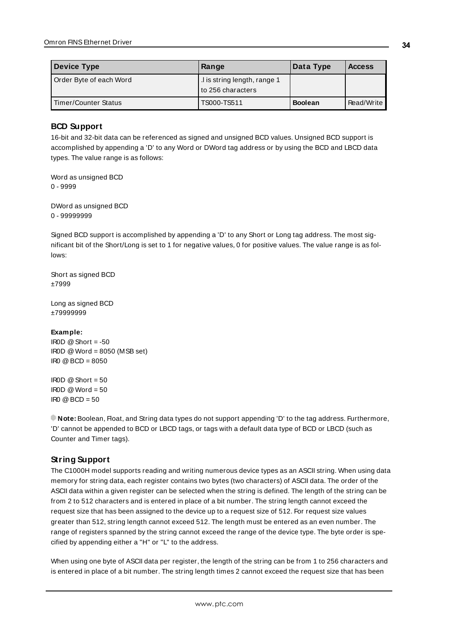| Device Type             | Range                                              | Data Type      | <b>Access</b> |
|-------------------------|----------------------------------------------------|----------------|---------------|
| Order Byte of each Word | I is string length, range 1<br>l to 256 characters |                |               |
| Timer/Counter Status    | TS000-TS511                                        | <b>Boolean</b> | Read/Write    |

## <span id="page-33-0"></span>**BCD Support**

16-bit and 32-bit data can be referenced as signed and unsigned BCD values. Unsigned BCD support is accomplished by appending a 'D' to any Word or DWord tag address or by using the BCD and LBCD data types. The value range is as follows:

Word as unsigned BCD 0 - 9999

DWord as unsigned BCD 0 - 99999999

Signed BCD support is accomplished by appending a 'D' to any Short or Long tag address. The most significant bit of the Short/Long is set to 1 for negative values, 0 for positive values. The value range is as follows:

Short as signed BCD ±7999

Long as signed BCD ±79999999

#### **Example:**

 $IROD \t@Short = -50$ IR0D @Word = 8050 (MSB set) IR0 @BCD = 8050

 $IBOD @ Short = 50$  $IROD @Word = 50$  $\text{IRO} \ @ \text{BCD} = 50$ 

<span id="page-33-1"></span>**Note:** Boolean, Float, and String data types do not support appending 'D' to the tag address. Furthermore, 'D' cannot be appended to BCD or LBCD tags, or tags with a default data type of BCD or LBCD (such as Counter and Timer tags).

## **String Support**

The C1000H model supports reading and writing numerous device types as an ASCII string. When using data memory for string data, each register contains two bytes (two characters) of ASCII data. The order of the ASCII data within a given register can be selected when the string is defined. The length of the string can be from 2 to 512 characters and is entered in place of a bit number. The string length cannot exceed the request size that has been assigned to the device up to a request size of 512. For request size values greater than 512, string length cannot exceed 512. The length must be entered as an even number. The range of registers spanned by the string cannot exceed the range of the device type. The byte order is specified by appending either a "H" or "L" to the address.

When using one byte of ASCII data per register, the length of the string can be from 1 to 256 characters and is entered in place of a bit number. The string length times 2 cannot exceed the request size that has been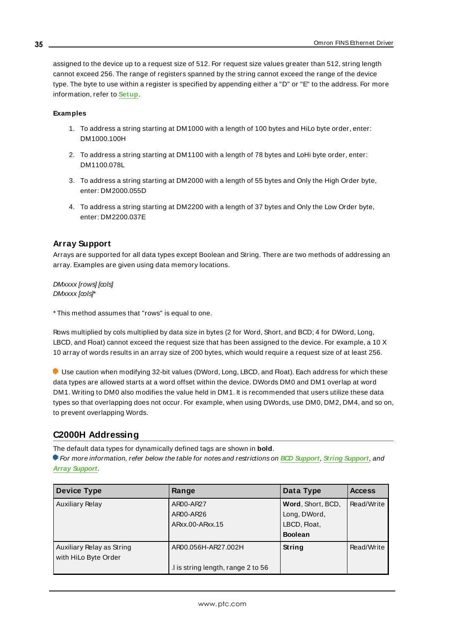assigned to the device up to a request size of 512. For request size values greater than 512, string length cannot exceed 256. The range of registers spanned by the string cannot exceed the range of the device type. The byte to use within a register is specified by appending either a "D" or "E" to the address. For more information, refer to **[Setup](#page-4-1)**.

#### **Examples**

- 1. To address a string starting at DM1000 with a length of 100 bytes and HiLo byte order, enter: DM1000.100H
- 2. To address a string starting at DM1100 with a length of 78 bytes and LoHi byte order, enter: DM1100.078L
- 3. To address a string starting at DM2000 with a length of 55 bytes and Only the High Order byte, enter: DM2000.055D
- 4. To address a string starting at DM2200 with a length of 37 bytes and Only the Low Order byte, enter: DM2200.037E

## <span id="page-34-1"></span>**Array Support**

Arrays are supported for all data types except Boolean and String. There are two methods of addressing an array. Examples are given using data memory locations.

DMxxxx [rows] [cols] DMxxxx [cols]\*

\* This method assumes that "rows" is equal to one.

Rows multiplied by cols multiplied by data size in bytes (2 for Word, Short, and BCD; 4 for DWord, Long, LBCD, and Float) cannot exceed the request size that has been assigned to the device. For example, a 10 X 10 array of words results in an array size of 200 bytes, which would require a request size of at least 256.

Use caution when modifying 32-bit values (DWord, Long, LBCD, and Float). Each address for which these data types are allowed starts at a word offset within the device. DWords DM0 and DM1 overlap at word DM1. Writing to DM0 also modifies the value held in DM1. It is recommended that users utilize these data types so that overlapping does not occur. For example, when using DWords, use DM0, DM2, DM4, and so on, to prevent overlapping Words.

## <span id="page-34-0"></span>**C2000H Addressing**

The default data types for dynamically defined tags are shown in **bold**.

For more information, refer below the table for notes and restrictions on **BCD [Support](#page-37-0)**, **String [Support](#page-38-0)**, and **Array [Support](#page-38-1)**.

| <b>Device Type</b>                                | Range                                                     | Data Type                                                           | <b>Access</b> |
|---------------------------------------------------|-----------------------------------------------------------|---------------------------------------------------------------------|---------------|
| <b>Auxiliary Relay</b>                            | AR00-AR27<br>AR00-AR26<br>ARxx.00-ARxx.15                 | Word, Short, BCD,<br>Long, DWord,<br>LBCD, Float,<br><b>Boolean</b> | Read/Write    |
| Auxiliary Relay as String<br>with HiLo Byte Order | AR00.056H-AR27.002H<br>.I is string length, range 2 to 56 | String                                                              | Read/Write    |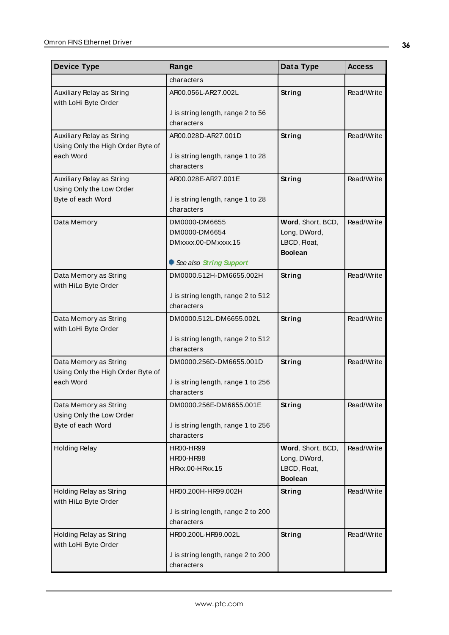| <b>Device Type</b>                                             | Range                                             | Data Type                         | <b>Access</b> |
|----------------------------------------------------------------|---------------------------------------------------|-----------------------------------|---------------|
|                                                                | characters                                        |                                   |               |
| Auxiliary Relay as String<br>with LoHi Byte Order              | AR00.056L-AR27.002L                               | String                            | Read/Write    |
|                                                                | .I is string length, range 2 to 56<br>characters  |                                   |               |
| Auxiliary Relay as String<br>Using Only the High Order Byte of | AR00.028D-AR27.001D                               | <b>String</b>                     | Read/Write    |
| each Word                                                      | I is string length, range 1 to 28<br>characters   |                                   |               |
| Auxiliary Relay as String<br>Using Only the Low Order          | AR00.028E-AR27.001E                               | String                            | Read/Write    |
| Byte of each Word                                              | I is string length, range 1 to 28<br>characters   |                                   |               |
| Data Memory                                                    | DM0000-DM6655<br>DM0000-DM6654                    | Word, Short, BCD,<br>Long, DWord, | Read/Write    |
|                                                                | DMxxxx.00-DMxxxx.15                               | LBCD, Float,<br><b>Boolean</b>    |               |
|                                                                | See also String Support                           |                                   |               |
| Data Memory as String<br>with HiLo Byte Order                  | DM0000.512H-DM6655.002H                           | String                            | Read/Write    |
|                                                                | .I is string length, range 2 to 512<br>characters |                                   |               |
| Data Memory as String<br>with LoHi Byte Order                  | DM0000.512L-DM6655.002L                           | String                            | Read/Write    |
|                                                                | .I is string length, range 2 to 512<br>characters |                                   |               |
| Data Memory as String<br>Using Only the High Order Byte of     | DM0000.256D-DM6655.001D                           | <b>String</b>                     | Read/Write    |
| each Word                                                      | .I is string length, range 1 to 256<br>characters |                                   |               |
| Data Memory as String<br>Using Only the Low Order              | DM0000.256E-DM6655.001E                           | <b>String</b>                     | Read/Write    |
| Byte of each Word                                              | .I is string length, range 1 to 256<br>characters |                                   |               |
| <b>Holding Relay</b>                                           | <b>HR00-HR99</b><br><b>HR00-HR98</b>              | Word, Short, BCD,<br>Long, DWord, | Read/Write    |
|                                                                | HRxx.00-HRxx.15                                   | LBCD, Float,<br><b>Boolean</b>    |               |
| Holding Relay as String<br>with HiLo Byte Order                | HR00.200H-HR99.002H                               | <b>String</b>                     | Read/Write    |
|                                                                | .I is string length, range 2 to 200<br>characters |                                   |               |
| Holding Relay as String<br>with LoHi Byte Order                | HR00.200L-HR99.002L                               | <b>String</b>                     | Read/Write    |
|                                                                | .I is string length, range 2 to 200<br>characters |                                   |               |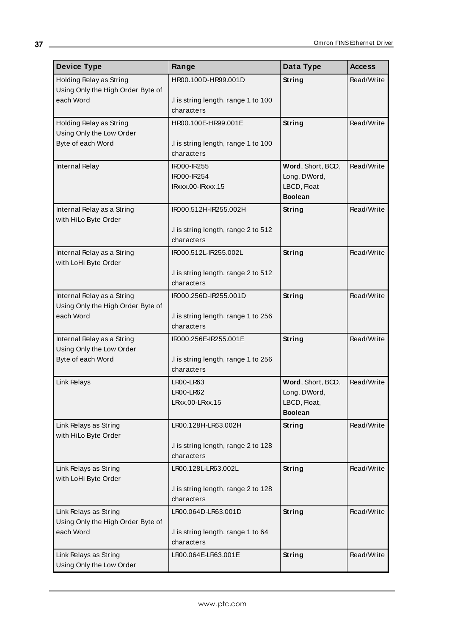| <b>Device Type</b>                                              | Range                                            | Data Type                         | <b>Access</b> |
|-----------------------------------------------------------------|--------------------------------------------------|-----------------------------------|---------------|
| Holding Relay as String                                         | HR00.100D-HR99.001D                              | <b>String</b>                     | Read/Write    |
| Using Only the High Order Byte of                               |                                                  |                                   |               |
| each Word                                                       | I is string length, range 1 to 100<br>characters |                                   |               |
| Holding Relay as String                                         | HR00.100E-HR99.001E                              | <b>String</b>                     | Read/Write    |
| Using Only the Low Order                                        |                                                  |                                   |               |
| Byte of each Word                                               | I is string length, range 1 to 100               |                                   |               |
|                                                                 | characters                                       |                                   |               |
| Internal Relay                                                  | IR000-IR255                                      | Word, Short, BCD,                 | Read/Write    |
|                                                                 | IR000-IR254                                      | Long, DWord,                      |               |
|                                                                 | IRxxx.00-IRxxx.15                                | LBCD, Float                       |               |
|                                                                 |                                                  | <b>Boolean</b>                    |               |
| Internal Relay as a String<br>with HiLo Byte Order              | IR000.512H-IR255.002H                            | <b>String</b>                     | Read/Write    |
|                                                                 | .I is string length, range 2 to 512              |                                   |               |
|                                                                 | characters                                       |                                   |               |
| Internal Relay as a String                                      | IR000.512L-IR255.002L                            | <b>String</b>                     | Read/Write    |
| with LoHi Byte Order                                            |                                                  |                                   |               |
|                                                                 | .I is string length, range 2 to 512              |                                   |               |
|                                                                 | characters                                       |                                   |               |
| Internal Relay as a String<br>Using Only the High Order Byte of | IR000.256D-IR255.001D                            | <b>String</b>                     | Read/Write    |
| each Word                                                       | .I is string length, range 1 to 256              |                                   |               |
|                                                                 | characters                                       |                                   |               |
| Internal Relay as a String                                      | IR000.256E-IR255.001E                            | <b>String</b>                     | Read/Write    |
| Using Only the Low Order                                        |                                                  |                                   |               |
| Byte of each Word                                               | .I is string length, range 1 to 256              |                                   |               |
|                                                                 | characters                                       |                                   |               |
| Link Relays                                                     | <b>LR00-LR63</b><br><b>LR00-LR62</b>             | Word, Short, BCD,<br>Long, DWord, | Read/Write    |
|                                                                 | LRxx.00-LRxx.15                                  | LBCD, Float,                      |               |
|                                                                 |                                                  | <b>Boolean</b>                    |               |
| Link Relays as String                                           | LR00.128H-LR63.002H                              | <b>String</b>                     | Read/Write    |
| with HiLo Byte Order                                            |                                                  |                                   |               |
|                                                                 | I is string length, range 2 to 128               |                                   |               |
|                                                                 | characters                                       |                                   |               |
| Link Relays as String<br>with LoHi Byte Order                   | LR00.128L-LR63.002L                              | <b>String</b>                     | Read/Write    |
|                                                                 | I is string length, range 2 to 128               |                                   |               |
|                                                                 | characters                                       |                                   |               |
| Link Relays as String                                           | LR00.064D-LR63.001D                              | <b>String</b>                     | Read/Write    |
| Using Only the High Order Byte of                               |                                                  |                                   |               |
| each Word                                                       | .I is string length, range 1 to 64               |                                   |               |
|                                                                 | characters                                       |                                   |               |
| Link Relays as String<br>Using Only the Low Order               | LR00.064E-LR63.001E                              | <b>String</b>                     | Read/Write    |
|                                                                 |                                                  |                                   |               |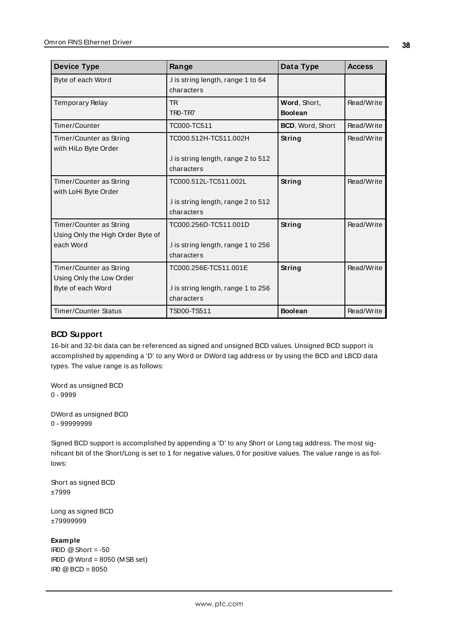| <b>Device Type</b>                                           | Range                                            | Data Type                      | <b>Access</b> |
|--------------------------------------------------------------|--------------------------------------------------|--------------------------------|---------------|
| Byte of each Word                                            | I is string length, range 1 to 64<br>characters  |                                |               |
| Temporary Relay                                              | TR.<br>TRO-TR7                                   | Word, Short,<br><b>Boolean</b> | Read/Write    |
| Timer/Counter                                                | TC000-TC511                                      | <b>BCD, Word, Short</b>        | Read/Write    |
| Timer/Counter as String<br>with HiLo Byte Order              | TC000.512H-TC511.002H                            | String                         | Read/Write    |
|                                                              | I is string length, range 2 to 512<br>characters |                                |               |
| Timer/Counter as String<br>with LoHi Byte Order              | TC000.512L-TC511.002L                            | String                         | Read/Write    |
|                                                              | I is string length, range 2 to 512<br>characters |                                |               |
| Timer/Counter as String<br>Using Only the High Order Byte of | TC000.256D-TC511.001D                            | String                         | Read/Write    |
| each Word                                                    | I is string length, range 1 to 256<br>characters |                                |               |
| Timer/Counter as String                                      | TC000.256E-TC511.001E                            | String                         | Read/Write    |
| Using Only the Low Order<br>Byte of each Word                | I is string length, range 1 to 256<br>characters |                                |               |
| <b>Timer/Counter Status</b>                                  | TS000-TS511                                      | <b>Boolean</b>                 | Read/Write    |

## **BCD Support**

16-bit and 32-bit data can be referenced as signed and unsigned BCD values. Unsigned BCD support is accomplished by appending a 'D' to any Word or DWord tag address or by using the BCD and LBCD data types. The value range is as follows:

Word as unsigned BCD 0 - 9999

DWord as unsigned BCD 0 - 99999999

Signed BCD support is accomplished by appending a 'D' to any Short or Long tag address. The most significant bit of the Short/Long is set to 1 for negative values, 0 for positive values. The value range is as follows:

Short as signed BCD ±7999

Long as signed BCD ±79999999

## **Example**

IROD  $@$  Short = -50 IR0D @Word = 8050 (MSB set) IR0 @BCD = 8050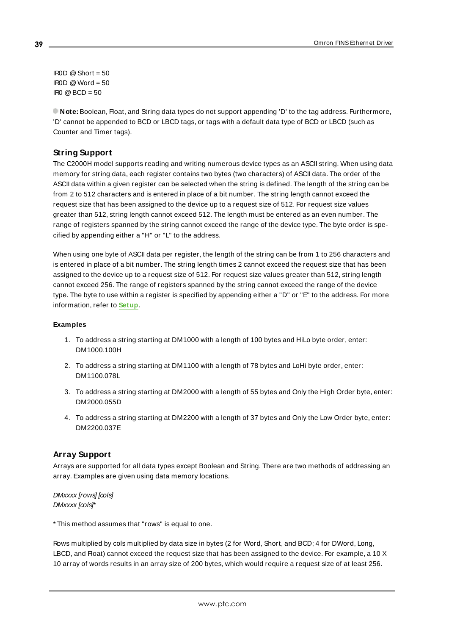IROD  $@$  Short = 50  $IROD @Word = 50$  $\text{IRO} \textcircled{B} \text{BCD} = 50$ 

**Note:** Boolean, Float, and String data types do not support appending 'D' to the tag address. Furthermore, 'D' cannot be appended to BCD or LBCD tags, or tags with a default data type of BCD or LBCD (such as Counter and Timer tags).

# **String Support**

The C2000H model supports reading and writing numerous device types as an ASCII string. When using data memory for string data, each register contains two bytes (two characters) of ASCII data. The order of the ASCII data within a given register can be selected when the string is defined. The length of the string can be from 2 to 512 characters and is entered in place of a bit number. The string length cannot exceed the request size that has been assigned to the device up to a request size of 512. For request size values greater than 512, string length cannot exceed 512. The length must be entered as an even number. The range of registers spanned by the string cannot exceed the range of the device type. The byte order is specified by appending either a "H" or "L" to the address.

When using one byte of ASCII data per register, the length of the string can be from 1 to 256 characters and is entered in place of a bit number. The string length times 2 cannot exceed the request size that has been assigned to the device up to a request size of 512. For request size values greater than 512, string length cannot exceed 256. The range of registers spanned by the string cannot exceed the range of the device type. The byte to use within a register is specified by appending either a "D" or "E" to the address. For more information, refer to **[Setup](#page-4-0)**.

## **Examples**

- 1. To address a string starting at DM1000 with a length of 100 bytes and HiLo byte order, enter: DM1000.100H
- 2. To address a string starting at DM1100 with a length of 78 bytes and LoHi byte order, enter: DM1100.078L
- 3. To address a string starting at DM2000 with a length of 55 bytes and Only the High Order byte, enter: DM2000.055D
- 4. To address a string starting at DM2200 with a length of 37 bytes and Only the Low Order byte, enter: DM2200.037E

## **Array Support**

Arrays are supported for all data types except Boolean and String. There are two methods of addressing an array. Examples are given using data memory locations.

#### DMxxxx [rows] [cols] DMxxxx [cols]\*

\* This method assumes that "rows" is equal to one.

Rows multiplied by cols multiplied by data size in bytes (2 for Word, Short, and BCD; 4 for DWord, Long, LBCD, and Float) cannot exceed the request size that has been assigned to the device. For example, a 10 X 10 array of words results in an array size of 200 bytes, which would require a request size of at least 256.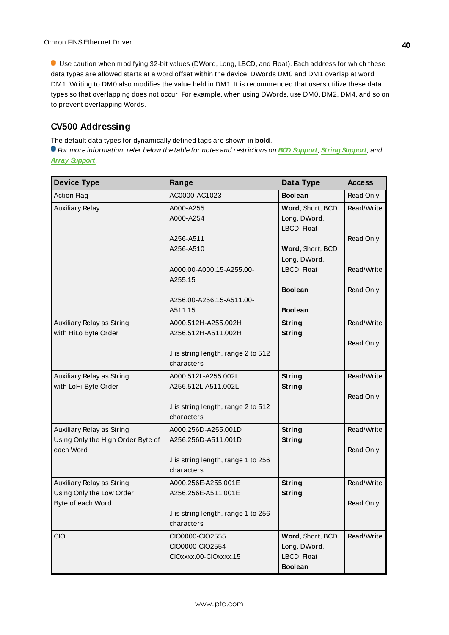Use caution when modifying 32-bit values (DWord, Long, LBCD, and Float). Each address for which these data types are allowed starts at a word offset within the device. DWords DM0 and DM1 overlap at word DM1. Writing to DM0 also modifies the value held in DM1. It is recommended that users utilize these data types so that overlapping does not occur. For example, when using DWords, use DM0, DM2, DM4, and so on to prevent overlapping Words.

# **CV500 Addressing**

The default data types for dynamically defined tags are shown in **bold**.

| <b>Device Type</b>                | Range                                             | Data Type                        | <b>Access</b> |
|-----------------------------------|---------------------------------------------------|----------------------------------|---------------|
| <b>Action Flag</b>                | AC0000-AC1023                                     | <b>Boolean</b>                   | Read Only     |
| <b>Auxiliary Relay</b>            | A000-A255<br>A000-A254                            | Word, Short, BCD<br>Long, DWord, | Read/Write    |
|                                   |                                                   | LBCD, Float                      |               |
|                                   | A256-A511                                         |                                  | Read Only     |
|                                   | A256-A510                                         | Word, Short, BCD                 |               |
|                                   |                                                   | Long, DWord,                     |               |
|                                   | A000.00-A000.15-A255.00-<br>A255.15               | LBCD, Float                      | Read/Write    |
|                                   |                                                   | <b>Boolean</b>                   | Read Only     |
|                                   | A256.00-A256.15-A511.00-                          |                                  |               |
|                                   | A511.15                                           | <b>Boolean</b>                   |               |
| Auxiliary Relay as String         | A000.512H-A255.002H                               | String                           | Read/Write    |
| with HiLo Byte Order              | A256.512H-A511.002H                               | <b>String</b>                    |               |
|                                   |                                                   |                                  | Read Only     |
|                                   | .I is string length, range 2 to 512<br>characters |                                  |               |
| Auxiliary Relay as String         | A000.512L-A255.002L                               | <b>String</b>                    | Read/Write    |
| with LoHi Byte Order              | A256.512L-A511.002L                               | <b>String</b>                    |               |
|                                   |                                                   |                                  | Read Only     |
|                                   | .I is string length, range 2 to 512               |                                  |               |
|                                   | characters                                        |                                  |               |
| Auxiliary Relay as String         | A000.256D-A255.001D                               | <b>String</b>                    | Read/Write    |
| Using Only the High Order Byte of | A256.256D-A511.001D                               | <b>String</b>                    |               |
| each Word                         | .I is string length, range 1 to 256               |                                  | Read Only     |
|                                   | characters                                        |                                  |               |
| Auxiliary Relay as String         | A000.256E-A255.001E                               | <b>String</b>                    | Read/Write    |
| Using Only the Low Order          | A256.256E-A511.001E                               | <b>String</b>                    |               |
| Byte of each Word                 |                                                   |                                  | Read Only     |
|                                   | .I is string length, range 1 to 256               |                                  |               |
|                                   | characters                                        |                                  |               |
| <b>CIO</b>                        | CIO0000-CIO2555                                   | Word, Short, BCD                 | Read/Write    |
|                                   | CIO0000-CIO2554<br>CIOxxxx.00-CIOxxxx.15          | Long, DWord,<br>LBCD, Float      |               |
|                                   |                                                   | <b>Boolean</b>                   |               |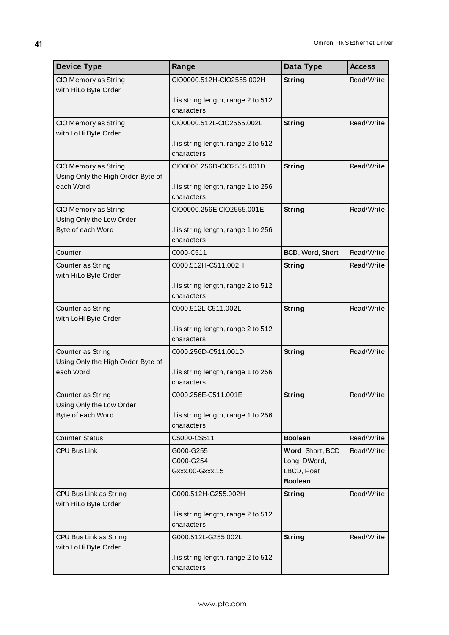| <b>Device Type</b>                             | Range                                             | Data Type        | <b>Access</b> |
|------------------------------------------------|---------------------------------------------------|------------------|---------------|
| CIO Memory as String                           | CIO0000.512H-CIO2555.002H                         | String           | Read/Write    |
| with HiLo Byte Order                           |                                                   |                  |               |
|                                                | I is string length, range 2 to 512<br>characters  |                  |               |
| CIO Memory as String                           | CIO0000.512L-CIO2555.002L                         | String           | Read/Write    |
| with LoHi Byte Order                           |                                                   |                  |               |
|                                                | I is string length, range 2 to 512                |                  |               |
|                                                | characters                                        |                  |               |
| CIO Memory as String                           | CIO0000.256D-CIO2555.001D                         | String           | Read/Write    |
| Using Only the High Order Byte of<br>each Word | .I is string length, range 1 to 256               |                  |               |
|                                                | characters                                        |                  |               |
| CIO Memory as String                           | CIO0000.256E-CIO2555.001E                         | String           | Read/Write    |
| Using Only the Low Order                       |                                                   |                  |               |
| Byte of each Word                              | .I is string length, range 1 to 256               |                  |               |
|                                                | characters                                        |                  |               |
| Counter                                        | C000-C511                                         | BCD, Word, Short | Read/Write    |
| Counter as String<br>with HiLo Byte Order      | C000.512H-C511.002H                               | String           | Read/Write    |
|                                                | .I is string length, range 2 to 512               |                  |               |
|                                                | characters                                        |                  |               |
| Counter as String                              | C000.512L-C511.002L                               | String           | Read/Write    |
| with LoHi Byte Order                           |                                                   |                  |               |
|                                                | .I is string length, range 2 to 512<br>characters |                  |               |
| Counter as String                              | C000.256D-C511.001D                               | String           | Read/Write    |
| Using Only the High Order Byte of              |                                                   |                  |               |
| each Word                                      | .I is string length, range 1 to 256               |                  |               |
|                                                | characters                                        |                  |               |
| Counter as String                              | C000.256E-C511.001E                               | String           | Read/Write    |
| Using Only the Low Order<br>Byte of each Word  |                                                   |                  |               |
|                                                | .I is string length, range 1 to 256<br>characters |                  |               |
| <b>Counter Status</b>                          | CS000-CS511                                       | <b>Boolean</b>   | Read/Write    |
| CPU Bus Link                                   | G000-G255                                         | Word, Short, BCD | Read/Write    |
|                                                | G000-G254                                         | Long, DWord,     |               |
|                                                | Gxxx.00-Gxxx.15                                   | LBCD, Float      |               |
|                                                |                                                   | <b>Boolean</b>   |               |
| CPU Bus Link as String                         | G000.512H-G255.002H                               | String           | Read/Write    |
| with HiLo Byte Order                           | .I is string length, range 2 to 512               |                  |               |
|                                                | characters                                        |                  |               |
| CPU Bus Link as String                         | G000.512L-G255.002L                               | <b>String</b>    | Read/Write    |
| with LoHi Byte Order                           |                                                   |                  |               |
|                                                | .I is string length, range 2 to 512               |                  |               |
|                                                | characters                                        |                  |               |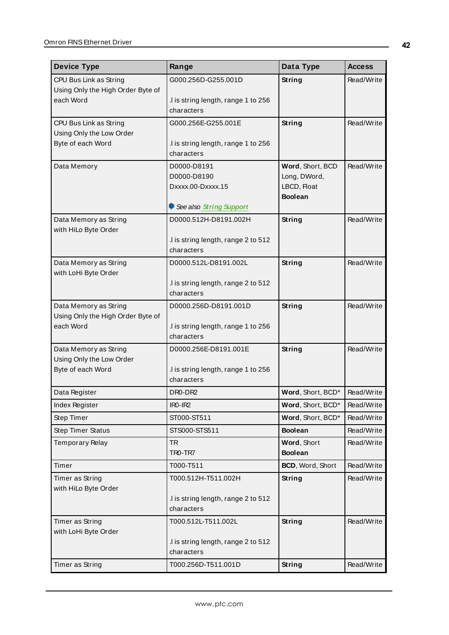| <b>Device Type</b>                                | Range                                             | Data Type         | <b>Access</b> |
|---------------------------------------------------|---------------------------------------------------|-------------------|---------------|
| CPU Bus Link as String                            | G000.256D-G255.001D                               | <b>String</b>     | Read/Write    |
| Using Only the High Order Byte of                 |                                                   |                   |               |
| each Word                                         | I is string length, range 1 to 256                |                   |               |
|                                                   | characters                                        |                   |               |
| CPU Bus Link as String                            | G000.256E-G255.001E                               | String            | Read/Write    |
| Using Only the Low Order<br>Byte of each Word     | .I is string length, range 1 to 256               |                   |               |
|                                                   | characters                                        |                   |               |
| Data Memory                                       | D0000-D8191                                       | Word, Short, BCD  | Read/Write    |
|                                                   | D0000-D8190                                       | Long, DWord,      |               |
|                                                   | Dxxxx.00-Dxxxx.15                                 | LBCD, Float       |               |
|                                                   |                                                   | <b>Boolean</b>    |               |
|                                                   | See also String Support                           |                   |               |
| Data Memory as String                             | D0000.512H-D8191.002H                             | <b>String</b>     | Read/Write    |
| with HiLo Byte Order                              | .I is string length, range 2 to 512               |                   |               |
|                                                   | characters                                        |                   |               |
| Data Memory as String                             | D0000.512L-D8191.002L                             | String            | Read/Write    |
| with LoHi Byte Order                              |                                                   |                   |               |
|                                                   | .I is string length, range 2 to 512               |                   |               |
|                                                   | characters                                        |                   |               |
| Data Memory as String                             | D0000.256D-D8191.001D                             | String            | Read/Write    |
| Using Only the High Order Byte of                 |                                                   |                   |               |
| each Word                                         | .I is string length, range 1 to 256<br>characters |                   |               |
|                                                   |                                                   |                   |               |
| Data Memory as String<br>Using Only the Low Order | D0000.256E-D8191.001E                             | String            | Read/Write    |
| Byte of each Word                                 | .I is string length, range 1 to 256               |                   |               |
|                                                   | characters                                        |                   |               |
| Data Register                                     | DR0-DR2                                           | Word, Short, BCD* | Read/Write    |
| Index Register                                    | IR <sub>0</sub> -IR <sub>2</sub>                  | Word, Short, BCD* | Read/Write    |
| Step Timer                                        | ST000-ST511                                       | Word, Short, BCD* | Read/Write    |
| <b>Step Timer Status</b>                          | STS000-STS511                                     | <b>Boolean</b>    | Read/Write    |
| <b>Temporary Relay</b>                            | <b>TR</b>                                         | Word, Short       | Read/Write    |
|                                                   | TRO-TR7                                           | <b>Boolean</b>    |               |
| Timer                                             | T000-T511                                         | BCD, Word, Short  | Read/Write    |
| Timer as String                                   | T000.512H-T511.002H                               | <b>String</b>     | Read/Write    |
| with HiLo Byte Order                              |                                                   |                   |               |
|                                                   | I is string length, range 2 to 512                |                   |               |
|                                                   | characters                                        |                   |               |
| Timer as String<br>with LoHi Byte Order           | T000.512L-T511.002L                               | <b>String</b>     | Read/Write    |
|                                                   | I is string length, range 2 to 512                |                   |               |
|                                                   | characters                                        |                   |               |
| Timer as String                                   | T000.256D-T511.001D                               | <b>String</b>     | Read/Write    |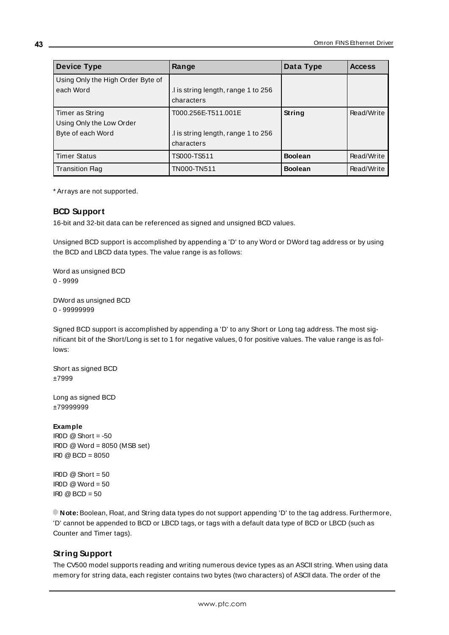| <b>Device Type</b>                | Range                              | Data Type      | <b>Access</b> |
|-----------------------------------|------------------------------------|----------------|---------------|
| Using Only the High Order Byte of |                                    |                |               |
| each Word                         | I is string length, range 1 to 256 |                |               |
|                                   | characters                         |                |               |
| Timer as String                   | T000.256E-T511.001E                | String         | Read/Write    |
| Using Only the Low Order          |                                    |                |               |
| Byte of each Word                 | I is string length, range 1 to 256 |                |               |
|                                   | characters                         |                |               |
| <b>Timer Status</b>               | TS000-TS511                        | <b>Boolean</b> | Read/Write    |
| <b>Transition Flag</b>            | TN000-TN511                        | <b>Boolean</b> | Read/Write    |

<span id="page-42-0"></span>\* Arrays are not supported.

## **BCD Support**

16-bit and 32-bit data can be referenced as signed and unsigned BCD values.

Unsigned BCD support is accomplished by appending a 'D' to any Word or DWord tag address or by using the BCD and LBCD data types. The value range is as follows:

Word as unsigned BCD 0 - 9999

DWord as unsigned BCD 0 - 99999999

Signed BCD support is accomplished by appending a 'D' to any Short or Long tag address. The most significant bit of the Short/Long is set to 1 for negative values, 0 for positive values. The value range is as follows:

Short as signed BCD ±7999

Long as signed BCD ±79999999

#### **Example**

IROD  $@$  Short = -50 IR0D @Word = 8050 (MSB set) IR0 @BCD = 8050

 $\text{I} \text{ROD} \text{ @ Short} = 50$  $IROD @Word = 50$ IR0 @BCD = 50

<span id="page-42-1"></span>**Note:** Boolean, Float, and String data types do not support appending 'D' to the tag address. Furthermore, 'D' cannot be appended to BCD or LBCD tags, or tags with a default data type of BCD or LBCD (such as Counter and Timer tags).

## **String Support**

The CV500 model supports reading and writing numerous device types as an ASCII string. When using data memory for string data, each register contains two bytes (two characters) of ASCII data. The order of the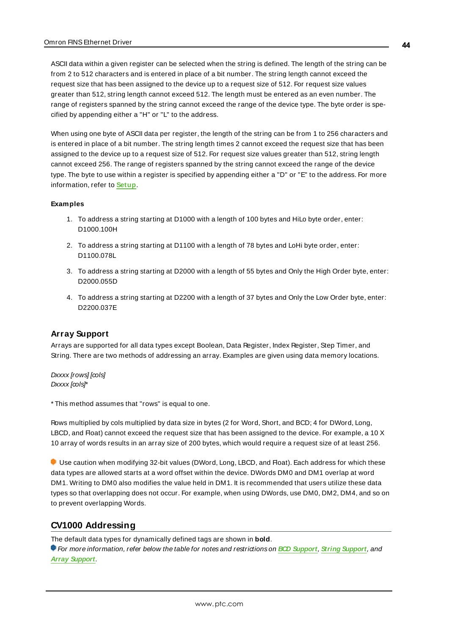ASCII data within a given register can be selected when the string is defined. The length of the string can be from 2 to 512 characters and is entered in place of a bit number. The string length cannot exceed the request size that has been assigned to the device up to a request size of 512. For request size values greater than 512, string length cannot exceed 512. The length must be entered as an even number. The range of registers spanned by the string cannot exceed the range of the device type. The byte order is specified by appending either a "H" or "L" to the address.

When using one byte of ASCII data per register, the length of the string can be from 1 to 256 characters and is entered in place of a bit number. The string length times 2 cannot exceed the request size that has been assigned to the device up to a request size of 512. For request size values greater than 512, string length cannot exceed 256. The range of registers spanned by the string cannot exceed the range of the device type. The byte to use within a register is specified by appending either a "D" or "E" to the address. For more information, refer to **[Setup](#page-4-0)**.

#### **Examples**

- 1. To address a string starting at D1000 with a length of 100 bytes and HiLo byte order, enter: D1000.100H
- 2. To address a string starting at D1100 with a length of 78 bytes and LoHi byte order, enter: D1100.078L
- 3. To address a string starting at D2000 with a length of 55 bytes and Only the High Order byte, enter: D2000.055D
- 4. To address a string starting at D2200 with a length of 37 bytes and Only the Low Order byte, enter: D2200.037E

## <span id="page-43-0"></span>**Array Support**

Arrays are supported for all data types except Boolean, Data Register, Index Register, Step Timer, and String. There are two methods of addressing an array. Examples are given using data memory locations.

Dxxxx [rows] [cols] Dxxxx [cols]\*

\* This method assumes that "rows" is equal to one.

Rows multiplied by cols multiplied by data size in bytes (2 for Word, Short, and BCD; 4 for DWord, Long, LBCD, and Float) cannot exceed the request size that has been assigned to the device. For example, a 10 X 10 array of words results in an array size of 200 bytes, which would require a request size of at least 256.

Use caution when modifying 32-bit values (DWord, Long, LBCD, and Float). Each address for which these data types are allowed starts at a word offset within the device. DWords DM0 and DM1 overlap at word DM1. Writing to DM0 also modifies the value held in DM1. It is recommended that users utilize these data types so that overlapping does not occur. For example, when using DWords, use DM0, DM2, DM4, and so on to prevent overlapping Words.

# **CV1000 Addressing**

The default data types for dynamically defined tags are shown in **bold**. For more information, refer below the table for notes and restrictions on **BCD [Support](#page-48-0)**, **String [Support](#page-48-1)**, and **Array [Support](#page-49-0)**.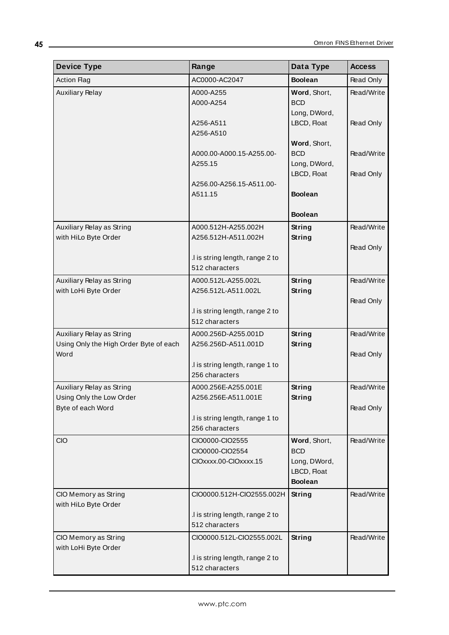| <b>Device Type</b>                             | Range                                             | Data Type                   | <b>Access</b> |
|------------------------------------------------|---------------------------------------------------|-----------------------------|---------------|
| <b>Action Flag</b>                             | AC0000-AC2047                                     | <b>Boolean</b>              | Read Only     |
| <b>Auxiliary Relay</b>                         | A000-A255<br>A000-A254                            | Word, Short,<br><b>BCD</b>  | Read/Write    |
|                                                | A256-A511<br>A256-A510                            | Long, DWord,<br>LBCD, Float | Read Only     |
|                                                | A000.00-A000.15-A255.00-                          | Word, Short,<br><b>BCD</b>  | Read/Write    |
|                                                | A255.15                                           | Long, DWord,<br>LBCD, Float | Read Only     |
|                                                | A256.00-A256.15-A511.00-<br>A511.15               | <b>Boolean</b>              |               |
|                                                |                                                   | <b>Boolean</b>              |               |
| Auxiliary Relay as String                      | A000.512H-A255.002H                               | String                      | Read/Write    |
| with HiLo Byte Order                           | A256.512H-A511.002H                               | <b>String</b>               |               |
|                                                |                                                   |                             | Read Only     |
|                                                | .I is string length, range 2 to<br>512 characters |                             |               |
| Auxiliary Relay as String                      | A000.512L-A255.002L                               | <b>String</b>               | Read/Write    |
| with LoHi Byte Order                           | A256.512L-A511.002L                               | <b>String</b>               |               |
|                                                |                                                   |                             | Read Only     |
|                                                | .I is string length, range 2 to                   |                             |               |
|                                                | 512 characters                                    |                             |               |
| Auxiliary Relay as String                      | A000.256D-A255.001D                               | <b>String</b>               | Read/Write    |
| Using Only the High Order Byte of each<br>Word | A256.256D-A511.001D                               | <b>String</b>               |               |
|                                                | I is string length, range 1 to                    |                             | Read Only     |
|                                                | 256 characters                                    |                             |               |
| Auxiliary Relay as String                      | A000.256E-A255.001E                               | String                      | Read/Write    |
| Using Only the Low Order                       | A256.256E-A511.001E                               | <b>String</b>               |               |
| Byte of each Word                              |                                                   |                             | Read Only     |
|                                                | .I is string length, range 1 to                   |                             |               |
|                                                | 256 characters                                    |                             |               |
| <b>CIO</b>                                     | CIO0000-CIO2555                                   | Word, Short,                | Read/Write    |
|                                                | CIO0000-CIO2554<br>CIOxxxx.00-CIOxxxx.15          | <b>BCD</b>                  |               |
|                                                |                                                   | Long, DWord,<br>LBCD, Float |               |
|                                                |                                                   | <b>Boolean</b>              |               |
| CIO Memory as String                           | CIO0000.512H-CIO2555.002H                         | String                      | Read/Write    |
| with HiLo Byte Order                           |                                                   |                             |               |
|                                                | .I is string length, range 2 to                   |                             |               |
|                                                | 512 characters                                    |                             |               |
| CIO Memory as String<br>with LoHi Byte Order   | CIO0000.512L-CIO2555.002L                         | <b>String</b>               | Read/Write    |
|                                                | .I is string length, range 2 to                   |                             |               |
|                                                | 512 characters                                    |                             |               |

<u> 1980 - Johann Barn, mars ann an t-Amhain Aonaich an t-Aonaich an t-Aonaich ann an t-Aonaich ann an t-Aonaich</u>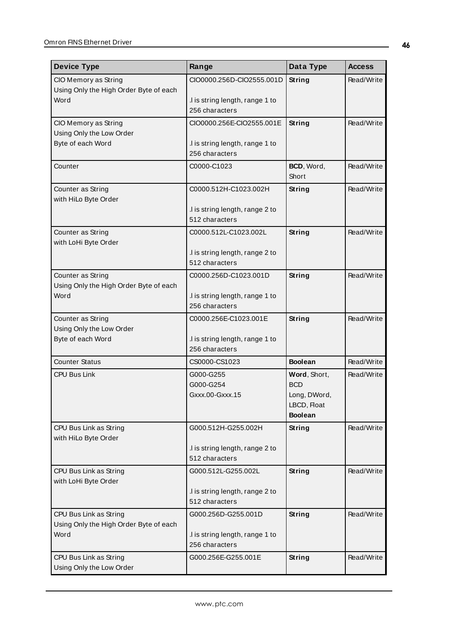| <b>Device Type</b>                                                       | Range                                                                    | Data Type                                                                   | <b>Access</b> |
|--------------------------------------------------------------------------|--------------------------------------------------------------------------|-----------------------------------------------------------------------------|---------------|
| CIO Memory as String                                                     | CIO0000.256D-CIO2555.001D                                                | String                                                                      | Read/Write    |
| Using Only the High Order Byte of each<br>Word                           | I is string length, range 1 to<br>256 characters                         |                                                                             |               |
| CIO Memory as String                                                     | CIO0000.256E-CIO2555.001E                                                | String                                                                      | Read/Write    |
| Using Only the Low Order<br>Byte of each Word                            | .I is string length, range 1 to<br>256 characters                        |                                                                             |               |
| Counter                                                                  | C0000-C1023                                                              | BCD, Word,<br>Short                                                         | Read/Write    |
| Counter as String<br>with HiLo Byte Order                                | C0000.512H-C1023.002H                                                    | String                                                                      | Read/Write    |
|                                                                          | I is string length, range 2 to<br>512 characters                         |                                                                             |               |
| Counter as String<br>with LoHi Byte Order                                | C0000.512L-C1023.002L                                                    | <b>String</b>                                                               | Read/Write    |
|                                                                          | .I is string length, range 2 to<br>512 characters                        |                                                                             |               |
| Counter as String<br>Using Only the High Order Byte of each              | C0000.256D-C1023.001D                                                    | String                                                                      | Read/Write    |
| Word                                                                     | .I is string length, range 1 to<br>256 characters                        |                                                                             |               |
| Counter as String<br>Using Only the Low Order                            | C0000.256E-C1023.001E                                                    | String                                                                      | Read/Write    |
| Byte of each Word                                                        | .I is string length, range 1 to<br>256 characters                        |                                                                             |               |
| <b>Counter Status</b>                                                    | CS0000-CS1023                                                            | <b>Boolean</b>                                                              | Read/Write    |
| <b>CPU Bus Link</b>                                                      | G000-G255<br>G000-G254<br>Gxxx.00-Gxxx.15                                | Word, Short,<br><b>BCD</b><br>Long, DWord,<br>LBCD, Float<br><b>Boolean</b> | Read/Write    |
| CPU Bus Link as String<br>with HiLo Byte Order                           | G000.512H-G255.002H<br>I is string length, range 2 to<br>512 characters  | <b>String</b>                                                               | Read/Write    |
| CPU Bus Link as String<br>with LoHi Byte Order                           | G000.512L-G255.002L                                                      | <b>String</b>                                                               | Read/Write    |
|                                                                          | .I is string length, range 2 to<br>512 characters                        |                                                                             |               |
| CPU Bus Link as String<br>Using Only the High Order Byte of each<br>Word | G000.256D-G255.001D<br>.I is string length, range 1 to<br>256 characters | String                                                                      | Read/Write    |
| CPU Bus Link as String<br>Using Only the Low Order                       | G000.256E-G255.001E                                                      | <b>String</b>                                                               | Read/Write    |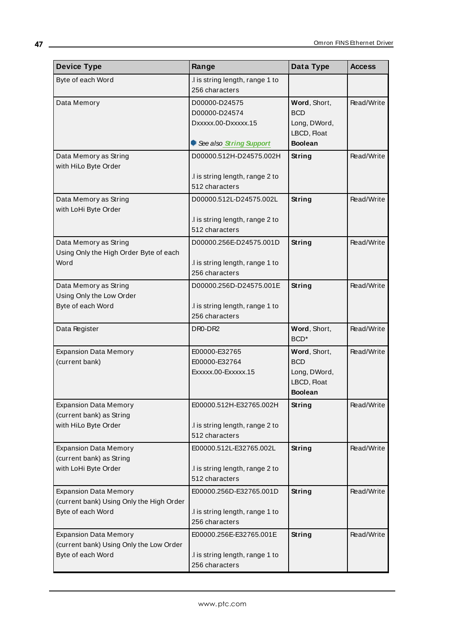| <b>Device Type</b>                                                                            | Range                                                                            | Data Type                                                                   | <b>Access</b> |
|-----------------------------------------------------------------------------------------------|----------------------------------------------------------------------------------|-----------------------------------------------------------------------------|---------------|
| Byte of each Word                                                                             | I is string length, range 1 to<br>256 characters                                 |                                                                             |               |
| Data Memory                                                                                   | D00000-D24575<br>D00000-D24574<br>Dxxxxx.00-Dxxxxx.15<br>See also String Support | Word, Short,<br><b>BCD</b><br>Long, DWord,<br>LBCD, Float<br><b>Boolean</b> | Read/Write    |
| Data Memory as String<br>with HiLo Byte Order                                                 | D00000.512H-D24575.002H<br>I is string length, range 2 to<br>512 characters      | String                                                                      | Read/Write    |
| Data Memory as String<br>with LoHi Byte Order                                                 | D00000.512L-D24575.002L<br>I is string length, range 2 to<br>512 characters      | String                                                                      | Read/Write    |
| Data Memory as String<br>Using Only the High Order Byte of each<br>Word                       | D00000.256E-D24575.001D<br>I is string length, range 1 to<br>256 characters      | <b>String</b>                                                               | Read/Write    |
| Data Memory as String<br>Using Only the Low Order<br>Byte of each Word                        | D00000.256D-D24575.001E<br>I is string length, range 1 to<br>256 characters      | <b>String</b>                                                               | Read/Write    |
| Data Register                                                                                 | DR0-DR2                                                                          | Word, Short,<br>BCD <sup>*</sup>                                            | Read/Write    |
| <b>Expansion Data Memory</b><br>(current bank)                                                | E00000-E32765<br>E00000-E32764<br>Exxxxx.00-Exxxxx.15                            | Word, Short,<br><b>BCD</b><br>Long, DWord,<br>LBCD, Float<br><b>Boolean</b> | Read/Write    |
| <b>Expansion Data Memory</b><br>(current bank) as String<br>with HiLo Byte Order              | E00000.512H-E32765.002H<br>I is string length, range 2 to<br>512 characters      | <b>String</b>                                                               | Read/Write    |
| <b>Expansion Data Memory</b><br>(current bank) as String<br>with LoHi Byte Order              | E00000.512L-E32765.002L<br>.I is string length, range 2 to<br>512 characters     | <b>String</b>                                                               | Read/Write    |
| <b>Expansion Data Memory</b><br>(current bank) Using Only the High Order<br>Byte of each Word | E00000.256D-E32765.001D<br>I is string length, range 1 to<br>256 characters      | <b>String</b>                                                               | Read/Write    |
| <b>Expansion Data Memory</b><br>(current bank) Using Only the Low Order<br>Byte of each Word  | E00000.256E-E32765.001E<br>I is string length, range 1 to<br>256 characters      | <b>String</b>                                                               | Read/Write    |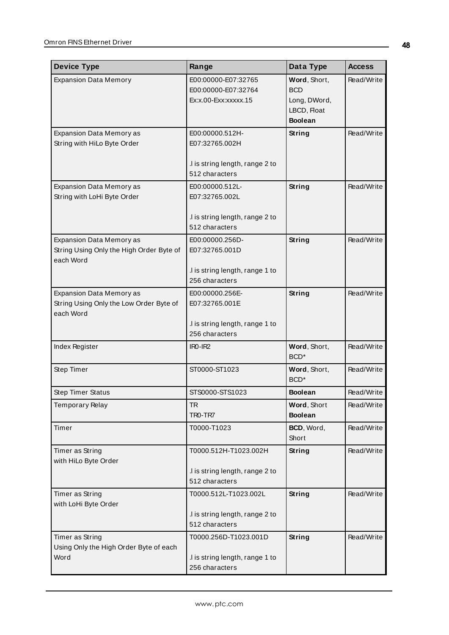| <b>Device Type</b>                                                                       | Range                                                                                  | Data Type                                                                   | <b>Access</b> |
|------------------------------------------------------------------------------------------|----------------------------------------------------------------------------------------|-----------------------------------------------------------------------------|---------------|
| <b>Expansion Data Memory</b>                                                             | E00:00000-E07:32765<br>E00:00000-E07:32764<br>Ex:x.00-Exx:xxxxx.15                     | Word, Short,<br><b>BCD</b><br>Long, DWord,<br>LBCD, Float<br><b>Boolean</b> | Read/Write    |
| Expansion Data Memory as<br>String with HiLo Byte Order                                  | E00:00000.512H-<br>E07:32765.002H<br>I is string length, range 2 to<br>512 characters  | <b>String</b>                                                               | Read/Write    |
| Expansion Data Memory as<br>String with LoHi Byte Order                                  | E00:00000.512L-<br>E07:32765.002L<br>.I is string length, range 2 to<br>512 characters | String                                                                      | Read/Write    |
| <b>Expansion Data Memory as</b><br>String Using Only the High Order Byte of<br>each Word | E00:00000.256D-<br>E07:32765.001D<br>I is string length, range 1 to<br>256 characters  | String                                                                      | Read/Write    |
| <b>Expansion Data Memory as</b><br>String Using Only the Low Order Byte of<br>each Word  | E00:00000.256E-<br>E07:32765.001E<br>I is string length, range 1 to<br>256 characters  | String                                                                      | Read/Write    |
| Index Register                                                                           | $IRO-IR2$                                                                              | Word, Short,<br>BCD <sup>*</sup>                                            | Read/Write    |
| Step Timer                                                                               | ST0000-ST1023                                                                          | Word, Short,<br>BCD <sup>*</sup>                                            | Read/Write    |
| <b>Step Timer Status</b>                                                                 | STS0000-STS1023                                                                        | <b>Boolean</b>                                                              | Read/Write    |
| <b>Temporary Relay</b>                                                                   | <b>TR</b><br>TRO-TR7                                                                   | Word, Short<br><b>Boolean</b>                                               | Read/Write    |
| Timer                                                                                    | T0000-T1023                                                                            | BCD, Word,<br>Short                                                         | Read/Write    |
| Timer as String<br>with HiLo Byte Order                                                  | T0000.512H-T1023.002H<br>.I is string length, range 2 to<br>512 characters             | String                                                                      | Read/Write    |
| Timer as String<br>with LoHi Byte Order                                                  | T0000.512L-T1023.002L<br>.I is string length, range 2 to<br>512 characters             | <b>String</b>                                                               | Read/Write    |
| Timer as String<br>Using Only the High Order Byte of each<br>Word                        | T0000.256D-T1023.001D<br>I is string length, range 1 to<br>256 characters              | <b>String</b>                                                               | Read/Write    |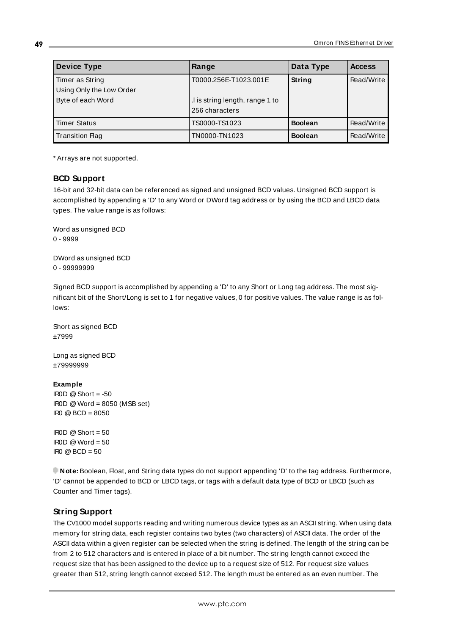| <b>Device Type</b>       | Range                          | Data Type      | <b>Access</b> |
|--------------------------|--------------------------------|----------------|---------------|
| Timer as String          | T0000.256E-T1023.001E          | <b>String</b>  | Read/Write    |
| Using Only the Low Order |                                |                |               |
| Byte of each Word        | I is string length, range 1 to |                |               |
|                          | 256 characters                 |                |               |
| <b>Timer Status</b>      | TS0000-TS1023                  | <b>Boolean</b> | Read/Write    |
| <b>Transition Flag</b>   | TN0000-TN1023                  | <b>Boolean</b> | Read/Write    |

<span id="page-48-0"></span>\* Arrays are not supported.

## **BCD Support**

16-bit and 32-bit data can be referenced as signed and unsigned BCD values. Unsigned BCD support is accomplished by appending a 'D' to any Word or DWord tag address or by using the BCD and LBCD data types. The value range is as follows:

Word as unsigned BCD 0 - 9999

DWord as unsigned BCD 0 - 99999999

Signed BCD support is accomplished by appending a 'D' to any Short or Long tag address. The most significant bit of the Short/Long is set to 1 for negative values, 0 for positive values. The value range is as follows:

Short as signed BCD ±7999

Long as signed BCD ±79999999

#### **Example**

 $\text{I} \text{ROD} \text{ @ Short} = -50$ IR0D @Word = 8050 (MSB set)  $IR0 \ @ \ BCD = 8050$ 

 $IBOD @ Short = 50$  $\text{I} \text{ROD} \text{ @Word} = 50$ IR0 @BCD = 50

<span id="page-48-1"></span>**Note:** Boolean, Float, and String data types do not support appending 'D' to the tag address. Furthermore, 'D' cannot be appended to BCD or LBCD tags, or tags with a default data type of BCD or LBCD (such as Counter and Timer tags).

## **String Support**

The CV1000 model supports reading and writing numerous device types as an ASCII string. When using data memory for string data, each register contains two bytes (two characters) of ASCII data. The order of the ASCII data within a given register can be selected when the string is defined. The length of the string can be from 2 to 512 characters and is entered in place of a bit number. The string length cannot exceed the request size that has been assigned to the device up to a request size of 512. For request size values greater than 512, string length cannot exceed 512. The length must be entered as an even number. The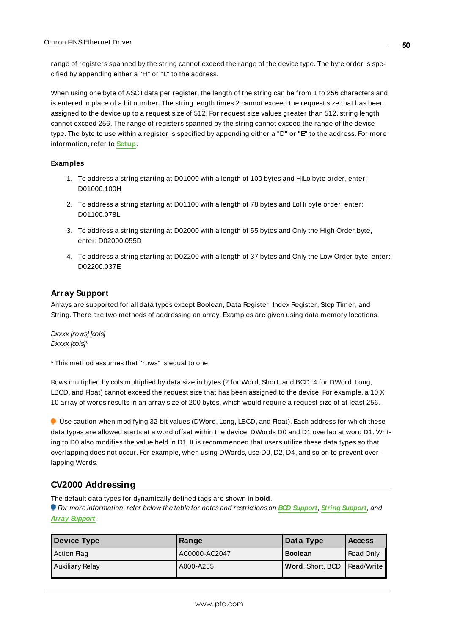range of registers spanned by the string cannot exceed the range of the device type. The byte order is specified by appending either a "H" or "L" to the address.

When using one byte of ASCII data per register, the length of the string can be from 1 to 256 characters and is entered in place of a bit number. The string length times 2 cannot exceed the request size that has been assigned to the device up to a request size of 512. For request size values greater than 512, string length cannot exceed 256. The range of registers spanned by the string cannot exceed the range of the device type. The byte to use within a register is specified by appending either a "D" or "E" to the address. For more information, refer to **[Setup](#page-4-0)**.

#### **Examples**

- 1. To address a string starting at D01000 with a length of 100 bytes and HiLo byte order, enter: D01000.100H
- 2. To address a string starting at D01100 with a length of 78 bytes and LoHi byte order, enter: D01100.078L
- 3. To address a string starting at D02000 with a length of 55 bytes and Only the High Order byte, enter: D02000.055D
- 4. To address a string starting at D02200 with a length of 37 bytes and Only the Low Order byte, enter: D02200.037E

#### <span id="page-49-0"></span>**Array Support**

Arrays are supported for all data types except Boolean, Data Register, Index Register, Step Timer, and String. There are two methods of addressing an array. Examples are given using data memory locations.

Dxxxx [rows] [cols] Dxxxx [cols]\*

\* This method assumes that "rows" is equal to one.

Rows multiplied by cols multiplied by data size in bytes (2 for Word, Short, and BCD; 4 for DWord, Long, LBCD, and Float) cannot exceed the request size that has been assigned to the device. For example, a 10 X 10 array of words results in an array size of 200 bytes, which would require a request size of at least 256.

Use caution when modifying 32-bit values (DWord, Long, LBCD, and Float). Each address for which these data types are allowed starts at a word offset within the device. DWords D0 and D1 overlap at word D1. Writing to D0 also modifies the value held in D1. It is recommended that users utilize these data types so that overlapping does not occur. For example, when using DWords, use D0, D2, D4, and so on to prevent overlapping Words.

## **CV2000 Addressing**

The default data types for dynamically defined tags are shown in **bold**.

| Device Type        | Range         | Data Type        | <b>Access</b> |
|--------------------|---------------|------------------|---------------|
| <b>Action Flag</b> | AC0000-AC2047 | <b>Boolean</b>   | Read Only     |
| Auxiliary Relay    | A000-A255     | Word, Short, BCD | Read/Write    |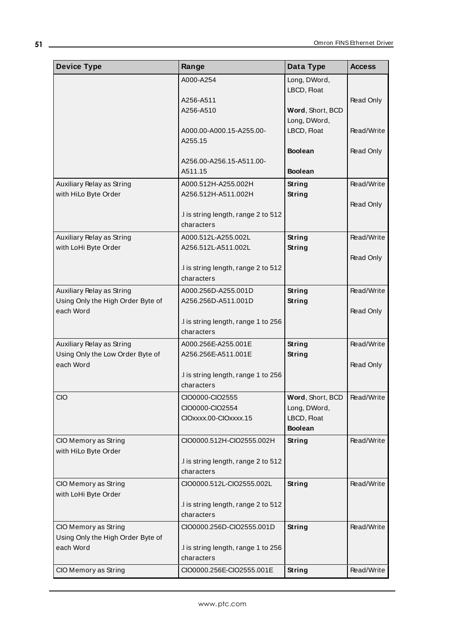| <b>Device Type</b>                                            | Range                                             | Data Type                      | <b>Access</b> |
|---------------------------------------------------------------|---------------------------------------------------|--------------------------------|---------------|
|                                                               | A000-A254                                         | Long, DWord,                   |               |
|                                                               |                                                   | LBCD, Float                    |               |
|                                                               | A256-A511                                         |                                | Read Only     |
|                                                               | A256-A510                                         | Word, Short, BCD               |               |
|                                                               |                                                   | Long, DWord,                   |               |
|                                                               | A000.00-A000.15-A255.00-<br>A255.15               | LBCD, Float                    | Read/Write    |
|                                                               |                                                   | <b>Boolean</b>                 | Read Only     |
|                                                               | A256.00-A256.15-A511.00-                          |                                |               |
|                                                               | A511.15                                           | <b>Boolean</b>                 |               |
| Auxiliary Relay as String                                     | A000.512H-A255.002H                               | String                         | Read/Write    |
| with HiLo Byte Order                                          | A256.512H-A511.002H                               | <b>String</b>                  |               |
|                                                               |                                                   |                                | Read Only     |
|                                                               | .I is string length, range 2 to 512               |                                |               |
|                                                               | characters                                        |                                |               |
| Auxiliary Relay as String                                     | A000.512L-A255.002L                               | <b>String</b>                  | Read/Write    |
| with LoHi Byte Order                                          | A256.512L-A511.002L                               | <b>String</b>                  |               |
|                                                               |                                                   |                                | Read Only     |
|                                                               | .I is string length, range 2 to 512<br>characters |                                |               |
|                                                               |                                                   |                                |               |
| Auxiliary Relay as String                                     | A000.256D-A255.001D                               | <b>String</b>                  | Read/Write    |
| Using Only the High Order Byte of                             | A256.256D-A511.001D                               | <b>String</b>                  |               |
| each Word                                                     | .I is string length, range 1 to 256               |                                | Read Only     |
|                                                               | characters                                        |                                |               |
|                                                               |                                                   |                                | Read/Write    |
| Auxiliary Relay as String<br>Using Only the Low Order Byte of | A000.256E-A255.001E<br>A256.256E-A511.001E        | <b>String</b><br><b>String</b> |               |
| each Word                                                     |                                                   |                                | Read Only     |
|                                                               | .I is string length, range 1 to 256               |                                |               |
|                                                               | characters                                        |                                |               |
| <b>CIO</b>                                                    | CIO0000-CIO2555                                   | Word, Short, BCD               | Read/Write    |
|                                                               | CIO0000-CIO2554                                   | Long, DWord,                   |               |
|                                                               | CIOxxxx.00-CIOxxxx.15                             | LBCD, Float                    |               |
|                                                               |                                                   | <b>Boolean</b>                 |               |
| CIO Memory as String<br>with HiLo Byte Order                  | CIO0000.512H-CIO2555.002H                         | <b>String</b>                  | Read/Write    |
|                                                               | .I is string length, range 2 to 512               |                                |               |
|                                                               | characters                                        |                                |               |
| CIO Memory as String                                          | CIO0000.512L-CIO2555.002L                         | <b>String</b>                  | Read/Write    |
| with LoHi Byte Order                                          |                                                   |                                |               |
|                                                               | .I is string length, range 2 to 512               |                                |               |
|                                                               | characters                                        |                                |               |
| CIO Memory as String                                          | CIO0000.256D-CIO2555.001D                         | <b>String</b>                  | Read/Write    |
| Using Only the High Order Byte of                             |                                                   |                                |               |
| each Word                                                     | .I is string length, range 1 to 256               |                                |               |
|                                                               | characters                                        |                                |               |
| CIO Memory as String                                          | CIO0000.256E-CIO2555.001E                         | <b>String</b>                  | Read/Write    |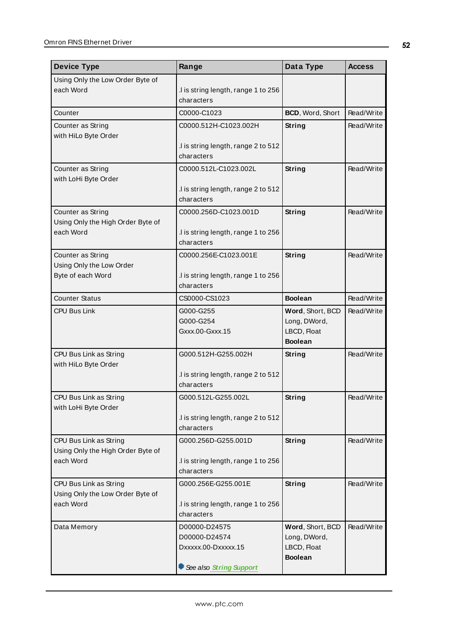| <b>Device Type</b>                                     | Range                                             | Data Type                        | <b>Access</b> |
|--------------------------------------------------------|---------------------------------------------------|----------------------------------|---------------|
| Using Only the Low Order Byte of                       |                                                   |                                  |               |
| each Word                                              | .I is string length, range 1 to 256               |                                  |               |
|                                                        | characters                                        |                                  |               |
| Counter                                                | C0000-C1023                                       | BCD, Word, Short                 | Read/Write    |
| Counter as String                                      | C0000.512H-C1023.002H                             | <b>String</b>                    | Read/Write    |
| with HiLo Byte Order                                   | I is string length, range 2 to 512                |                                  |               |
|                                                        | characters                                        |                                  |               |
| Counter as String                                      | C0000.512L-C1023.002L                             | String                           | Read/Write    |
| with LoHi Byte Order                                   |                                                   |                                  |               |
|                                                        | .I is string length, range 2 to 512               |                                  |               |
|                                                        | characters                                        |                                  |               |
| Counter as String<br>Using Only the High Order Byte of | C0000.256D-C1023.001D                             | String                           | Read/Write    |
| each Word                                              | .I is string length, range 1 to 256               |                                  |               |
|                                                        | characters                                        |                                  |               |
| Counter as String                                      | C0000.256E-C1023.001E                             | String                           | Read/Write    |
| Using Only the Low Order                               |                                                   |                                  |               |
| Byte of each Word                                      | I is string length, range 1 to 256<br>characters  |                                  |               |
| <b>Counter Status</b>                                  | CS0000-CS1023                                     | <b>Boolean</b>                   | Read/Write    |
| <b>CPU Bus Link</b>                                    | G000-G255                                         | Word, Short, BCD                 | Read/Write    |
|                                                        | G000-G254                                         | Long, DWord,                     |               |
|                                                        | Gxxx.00-Gxxx.15                                   | LBCD, Float                      |               |
|                                                        |                                                   | <b>Boolean</b>                   |               |
| CPU Bus Link as String                                 | G000.512H-G255.002H                               | <b>String</b>                    | Read/Write    |
| with HiLo Byte Order                                   |                                                   |                                  |               |
|                                                        | .I is string length, range 2 to 512<br>characters |                                  |               |
| CPU Bus Link as String                                 | G000.512L-G255.002L                               | <b>String</b>                    | Read/Write    |
| with LoHi Byte Order                                   |                                                   |                                  |               |
|                                                        | .I is string length, range 2 to 512               |                                  |               |
|                                                        | characters                                        |                                  |               |
| CPU Bus Link as String                                 | G000.256D-G255.001D                               | <b>String</b>                    | Read/Write    |
| Using Only the High Order Byte of<br>each Word         | .I is string length, range 1 to 256               |                                  |               |
|                                                        | characters                                        |                                  |               |
| CPU Bus Link as String                                 | G000.256E-G255.001E                               | <b>String</b>                    | Read/Write    |
| Using Only the Low Order Byte of                       |                                                   |                                  |               |
| each Word                                              | .I is string length, range 1 to 256               |                                  |               |
|                                                        | characters                                        |                                  |               |
| Data Memory                                            | D00000-D24575<br>D00000-D24574                    | Word, Short, BCD<br>Long, DWord, | Read/Write    |
|                                                        | Dxxxxx.00-Dxxxxx.15                               | LBCD, Float                      |               |
|                                                        |                                                   | <b>Boolean</b>                   |               |
|                                                        | See also String Support                           |                                  |               |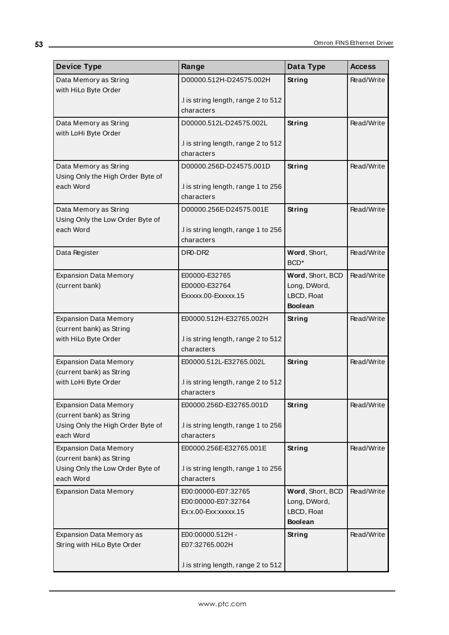| <b>Device Type</b>                                       | Range                                             | Data Type                        | <b>Access</b> |
|----------------------------------------------------------|---------------------------------------------------|----------------------------------|---------------|
| Data Memory as String                                    | D00000.512H-D24575.002H                           | String                           | Read/Write    |
| with HiLo Byte Order                                     |                                                   |                                  |               |
|                                                          | I is string length, range 2 to 512<br>characters  |                                  |               |
| Data Memory as String                                    | D00000.512L-D24575.002L                           | <b>String</b>                    | Read/Write    |
| with LoHi Byte Order                                     |                                                   |                                  |               |
|                                                          | I is string length, range 2 to 512                |                                  |               |
|                                                          | characters                                        |                                  |               |
| Data Memory as String                                    | D00000.256D-D24575.001D                           | String                           | Read/Write    |
| Using Only the High Order Byte of<br>each Word           | .I is string length, range 1 to 256               |                                  |               |
|                                                          | characters                                        |                                  |               |
| Data Memory as String                                    | D00000.256E-D24575.001E                           | <b>String</b>                    | Read/Write    |
| Using Only the Low Order Byte of                         |                                                   |                                  |               |
| each Word                                                | .I is string length, range 1 to 256               |                                  |               |
|                                                          | characters                                        |                                  |               |
| Data Register                                            | DR <sub>0</sub> -DR <sub>2</sub>                  | Word, Short,<br>BCD <sup>*</sup> | Read/Write    |
| <b>Expansion Data Memory</b>                             | E00000-E32765                                     | Word, Short, BCD                 | Read/Write    |
| (current bank)                                           | E00000-E32764                                     | Long, DWord,                     |               |
|                                                          | Exxxxx.00-Exxxxx.15                               | LBCD, Float<br><b>Boolean</b>    |               |
| <b>Expansion Data Memory</b>                             | E00000.512H-E32765.002H                           | String                           | Read/Write    |
| (current bank) as String                                 |                                                   |                                  |               |
| with HiLo Byte Order                                     | .I is string length, range 2 to 512               |                                  |               |
|                                                          | characters                                        |                                  |               |
| <b>Expansion Data Memory</b><br>(current bank) as String | E00000.512L-E32765.002L                           | String                           | Read/Write    |
| with LoHi Byte Order                                     | I is string length, range 2 to 512                |                                  |               |
|                                                          | characters                                        |                                  |               |
| <b>Expansion Data Memory</b>                             | E00000.256D-E32765.001D                           | <b>String</b>                    | Read/Write    |
| (current bank) as String                                 |                                                   |                                  |               |
| Using Only the High Order Byte of<br>each Word           | .I is string length, range 1 to 256<br>characters |                                  |               |
| <b>Expansion Data Memory</b>                             | E00000.256E-E32765.001E                           | String                           | Read/Write    |
| (current bank) as String                                 |                                                   |                                  |               |
| Using Only the Low Order Byte of                         | .I is string length, range 1 to 256               |                                  |               |
| each Word                                                | characters                                        |                                  |               |
| <b>Expansion Data Memory</b>                             | E00:00000-E07:32765                               | Word, Short, BCD                 | Read/Write    |
|                                                          | E00:00000-E07:32764<br>Ex:x.00-Exx:xxxxx.15       | Long, DWord,<br>LBCD, Float      |               |
|                                                          |                                                   | <b>Boolean</b>                   |               |
| Expansion Data Memory as                                 | E00:00000.512H -                                  | String                           | Read/Write    |
| String with HiLo Byte Order                              | E07:32765.002H                                    |                                  |               |
|                                                          |                                                   |                                  |               |
|                                                          | .I is string length, range 2 to 512               |                                  |               |

<u> 1980 - Johann Barbara, martxa amerikan personal (</u>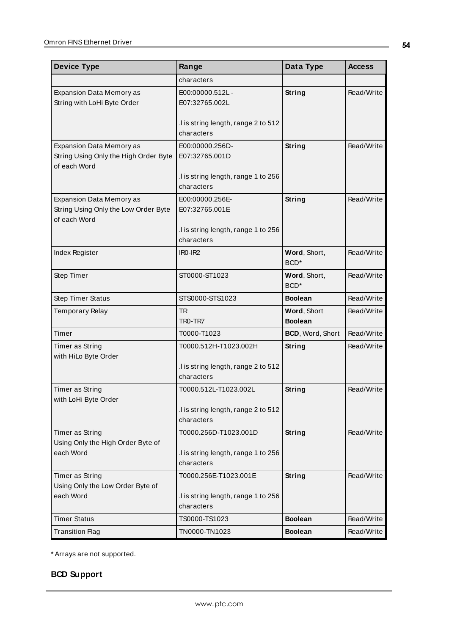| <b>Device Type</b>                                                                      | Range                                                                                                | Data Type                        | <b>Access</b> |
|-----------------------------------------------------------------------------------------|------------------------------------------------------------------------------------------------------|----------------------------------|---------------|
|                                                                                         | characters                                                                                           |                                  |               |
| <b>Expansion Data Memory as</b><br>String with LoHi Byte Order                          | E00:00000.512L-<br>E07:32765.002L                                                                    | String                           | Read/Write    |
|                                                                                         | .I is string length, range 2 to 512<br>characters                                                    |                                  |               |
| Expansion Data Memory as<br>String Using Only the High Order Byte<br>of each Word       | E00:00000.256D-<br>E07:32765.001D<br>.I is string length, range 1 to 256                             | <b>String</b>                    | Read/Write    |
| <b>Expansion Data Memory as</b><br>String Using Only the Low Order Byte<br>of each Word | characters<br>E00:00000.256E-<br>E07:32765.001E<br>.I is string length, range 1 to 256<br>characters | <b>String</b>                    | Read/Write    |
| Index Register                                                                          | IR <sub>0</sub> -IR <sub>2</sub>                                                                     | Word, Short,<br>BCD <sup>*</sup> | Read/Write    |
| Step Timer                                                                              | ST0000-ST1023                                                                                        | Word, Short,<br>BCD <sup>*</sup> | Read/Write    |
| <b>Step Timer Status</b>                                                                | STS0000-STS1023                                                                                      | <b>Boolean</b>                   | Read/Write    |
| Temporary Relay                                                                         | <b>TR</b><br>TRO-TR7                                                                                 | Word, Short<br><b>Boolean</b>    | Read/Write    |
| Timer                                                                                   | T0000-T1023                                                                                          | BCD, Word, Short                 | Read/Write    |
| Timer as String<br>with HiLo Byte Order                                                 | T0000.512H-T1023.002H<br>.I is string length, range 2 to 512<br>characters                           | String                           | Read/Write    |
| Timer as String<br>with LoHi Byte Order                                                 | T0000.512L-T1023.002L<br>I is string length, range 2 to 512<br>characters                            | <b>String</b>                    | Read/Write    |
| Timer as String<br>Using Only the High Order Byte of<br>each Word                       | T0000.256D-T1023.001D<br>I is string length, range 1 to 256<br>characters                            | String                           | Read/Write    |
| Timer as String<br>Using Only the Low Order Byte of<br>each Word                        | T0000.256E-T1023.001E<br>.I is string length, range 1 to 256<br>characters                           | <b>String</b>                    | Read/Write    |
| <b>Timer Status</b>                                                                     | TS0000-TS1023                                                                                        | <b>Boolean</b>                   | Read/Write    |
| <b>Transition Flag</b>                                                                  | TN0000-TN1023                                                                                        | <b>Boolean</b>                   | Read/Write    |

<span id="page-53-0"></span>\* Arrays are not supported.

# **BCD Support**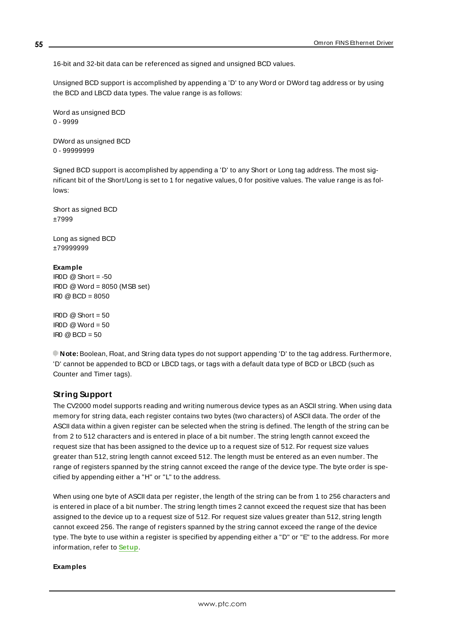16-bit and 32-bit data can be referenced as signed and unsigned BCD values.

Unsigned BCD support is accomplished by appending a 'D' to any Word or DWord tag address or by using the BCD and LBCD data types. The value range is as follows:

Word as unsigned BCD 0 - 9999

DWord as unsigned BCD 0 - 99999999

Signed BCD support is accomplished by appending a 'D' to any Short or Long tag address. The most significant bit of the Short/Long is set to 1 for negative values, 0 for positive values. The value range is as follows:

Short as signed BCD ±7999

Long as signed BCD ±79999999

#### **Example**

IROD  $@$  Short = -50  $IROD @Word = 8050 (MSB set)$ IR0 @BCD = 8050

 $IROD @ Short = 50$  $\text{IROD} \otimes \text{Word} = 50$  $\text{IRO} \text{ } @ \text{BCD} = 50$ 

<span id="page-54-0"></span>**Note:** Boolean, Float, and String data types do not support appending 'D' to the tag address. Furthermore, 'D' cannot be appended to BCD or LBCD tags, or tags with a default data type of BCD or LBCD (such as Counter and Timer tags).

## **String Support**

The CV2000 model supports reading and writing numerous device types as an ASCII string. When using data memory for string data, each register contains two bytes (two characters) of ASCII data. The order of the ASCII data within a given register can be selected when the string is defined. The length of the string can be from 2 to 512 characters and is entered in place of a bit number. The string length cannot exceed the request size that has been assigned to the device up to a request size of 512. For request size values greater than 512, string length cannot exceed 512. The length must be entered as an even number. The range of registers spanned by the string cannot exceed the range of the device type. The byte order is specified by appending either a "H" or "L" to the address.

When using one byte of ASCII data per register, the length of the string can be from 1 to 256 characters and is entered in place of a bit number. The string length times 2 cannot exceed the request size that has been assigned to the device up to a request size of 512. For request size values greater than 512, string length cannot exceed 256. The range of registers spanned by the string cannot exceed the range of the device type. The byte to use within a register is specified by appending either a "D" or "E" to the address. For more information, refer to **[Setup](#page-4-0)**.

#### **Examples**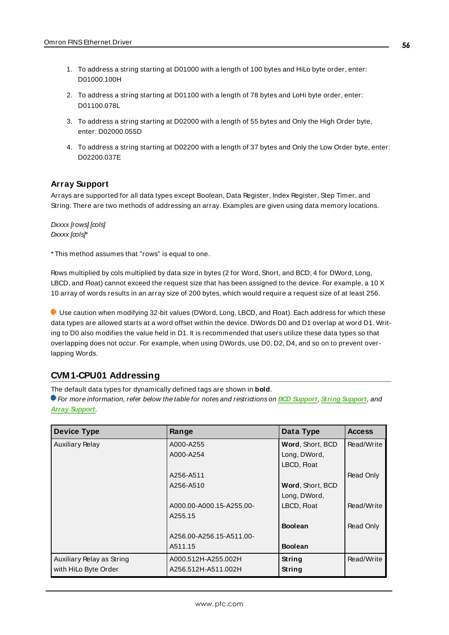- 1. To address a string starting at D01000 with a length of 100 bytes and HiLo byte order, enter: D01000.100H
- 2. To address a string starting at D01100 with a length of 78 bytes and LoHi byte order, enter: D01100.078L
- 3. To address a string starting at D02000 with a length of 55 bytes and Only the High Order byte, enter: D02000.055D
- 4. To address a string starting at D02200 with a length of 37 bytes and Only the Low Order byte, enter: D02200.037E

## <span id="page-55-0"></span>**Array Support**

Arrays are supported for all data types except Boolean, Data Register, Index Register, Step Timer, and String. There are two methods of addressing an array. Examples are given using data memory locations.

Dxxxx [rows] [cols] Dxxxx [cols]\*

\* This method assumes that "rows" is equal to one.

Rows multiplied by cols multiplied by data size in bytes (2 for Word, Short, and BCD; 4 for DWord, Long, LBCD, and Float) cannot exceed the request size that has been assigned to the device. For example, a 10 X 10 array of words results in an array size of 200 bytes, which would require a request size of at least 256.

Use caution when modifying 32-bit values (DWord, Long, LBCD, and Float). Each address for which these data types are allowed starts at a word offset within the device. DWords D0 and D1 overlap at word D1. Writing to D0 also modifies the value held in D1. It is recommended that users utilize these data types so that overlapping does not occur. For example, when using DWords, use D0, D2, D4, and so on to prevent overlapping Words.

## **CVM1-CPU01 Addressing**

The default data types for dynamically defined tags are shown in **bold**.

| <b>Device Type</b>        | Range                    | Data Type        | <b>Access</b> |
|---------------------------|--------------------------|------------------|---------------|
| <b>Auxiliary Relay</b>    | A000-A255                | Word, Short, BCD | Read/Write    |
|                           | A000-A254                | Long, DWord,     |               |
|                           |                          | LBCD, Float      |               |
|                           | A256-A511                |                  | Read Only     |
|                           | A256-A510                | Word, Short, BCD |               |
|                           |                          | Long, DWord,     |               |
|                           | A000.00-A000.15-A255.00- | LBCD, Float      | Read/Write    |
|                           | A255.15                  |                  |               |
|                           |                          | <b>Boolean</b>   | Read Only     |
|                           | A256.00-A256.15-A511.00- |                  |               |
|                           | A511.15                  | <b>Boolean</b>   |               |
| Auxiliary Relay as String | A000.512H-A255.002H      | String           | Read/Write    |
| with HiLo Byte Order      | A256.512H-A511.002H      | String           |               |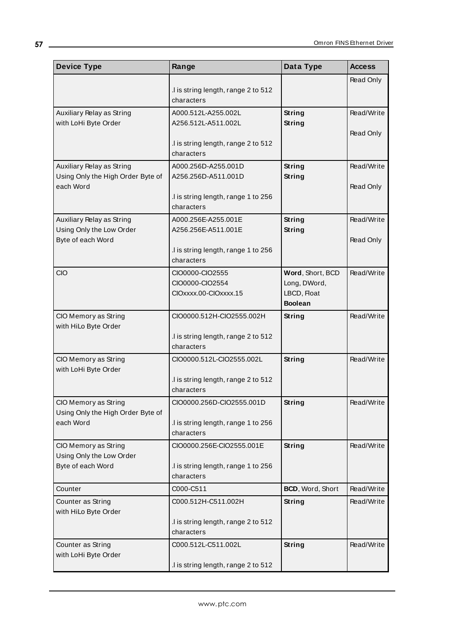| <b>Device Type</b>                                             | Range                                             | Data Type                      | <b>Access</b> |
|----------------------------------------------------------------|---------------------------------------------------|--------------------------------|---------------|
|                                                                |                                                   |                                | Read Only     |
|                                                                | .I is string length, range 2 to 512<br>characters |                                |               |
| Auxiliary Relay as String                                      | A000.512L-A255.002L                               | <b>String</b>                  | Read/Write    |
| with LoHi Byte Order                                           | A256.512L-A511.002L                               | <b>String</b>                  |               |
|                                                                |                                                   |                                | Read Only     |
|                                                                | .I is string length, range 2 to 512               |                                |               |
|                                                                | characters                                        |                                |               |
| Auxiliary Relay as String<br>Using Only the High Order Byte of | A000.256D-A255.001D<br>A256.256D-A511.001D        | <b>String</b><br><b>String</b> | Read/Write    |
| each Word                                                      |                                                   |                                | Read Only     |
|                                                                | .I is string length, range 1 to 256               |                                |               |
|                                                                | characters                                        |                                |               |
| Auxiliary Relay as String                                      | A000.256E-A255.001E                               | String                         | Read/Write    |
| Using Only the Low Order<br>Byte of each Word                  | A256.256E-A511.001E                               | <b>String</b>                  | Read Only     |
|                                                                | .I is string length, range 1 to 256               |                                |               |
|                                                                | characters                                        |                                |               |
| CIO                                                            | CIO0000-CIO2555                                   | Word, Short, BCD               | Read/Write    |
|                                                                | CIO0000-CIO2554                                   | Long, DWord,                   |               |
|                                                                | CIOxxxx.00-CIOxxxx.15                             | LBCD, Float<br><b>Boolean</b>  |               |
| CIO Memory as String                                           | CIO0000.512H-CIO2555.002H                         | <b>String</b>                  | Read/Write    |
| with HiLo Byte Order                                           |                                                   |                                |               |
|                                                                | .I is string length, range 2 to 512               |                                |               |
|                                                                | characters                                        |                                |               |
| CIO Memory as String                                           | CIO0000.512L-CIO2555.002L                         | <b>String</b>                  | Read/Write    |
| with LoHi Byte Order                                           | .I is string length, range 2 to 512               |                                |               |
|                                                                | characters                                        |                                |               |
| CIO Memory as String                                           | CIO0000.256D-CIO2555.001D                         | <b>String</b>                  | Read/Write    |
| Using Only the High Order Byte of                              |                                                   |                                |               |
| each Word                                                      | .I is string length, range 1 to 256               |                                |               |
|                                                                | characters                                        |                                |               |
| CIO Memory as String<br>Using Only the Low Order               | CIO0000.256E-CIO2555.001E                         | <b>String</b>                  | Read/Write    |
| Byte of each Word                                              | .I is string length, range 1 to 256               |                                |               |
|                                                                | characters                                        |                                |               |
| Counter                                                        | C000-C511                                         | BCD, Word, Short               | Read/Write    |
| Counter as String                                              | C000.512H-C511.002H                               | <b>String</b>                  | Read/Write    |
| with HiLo Byte Order                                           |                                                   |                                |               |
|                                                                | .I is string length, range 2 to 512<br>characters |                                |               |
| Counter as String                                              | C000.512L-C511.002L                               | <b>String</b>                  | Read/Write    |
| with LoHi Byte Order                                           |                                                   |                                |               |
|                                                                | .I is string length, range 2 to 512               |                                |               |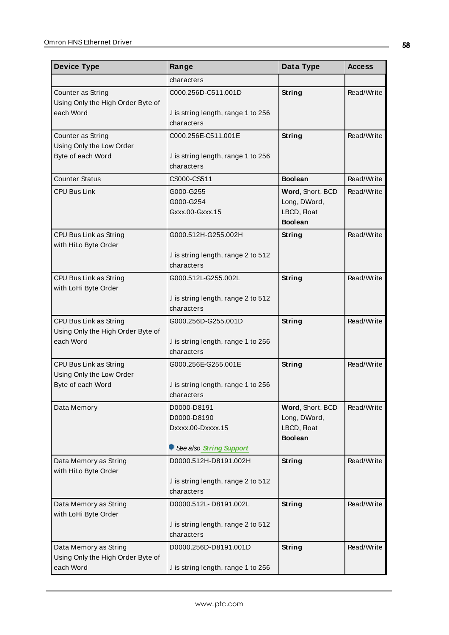| <b>Device Type</b>                                 | Range                                             | Data Type                     | <b>Access</b> |
|----------------------------------------------------|---------------------------------------------------|-------------------------------|---------------|
|                                                    | characters                                        |                               |               |
| Counter as String                                  | C000.256D-C511.001D                               | <b>String</b>                 | Read/Write    |
| Using Only the High Order Byte of<br>each Word     | .I is string length, range 1 to 256<br>characters |                               |               |
| Counter as String                                  | C000.256E-C511.001E                               | <b>String</b>                 | Read/Write    |
| Using Only the Low Order<br>Byte of each Word      | .I is string length, range 1 to 256               |                               |               |
|                                                    | characters                                        |                               |               |
| <b>Counter Status</b>                              | CS000-CS511                                       | <b>Boolean</b>                | Read/Write    |
| <b>CPU Bus Link</b>                                | G000-G255                                         | Word, Short, BCD              | Read/Write    |
|                                                    | G000-G254<br>Gxxx.00-Gxxx.15                      | Long, DWord,<br>LBCD, Float   |               |
|                                                    |                                                   | <b>Boolean</b>                |               |
| CPU Bus Link as String                             | G000.512H-G255.002H                               | <b>String</b>                 | Read/Write    |
| with HiLo Byte Order                               | .I is string length, range 2 to 512               |                               |               |
|                                                    | characters                                        |                               |               |
| CPU Bus Link as String                             | G000.512L-G255.002L                               | <b>String</b>                 | Read/Write    |
| with LoHi Byte Order                               |                                                   |                               |               |
|                                                    | .I is string length, range 2 to 512<br>characters |                               |               |
| CPU Bus Link as String                             | G000.256D-G255.001D                               | <b>String</b>                 | Read/Write    |
| Using Only the High Order Byte of                  |                                                   |                               |               |
| each Word                                          | .I is string length, range 1 to 256               |                               |               |
|                                                    | characters                                        |                               |               |
| CPU Bus Link as String<br>Using Only the Low Order | G000.256E-G255.001E                               | <b>String</b>                 | Read/Write    |
| Byte of each Word                                  | .I is string length, range 1 to 256               |                               |               |
|                                                    | characters                                        |                               |               |
| Data Memory                                        | D0000-D8191                                       | Word, Short, BCD              | Read/Write    |
|                                                    | D0000-D8190                                       | Long, DWord,                  |               |
|                                                    | Dxxxx.00-Dxxxx.15                                 | LBCD, Float<br><b>Boolean</b> |               |
|                                                    | See also String Support                           |                               |               |
| Data Memory as String<br>with HiLo Byte Order      | D0000.512H-D8191.002H                             | <b>String</b>                 | Read/Write    |
|                                                    | .I is string length, range 2 to 512               |                               |               |
|                                                    | characters                                        |                               |               |
| Data Memory as String<br>with LoHi Byte Order      | D0000.512L-D8191.002L                             | <b>String</b>                 | Read/Write    |
|                                                    | .I is string length, range 2 to 512               |                               |               |
|                                                    | characters                                        |                               |               |
| Data Memory as String                              | D0000.256D-D8191.001D                             | <b>String</b>                 | Read/Write    |
| Using Only the High Order Byte of<br>each Word     | .I is string length, range 1 to 256               |                               |               |
|                                                    |                                                   |                               |               |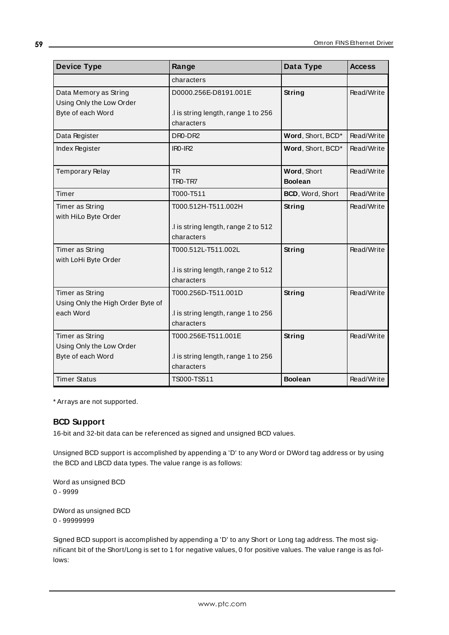| <b>Device Type</b>                                | Range                                            | Data Type         | <b>Access</b> |
|---------------------------------------------------|--------------------------------------------------|-------------------|---------------|
|                                                   | characters                                       |                   |               |
| Data Memory as String<br>Using Only the Low Order | D0000.256E-D8191.001E                            | String            | Read/Write    |
| Byte of each Word                                 | I is string length, range 1 to 256<br>characters |                   |               |
| Data Register                                     | DR0-DR2                                          | Word, Short, BCD* | Read/Write    |
| <b>Index Register</b>                             | $IRO-IR2$                                        | Word, Short, BCD* | Read/Write    |
| <b>Temporary Relay</b>                            | <b>TR</b>                                        | Word, Short       | Read/Write    |
|                                                   | TR <sub>0</sub> -TR <sub>7</sub>                 | <b>Boolean</b>    |               |
| Timer                                             | T000-T511                                        | BCD, Word, Short  | Read/Write    |
| Timer as String                                   | T000.512H-T511.002H                              | String            | Read/Write    |
| with HiLo Byte Order                              |                                                  |                   |               |
|                                                   | I is string length, range 2 to 512               |                   |               |
|                                                   | characters                                       |                   |               |
| Timer as String                                   | T000.512L-T511.002L                              | String            | Read/Write    |
| with LoHi Byte Order                              |                                                  |                   |               |
|                                                   | I is string length, range 2 to 512               |                   |               |
|                                                   | characters                                       |                   |               |
| Timer as String                                   | T000.256D-T511.001D                              | String            | Read/Write    |
| Using Only the High Order Byte of                 |                                                  |                   |               |
| each Word                                         | I is string length, range 1 to 256               |                   |               |
|                                                   | characters                                       |                   |               |
| Timer as String                                   | T000.256E-T511.001E                              | String            | Read/Write    |
| Using Only the Low Order                          |                                                  |                   |               |
| Byte of each Word                                 | I is string length, range 1 to 256               |                   |               |
|                                                   | characters                                       |                   |               |
| <b>Timer Status</b>                               | TS000-TS511                                      | <b>Boolean</b>    | Read/Write    |

<span id="page-58-0"></span>\* Arrays are not supported.

## **BCD Support**

16-bit and 32-bit data can be referenced as signed and unsigned BCD values.

Unsigned BCD support is accomplished by appending a 'D' to any Word or DWord tag address or by using the BCD and LBCD data types. The value range is as follows:

Word as unsigned BCD 0 - 9999

DWord as unsigned BCD 0 - 99999999

Signed BCD support is accomplished by appending a 'D' to any Short or Long tag address. The most significant bit of the Short/Long is set to 1 for negative values, 0 for positive values. The value range is as follows: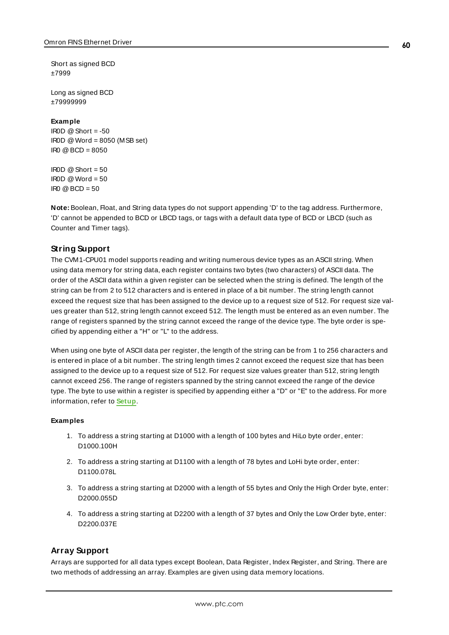Short as signed BCD ±7999

Long as signed BCD ±79999999

#### **Example**

 $IROD \ @$  Short = -50 IR0D @Word = 8050 (MSB set) IR0 @BCD = 8050

 $\text{IROD} \otimes \text{Short} = 50$  $IROD @Word = 50$  $IRO @ BCD = 50$ 

<span id="page-59-0"></span>**Note:** Boolean, Float, and String data types do not support appending 'D' to the tag address. Furthermore, 'D' cannot be appended to BCD or LBCD tags, or tags with a default data type of BCD or LBCD (such as Counter and Timer tags).

## **String Support**

The CVM1-CPU01 model supports reading and writing numerous device types as an ASCII string. When using data memory for string data, each register contains two bytes (two characters) of ASCII data. The order of the ASCII data within a given register can be selected when the string is defined. The length of the string can be from 2 to 512 characters and is entered in place of a bit number. The string length cannot exceed the request size that has been assigned to the device up to a request size of 512. For request size values greater than 512, string length cannot exceed 512. The length must be entered as an even number. The range of registers spanned by the string cannot exceed the range of the device type. The byte order is specified by appending either a "H" or "L" to the address.

When using one byte of ASCII data per register, the length of the string can be from 1 to 256 characters and is entered in place of a bit number. The string length times 2 cannot exceed the request size that has been assigned to the device up to a request size of 512. For request size values greater than 512, string length cannot exceed 256. The range of registers spanned by the string cannot exceed the range of the device type. The byte to use within a register is specified by appending either a "D" or "E" to the address. For more information, refer to **[Setup](#page-4-0)**.

#### **Examples**

- 1. To address a string starting at D1000 with a length of 100 bytes and HiLo byte order, enter: D1000.100H
- 2. To address a string starting at D1100 with a length of 78 bytes and LoHi byte order, enter: D1100.078L
- 3. To address a string starting at D2000 with a length of 55 bytes and Only the High Order byte, enter: D2000.055D
- 4. To address a string starting at D2200 with a length of 37 bytes and Only the Low Order byte, enter: D2200.037E

## <span id="page-59-1"></span>**Array Support**

Arrays are supported for all data types except Boolean, Data Register, Index Register, and String. There are two methods of addressing an array. Examples are given using data memory locations.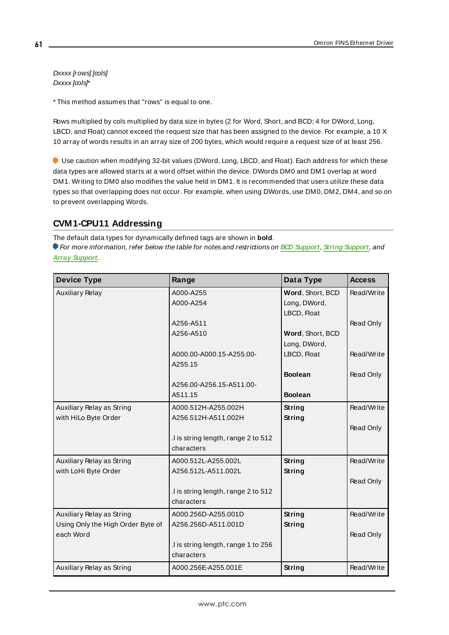Dxxxx [rows] [cols] Dxxxx [cols]\*

\* This method assumes that "rows" is equal to one.

Rows multiplied by cols multiplied by data size in bytes (2 for Word, Short, and BCD; 4 for DWord, Long, LBCD, and Float) cannot exceed the request size that has been assigned to the device. For example, a 10 X 10 array of words results in an array size of 200 bytes, which would require a request size of at least 256.

Use caution when modifying 32-bit values (DWord, Long, LBCD, and Float). Each address for which these data types are allowed starts at a word offset within the device. DWords DM0 and DM1 overlap at word DM1. Writing to DM0 also modifies the value held in DM1. It is recommended that users utilize these data types so that overlapping does not occur. For example, when using DWords, use DM0, DM2, DM4, and so on to prevent overlapping Words.

## **CVM1-CPU11 Addressing**

The default data types for dynamically defined tags are shown in **bold**.

| <b>Device Type</b>                | Range                              | Data Type        | <b>Access</b> |
|-----------------------------------|------------------------------------|------------------|---------------|
| <b>Auxiliary Relay</b>            | A000-A255                          | Word, Short, BCD | Read/Write    |
|                                   | A000-A254                          | Long, DWord,     |               |
|                                   |                                    | LBCD, Float      |               |
|                                   | A256-A511                          |                  | Read Only     |
|                                   | A256-A510                          | Word, Short, BCD |               |
|                                   |                                    | Long, DWord,     |               |
|                                   | A000.00-A000.15-A255.00-           | LBCD, Float      | Read/Write    |
|                                   | A255.15                            |                  |               |
|                                   |                                    | <b>Boolean</b>   | Read Only     |
|                                   | A256.00-A256.15-A511.00-           |                  |               |
|                                   | A511.15                            | <b>Boolean</b>   |               |
| Auxiliary Relay as String         | A000.512H-A255.002H                | String           | Read/Write    |
| with HiLo Byte Order              | A256.512H-A511.002H                | String           |               |
|                                   |                                    |                  | Read Only     |
|                                   | I is string length, range 2 to 512 |                  |               |
|                                   | characters                         |                  |               |
| Auxiliary Relay as String         | A000.512L-A255.002L                | String           | Read/Write    |
| with LoHi Byte Order              | A256.512L-A511.002L                | String           |               |
|                                   |                                    |                  | Read Only     |
|                                   | I is string length, range 2 to 512 |                  |               |
|                                   | characters                         |                  |               |
| Auxiliary Relay as String         | A000.256D-A255.001D                | String           | Read/Write    |
| Using Only the High Order Byte of | A256.256D-A511.001D                | String           |               |
| each Word                         |                                    |                  | Read Only     |
|                                   | I is string length, range 1 to 256 |                  |               |
|                                   | characters                         |                  |               |
| Auxiliary Relay as String         | A000.256E-A255.001E                | String           | Read/Write    |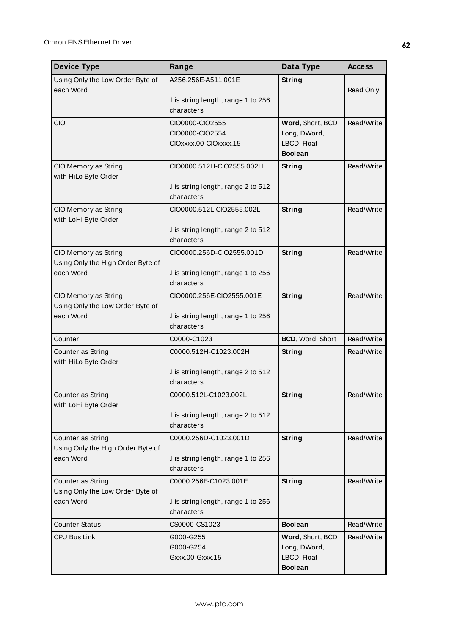| <b>Device Type</b>                                        | Range                                                       | Data Type                                                         | <b>Access</b> |
|-----------------------------------------------------------|-------------------------------------------------------------|-------------------------------------------------------------------|---------------|
| Using Only the Low Order Byte of<br>each Word             | A256.256E-A511.001E                                         | <b>String</b>                                                     | Read Only     |
|                                                           | .I is string length, range 1 to 256<br>characters           |                                                                   |               |
| <b>CIO</b>                                                | CIO0000-CIO2555<br>CIO0000-CIO2554<br>CIOxxxx.00-CIOxxxx.15 | Word, Short, BCD<br>Long, DWord,<br>LBCD, Float<br><b>Boolean</b> | Read/Write    |
| CIO Memory as String<br>with HiLo Byte Order              | CIO0000.512H-CIO2555.002H                                   | <b>String</b>                                                     | Read/Write    |
|                                                           | .I is string length, range 2 to 512<br>characters           |                                                                   |               |
| CIO Memory as String<br>with LoHi Byte Order              | CIO0000.512L-CIO2555.002L                                   | <b>String</b>                                                     | Read/Write    |
|                                                           | .I is string length, range 2 to 512<br>characters           |                                                                   |               |
| CIO Memory as String<br>Using Only the High Order Byte of | CIO0000.256D-CIO2555.001D                                   | <b>String</b>                                                     | Read/Write    |
| each Word                                                 | .I is string length, range 1 to 256<br>characters           |                                                                   |               |
| CIO Memory as String<br>Using Only the Low Order Byte of  | CIO0000.256E-CIO2555.001E                                   | String                                                            | Read/Write    |
| each Word                                                 | .I is string length, range 1 to 256<br>characters           |                                                                   |               |
| Counter                                                   | C0000-C1023                                                 | BCD, Word, Short                                                  | Read/Write    |
| Counter as String<br>with HiLo Byte Order                 | C0000.512H-C1023.002H                                       | <b>String</b>                                                     | Read/Write    |
|                                                           | .I is string length, range 2 to 512<br>characters           |                                                                   |               |
| Counter as String<br>with LoHi Byte Order                 | C0000.512L-C1023.002L                                       | String                                                            | Read/Write    |
|                                                           | .I is string length, range 2 to 512<br>characters           |                                                                   |               |
| Counter as String<br>Using Only the High Order Byte of    | C0000.256D-C1023.001D                                       | <b>String</b>                                                     | Read/Write    |
| each Word                                                 | .I is string length, range 1 to 256<br>characters           |                                                                   |               |
| Counter as String<br>Using Only the Low Order Byte of     | C0000.256E-C1023.001E                                       | <b>String</b>                                                     | Read/Write    |
| each Word                                                 | .I is string length, range 1 to 256<br>characters           |                                                                   |               |
| <b>Counter Status</b>                                     | CS0000-CS1023                                               | <b>Boolean</b>                                                    | Read/Write    |
| CPU Bus Link                                              | G000-G255                                                   | Word, Short, BCD                                                  | Read/Write    |
|                                                           | G000-G254                                                   | Long, DWord,                                                      |               |
|                                                           | Gxxx.00-Gxxx.15                                             | LBCD, Float<br><b>Boolean</b>                                     |               |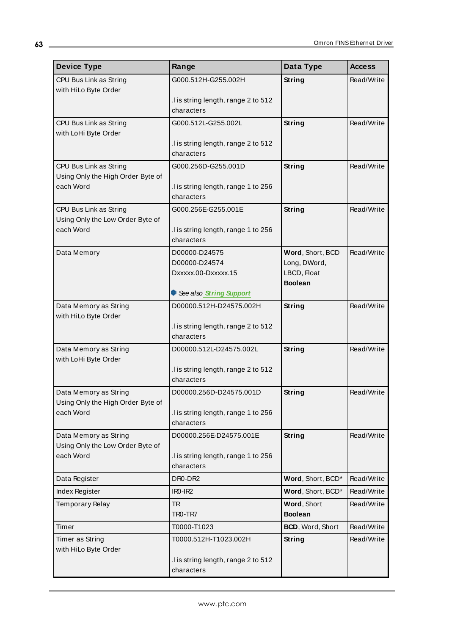| <b>Device Type</b>                                         | Range                                             | Data Type         | <b>Access</b> |
|------------------------------------------------------------|---------------------------------------------------|-------------------|---------------|
| CPU Bus Link as String                                     | G000.512H-G255.002H                               | <b>String</b>     | Read/Write    |
| with HiLo Byte Order                                       |                                                   |                   |               |
|                                                            | .I is string length, range 2 to 512<br>characters |                   |               |
|                                                            |                                                   |                   | Read/Write    |
| CPU Bus Link as String<br>with LoHi Byte Order             | G000.512L-G255.002L                               | <b>String</b>     |               |
|                                                            | I is string length, range 2 to 512                |                   |               |
|                                                            | characters                                        |                   |               |
| CPU Bus Link as String                                     | G000.256D-G255.001D                               | <b>String</b>     | Read/Write    |
| Using Only the High Order Byte of                          |                                                   |                   |               |
| each Word                                                  | .I is string length, range 1 to 256<br>characters |                   |               |
|                                                            | G000.256E-G255.001E                               | <b>String</b>     | Read/Write    |
| CPU Bus Link as String<br>Using Only the Low Order Byte of |                                                   |                   |               |
| each Word                                                  | .I is string length, range 1 to 256               |                   |               |
|                                                            | characters                                        |                   |               |
| Data Memory                                                | D00000-D24575                                     | Word, Short, BCD  | Read/Write    |
|                                                            | D00000-D24574                                     | Long, DWord,      |               |
|                                                            | Dxxxxx.00-Dxxxxx.15                               | LBCD, Float       |               |
|                                                            | See also String Support                           | <b>Boolean</b>    |               |
| Data Memory as String                                      | D00000.512H-D24575.002H                           | <b>String</b>     | Read/Write    |
| with HiLo Byte Order                                       |                                                   |                   |               |
|                                                            | .I is string length, range 2 to 512               |                   |               |
|                                                            | characters                                        |                   |               |
| Data Memory as String                                      | D00000.512L-D24575.002L                           | <b>String</b>     | Read/Write    |
| with LoHi Byte Order                                       | .I is string length, range 2 to 512               |                   |               |
|                                                            | characters                                        |                   |               |
| Data Memory as String                                      | D00000.256D-D24575.001D                           | <b>String</b>     | Read/Write    |
| Using Only the High Order Byte of                          |                                                   |                   |               |
| each Word                                                  | .I is string length, range 1 to 256               |                   |               |
|                                                            | characters                                        |                   |               |
| Data Memory as String                                      | D00000.256E-D24575.001E                           | <b>String</b>     | Read/Write    |
| Using Only the Low Order Byte of<br>each Word              | I is string length, range 1 to 256                |                   |               |
|                                                            | characters                                        |                   |               |
| Data Register                                              | DR0-DR2                                           | Word, Short, BCD* | Read/Write    |
| Index Register                                             | $IRO-IR2$                                         | Word, Short, BCD* | Read/Write    |
| Temporary Relay                                            | <b>TR</b>                                         | Word, Short       | Read/Write    |
|                                                            | TRO-TR7                                           | <b>Boolean</b>    |               |
| Timer                                                      | T0000-T1023                                       | BCD, Word, Short  | Read/Write    |
| Timer as String                                            | T0000.512H-T1023.002H                             | <b>String</b>     | Read/Write    |
| with HiLo Byte Order                                       |                                                   |                   |               |
|                                                            | .I is string length, range 2 to 512               |                   |               |
|                                                            | characters                                        |                   |               |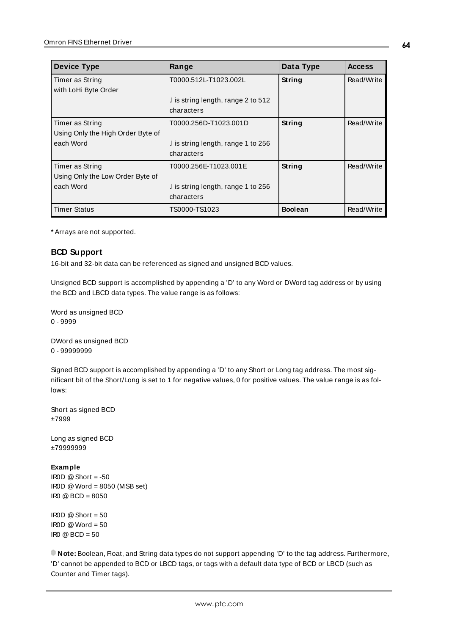| <b>Device Type</b>                                                | Range                                                                     | Data Type      | <b>Access</b> |
|-------------------------------------------------------------------|---------------------------------------------------------------------------|----------------|---------------|
| Timer as String<br>with LoHi Byte Order                           | T0000.512L-T1023.002L                                                     | String         | Read/Write    |
|                                                                   | I is string length, range 2 to 512<br>characters                          |                |               |
| Timer as String<br>Using Only the High Order Byte of<br>each Word | T0000.256D-T1023.001D<br>I is string length, range 1 to 256<br>characters | String         | Read/Write    |
| Timer as String<br>Using Only the Low Order Byte of<br>each Word  | T0000.256E-T1023.001E<br>I is string length, range 1 to 256<br>characters | String         | Read/Write    |
| <b>Timer Status</b>                                               | TS0000-TS1023                                                             | <b>Boolean</b> | Read/Write    |

<span id="page-63-0"></span>\* Arrays are not supported.

## **BCD Support**

16-bit and 32-bit data can be referenced as signed and unsigned BCD values.

Unsigned BCD support is accomplished by appending a 'D' to any Word or DWord tag address or by using the BCD and LBCD data types. The value range is as follows:

Word as unsigned BCD 0 - 9999

DWord as unsigned BCD 0 - 99999999

Signed BCD support is accomplished by appending a 'D' to any Short or Long tag address. The most significant bit of the Short/Long is set to 1 for negative values, 0 for positive values. The value range is as follows:

Short as signed BCD ±7999

Long as signed BCD ±79999999

#### **Example**

```
IROD @ Short = -50
IR0D @Word = 8050 (MSB set)
IR0 @BCD = 8050
```
IROD  $@$  Short = 50  $\text{IROD} \otimes \text{Word} = 50$  $\text{IRO} \textcircled{a} \text{BCD} = 50$ 

**Note:** Boolean, Float, and String data types do not support appending 'D' to the tag address. Furthermore, 'D' cannot be appended to BCD or LBCD tags, or tags with a default data type of BCD or LBCD (such as Counter and Timer tags).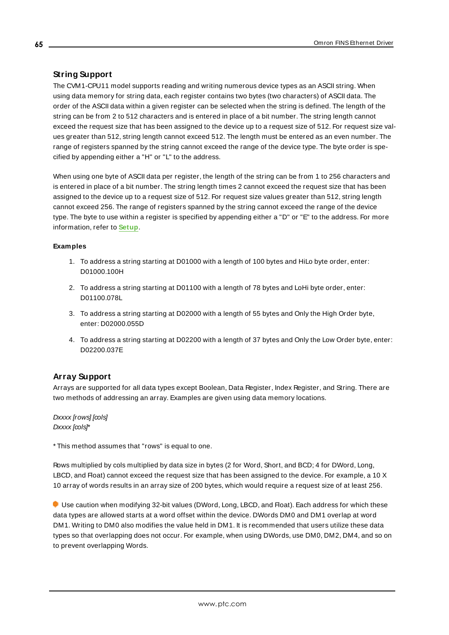# <span id="page-64-0"></span>**String Support**

The CVM1-CPU11 model supports reading and writing numerous device types as an ASCII string. When using data memory for string data, each register contains two bytes (two characters) of ASCII data. The order of the ASCII data within a given register can be selected when the string is defined. The length of the string can be from 2 to 512 characters and is entered in place of a bit number. The string length cannot exceed the request size that has been assigned to the device up to a request size of 512. For request size values greater than 512, string length cannot exceed 512. The length must be entered as an even number. The range of registers spanned by the string cannot exceed the range of the device type. The byte order is specified by appending either a "H" or "L" to the address.

When using one byte of ASCII data per register, the length of the string can be from 1 to 256 characters and is entered in place of a bit number. The string length times 2 cannot exceed the request size that has been assigned to the device up to a request size of 512. For request size values greater than 512, string length cannot exceed 256. The range of registers spanned by the string cannot exceed the range of the device type. The byte to use within a register is specified by appending either a "D" or "E" to the address. For more information, refer to **[Setup](#page-4-0)**.

## **Examples**

- 1. To address a string starting at D01000 with a length of 100 bytes and HiLo byte order, enter: D01000.100H
- 2. To address a string starting at D01100 with a length of 78 bytes and LoHi byte order, enter: D01100.078L
- 3. To address a string starting at D02000 with a length of 55 bytes and Only the High Order byte, enter: D02000.055D
- 4. To address a string starting at D02200 with a length of 37 bytes and Only the Low Order byte, enter: D02200.037E

# <span id="page-64-1"></span>**Array Support**

Arrays are supported for all data types except Boolean, Data Register, Index Register, and String. There are two methods of addressing an array. Examples are given using data memory locations.

Dxxxx [rows] [cols] Dxxxx [cols]\*

\* This method assumes that "rows" is equal to one.

Rows multiplied by cols multiplied by data size in bytes (2 for Word, Short, and BCD; 4 for DWord, Long, LBCD, and Float) cannot exceed the request size that has been assigned to the device. For example, a 10 X 10 array of words results in an array size of 200 bytes, which would require a request size of at least 256.

Use caution when modifying 32-bit values (DWord, Long, LBCD, and Float). Each address for which these data types are allowed starts at a word offset within the device. DWords DM0 and DM1 overlap at word DM1. Writing to DM0 also modifies the value held in DM1. It is recommended that users utilize these data types so that overlapping does not occur. For example, when using DWords, use DM0, DM2, DM4, and so on to prevent overlapping Words.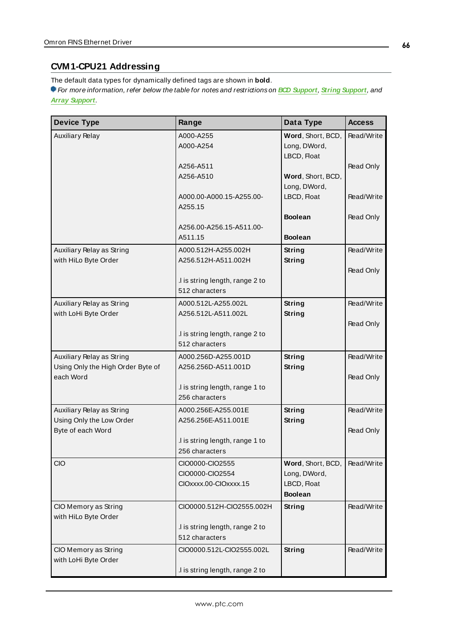# **CVM1-CPU21 Addressing**

The default data types for dynamically defined tags are shown in **bold**.

| <b>Device Type</b>                                                          | Range                                                        | Data Type                                                          | <b>Access</b>           |
|-----------------------------------------------------------------------------|--------------------------------------------------------------|--------------------------------------------------------------------|-------------------------|
| <b>Auxiliary Relay</b>                                                      | A000-A255<br>A000-A254                                       | Word, Short, BCD,<br>Long, DWord,<br>LBCD, Float                   | Read/Write              |
|                                                                             | A256-A511<br>A256-A510                                       | Word, Short, BCD,                                                  | Read Only               |
|                                                                             | A000.00-A000.15-A255.00-<br>A255.15                          | Long, DWord,<br>LBCD, Float                                        | Read/Write              |
|                                                                             | A256.00-A256.15-A511.00-<br>A511.15                          | <b>Boolean</b><br><b>Boolean</b>                                   | Read Only               |
| Auxiliary Relay as String<br>with HiLo Byte Order                           | A000.512H-A255.002H<br>A256.512H-A511.002H                   | <b>String</b><br>String                                            | Read/Write              |
|                                                                             | .I is string length, range 2 to<br>512 characters            |                                                                    | Read Only               |
| Auxiliary Relay as String<br>with LoHi Byte Order                           | A000.512L-A255.002L<br>A256.512L-A511.002L                   | <b>String</b><br>String                                            | Read/Write              |
|                                                                             | .I is string length, range 2 to<br>512 characters            |                                                                    | Read Only               |
| Auxiliary Relay as String<br>Using Only the High Order Byte of<br>each Word | A000.256D-A255.001D<br>A256.256D-A511.001D                   | <b>String</b><br>String                                            | Read/Write<br>Read Only |
|                                                                             | .I is string length, range 1 to<br>256 characters            |                                                                    |                         |
| Auxiliary Relay as String<br>Using Only the Low Order                       | A000.256E-A255.001E<br>A256.256E-A511.001E                   | <b>String</b><br>String                                            | Read/Write              |
| Byte of each Word                                                           | .I is string length, range 1 to<br>256 characters            |                                                                    | Read Only               |
| <b>CIO</b>                                                                  | CIO0000-CIO2555<br>CIO0000-CIO2554<br>CIOxxxx.00-CIOxxxx.15  | Word, Short, BCD,<br>Long, DWord,<br>LBCD, Float<br><b>Boolean</b> | Read/Write              |
| CIO Memory as String<br>with HiLo Byte Order                                | CIO0000.512H-CIO2555.002H<br>.I is string length, range 2 to | String                                                             | Read/Write              |
|                                                                             | 512 characters                                               |                                                                    |                         |
| CIO Memory as String<br>with LoHi Byte Order                                | CIO0000.512L-CIO2555.002L                                    | String                                                             | Read/Write              |
|                                                                             | .I is string length, range 2 to                              |                                                                    |                         |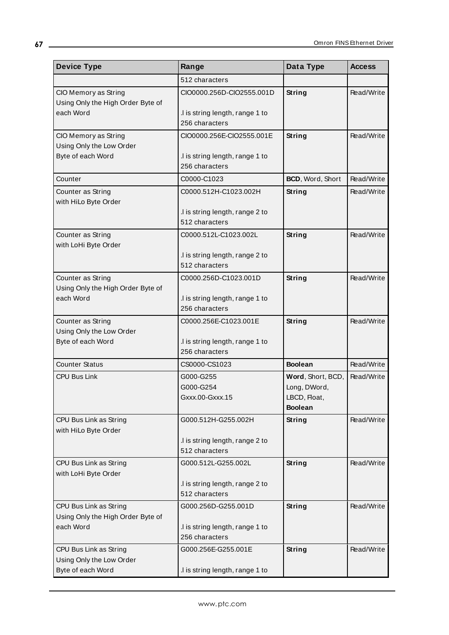| <b>Device Type</b>                                          | Range                                             | Data Type                      | <b>Access</b> |
|-------------------------------------------------------------|---------------------------------------------------|--------------------------------|---------------|
|                                                             | 512 characters                                    |                                |               |
| CIO Memory as String<br>Using Only the High Order Byte of   | CIO0000.256D-CIO2555.001D                         | String                         | Read/Write    |
| each Word                                                   | .I is string length, range 1 to<br>256 characters |                                |               |
| CIO Memory as String                                        | CIO0000.256E-CIO2555.001E                         | String                         | Read/Write    |
| Using Only the Low Order<br>Byte of each Word               | .I is string length, range 1 to<br>256 characters |                                |               |
| Counter                                                     | C0000-C1023                                       | BCD, Word, Short               | Read/Write    |
| Counter as String<br>with HiLo Byte Order                   | C0000.512H-C1023.002H                             | String                         | Read/Write    |
|                                                             | .I is string length, range 2 to<br>512 characters |                                |               |
| Counter as String<br>with LoHi Byte Order                   | C0000.512L-C1023.002L                             | <b>String</b>                  | Read/Write    |
|                                                             | I is string length, range 2 to<br>512 characters  |                                |               |
| Counter as String<br>Using Only the High Order Byte of      | C0000.256D-C1023.001D                             | String                         | Read/Write    |
| each Word                                                   | .I is string length, range 1 to<br>256 characters |                                |               |
| Counter as String                                           | C0000.256E-C1023.001E                             | String                         | Read/Write    |
| Using Only the Low Order                                    |                                                   |                                |               |
| Byte of each Word                                           | .I is string length, range 1 to<br>256 characters |                                |               |
| <b>Counter Status</b>                                       | CS0000-CS1023                                     | <b>Boolean</b>                 | Read/Write    |
| <b>CPU Bus Link</b>                                         | G000-G255                                         | Word, Short, BCD,              | Read/Write    |
|                                                             | G000-G254                                         | Long, DWord,                   |               |
|                                                             | Gxxx.00-Gxxx.15                                   | LBCD, Float,<br><b>Boolean</b> |               |
| CPU Bus Link as String<br>with HiLo Byte Order              | G000.512H-G255.002H                               | <b>String</b>                  | Read/Write    |
|                                                             | I is string length, range 2 to                    |                                |               |
|                                                             | 512 characters                                    |                                |               |
| CPU Bus Link as String<br>with LoHi Byte Order              | G000.512L-G255.002L                               | String                         | Read/Write    |
|                                                             | .I is string length, range 2 to                   |                                |               |
|                                                             | 512 characters                                    |                                |               |
| CPU Bus Link as String<br>Using Only the High Order Byte of | G000.256D-G255.001D                               | String                         | Read/Write    |
| each Word                                                   | I is string length, range 1 to                    |                                |               |
|                                                             | 256 characters                                    |                                |               |
| CPU Bus Link as String                                      | G000.256E-G255.001E                               | <b>String</b>                  | Read/Write    |
| Using Only the Low Order                                    |                                                   |                                |               |
| Byte of each Word                                           | .I is string length, range 1 to                   |                                |               |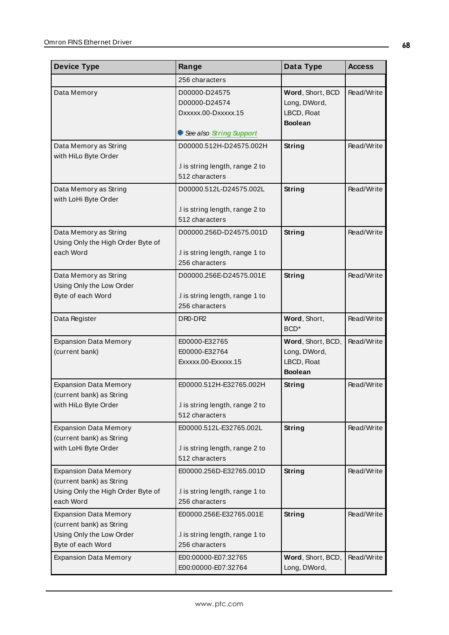| <b>Device Type</b>                                                                                         | Range                                                                        | Data Type                                                          | <b>Access</b> |
|------------------------------------------------------------------------------------------------------------|------------------------------------------------------------------------------|--------------------------------------------------------------------|---------------|
|                                                                                                            | 256 characters                                                               |                                                                    |               |
| Data Memory                                                                                                | D00000-D24575<br>D00000-D24574<br>Dxxxxx.00-Dxxxxx.15                        | Word, Short, BCD<br>Long, DWord,<br>LBCD, Float<br><b>Boolean</b>  | Read/Write    |
|                                                                                                            | See also String Support                                                      |                                                                    |               |
| Data Memory as String<br>with HiLo Byte Order                                                              | D00000.512H-D24575.002H<br>.I is string length, range 2 to<br>512 characters | String                                                             | Read/Write    |
| Data Memory as String<br>with LoHi Byte Order                                                              | D00000.512L-D24575.002L<br>.I is string length, range 2 to                   | String                                                             | Read/Write    |
|                                                                                                            | 512 characters                                                               |                                                                    |               |
| Data Memory as String<br>Using Only the High Order Byte of<br>each Word                                    | D00000.256D-D24575.001D<br>.I is string length, range 1 to                   | String                                                             | Read/Write    |
|                                                                                                            | 256 characters                                                               |                                                                    |               |
| Data Memory as String<br>Using Only the Low Order                                                          | D00000.256E-D24575.001E                                                      | String                                                             | Read/Write    |
| Byte of each Word                                                                                          | .I is string length, range 1 to<br>256 characters                            |                                                                    |               |
| Data Register                                                                                              | DR0-DR2                                                                      | Word, Short,<br>BCD <sup>*</sup>                                   | Read/Write    |
| <b>Expansion Data Memory</b><br>(current bank)                                                             | E00000-E32765<br>E00000-E32764<br>Exxxxx.00-Exxxxx.15                        | Word, Short, BCD,<br>Long, DWord,<br>LBCD, Float<br><b>Boolean</b> | Read/Write    |
| <b>Expansion Data Memory</b><br>(current bank) as String<br>with HiLo Byte Order                           | E00000.512H-E32765.002H<br>I is string length, range 2 to<br>512 characters  | String                                                             | Read/Write    |
| <b>Expansion Data Memory</b><br>(current bank) as String<br>with LoHi Byte Order                           | E00000.512L-E32765.002L<br>.I is string length, range 2 to<br>512 characters | String                                                             | Read/Write    |
| <b>Expansion Data Memory</b><br>(current bank) as String<br>Using Only the High Order Byte of<br>each Word | E00000.256D-E32765.001D<br>.I is string length, range 1 to<br>256 characters | String                                                             | Read/Write    |
| <b>Expansion Data Memory</b><br>(current bank) as String<br>Using Only the Low Order<br>Byte of each Word  | E00000.256E-E32765.001E<br>.I is string length, range 1 to<br>256 characters | String                                                             | Read/Write    |
| <b>Expansion Data Memory</b>                                                                               | E00:00000-E07:32765<br>E00:00000-E07:32764                                   | Word, Short, BCD,<br>Long, DWord,                                  | Read/Write    |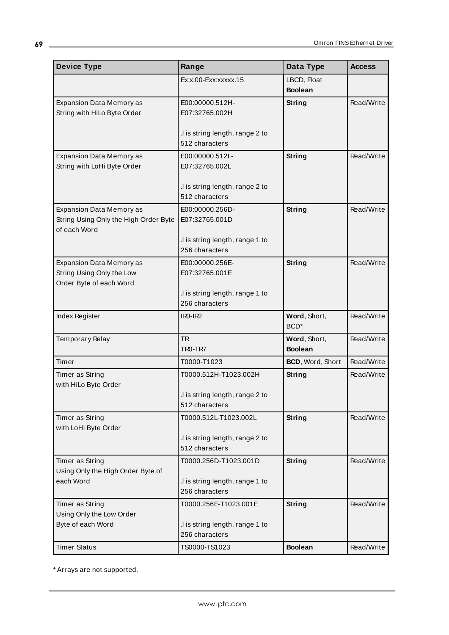| <b>Device Type</b>                                                                       | Range                                                                                  | Data Type                        | <b>Access</b> |
|------------------------------------------------------------------------------------------|----------------------------------------------------------------------------------------|----------------------------------|---------------|
|                                                                                          | Ex:x.00-Exx:xxxxx.15                                                                   | LBCD, Float<br><b>Boolean</b>    |               |
| Expansion Data Memory as<br>String with HiLo Byte Order                                  | E00:00000.512H-<br>E07:32765.002H                                                      | String                           | Read/Write    |
|                                                                                          | .I is string length, range 2 to<br>512 characters                                      |                                  |               |
| <b>Expansion Data Memory as</b><br>String with LoHi Byte Order                           | E00:00000.512L-<br>E07:32765.002L<br>.I is string length, range 2 to                   | String                           | Read/Write    |
|                                                                                          | 512 characters                                                                         |                                  |               |
| <b>Expansion Data Memory as</b><br>String Using Only the High Order Byte<br>of each Word | E00:00000.256D-<br>E07:32765.001D<br>.I is string length, range 1 to<br>256 characters | String                           | Read/Write    |
| Expansion Data Memory as<br>String Using Only the Low<br>Order Byte of each Word         | E00:00000.256E-<br>E07:32765.001E<br>.I is string length, range 1 to<br>256 characters | String                           | Read/Write    |
| Index Register                                                                           | $IRO-IR2$                                                                              | Word, Short,<br>BCD <sup>*</sup> | Read/Write    |
| Temporary Relay                                                                          | <b>TR</b><br>TRO-TR7                                                                   | Word, Short,<br><b>Boolean</b>   | Read/Write    |
| Timer                                                                                    | T0000-T1023                                                                            | BCD, Word, Short                 | Read/Write    |
| Timer as String<br>with HiLo Byte Order                                                  | T0000.512H-T1023.002H<br>I is string length, range 2 to<br>512 characters              | String                           | Read/Write    |
| Timer as String<br>with LoHi Byte Order                                                  | T0000.512L-T1023.002L<br>.I is string length, range 2 to<br>512 characters             | <b>String</b>                    | Read/Write    |
| Timer as String<br>Using Only the High Order Byte of<br>each Word                        | T0000.256D-T1023.001D<br>.I is string length, range 1 to<br>256 characters             | <b>String</b>                    | Read/Write    |
| Timer as String<br>Using Only the Low Order<br>Byte of each Word                         | T0000.256E-T1023.001E<br>.I is string length, range 1 to<br>256 characters             | <b>String</b>                    | Read/Write    |
| <b>Timer Status</b>                                                                      | TS0000-TS1023                                                                          | <b>Boolean</b>                   | Read/Write    |

<u> 1980 - Johann Barn, mars ann an t-Amhain Aonaich an t-Aonaich an t-Aonaich ann an t-Aonaich ann an t-Aonaich</u>

\* Arrays are not supported.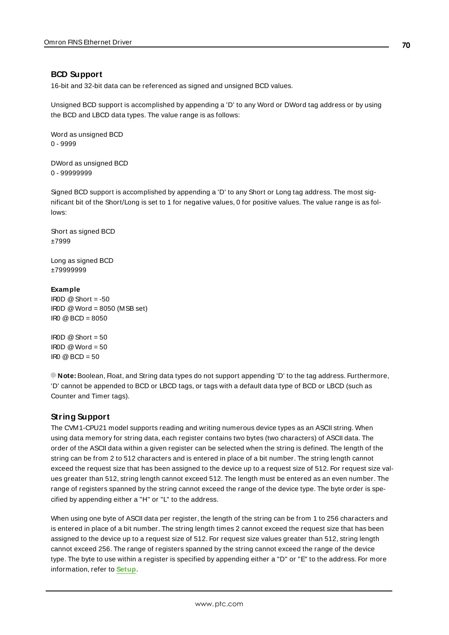## <span id="page-69-0"></span>**BCD Support**

16-bit and 32-bit data can be referenced as signed and unsigned BCD values.

Unsigned BCD support is accomplished by appending a 'D' to any Word or DWord tag address or by using the BCD and LBCD data types. The value range is as follows:

Word as unsigned BCD 0 - 9999

DWord as unsigned BCD 0 - 99999999

Signed BCD support is accomplished by appending a 'D' to any Short or Long tag address. The most significant bit of the Short/Long is set to 1 for negative values, 0 for positive values. The value range is as follows:

Short as signed BCD ±7999

Long as signed BCD ±79999999

#### **Example**

IROD  $@$  Short = -50 IR0D @Word = 8050 (MSB set)  $IRO @ BCD = 8050$ 

 $ROD @ Short = 50$  $\text{IROD} \text{ @Word} = 50$  $\text{IRO} \quad \text{Q} \text{BCD} = 50$ 

<span id="page-69-1"></span>**Note:** Boolean, Float, and String data types do not support appending 'D' to the tag address. Furthermore, 'D' cannot be appended to BCD or LBCD tags, or tags with a default data type of BCD or LBCD (such as Counter and Timer tags).

## **String Support**

The CVM1-CPU21 model supports reading and writing numerous device types as an ASCII string. When using data memory for string data, each register contains two bytes (two characters) of ASCII data. The order of the ASCII data within a given register can be selected when the string is defined. The length of the string can be from 2 to 512 characters and is entered in place of a bit number. The string length cannot exceed the request size that has been assigned to the device up to a request size of 512. For request size values greater than 512, string length cannot exceed 512. The length must be entered as an even number. The range of registers spanned by the string cannot exceed the range of the device type. The byte order is specified by appending either a "H" or "L" to the address.

When using one byte of ASCII data per register, the length of the string can be from 1 to 256 characters and is entered in place of a bit number. The string length times 2 cannot exceed the request size that has been assigned to the device up to a request size of 512. For request size values greater than 512, string length cannot exceed 256. The range of registers spanned by the string cannot exceed the range of the device type. The byte to use within a register is specified by appending either a "D" or "E" to the address. For more information, refer to **[Setup](#page-4-0)**.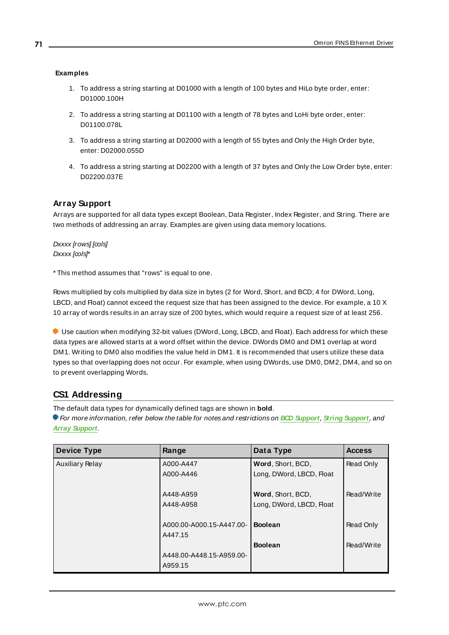## **Examples**

- 1. To address a string starting at D01000 with a length of 100 bytes and HiLo byte order, enter: D01000.100H
- 2. To address a string starting at D01100 with a length of 78 bytes and LoHi byte order, enter: D01100.078L
- 3. To address a string starting at D02000 with a length of 55 bytes and Only the High Order byte, enter: D02000.055D
- 4. To address a string starting at D02200 with a length of 37 bytes and Only the Low Order byte, enter: D02200.037E

## <span id="page-70-0"></span>**Array Support**

Arrays are supported for all data types except Boolean, Data Register, Index Register, and String. There are two methods of addressing an array. Examples are given using data memory locations.

Dxxxx [rows] [cols] Dxxxx [cols]\*

\* This method assumes that "rows" is equal to one.

Rows multiplied by cols multiplied by data size in bytes (2 for Word, Short, and BCD; 4 for DWord, Long, LBCD, and Float) cannot exceed the request size that has been assigned to the device. For example, a 10 X 10 array of words results in an array size of 200 bytes, which would require a request size of at least 256.

Use caution when modifying 32-bit values (DWord, Long, LBCD, and Float). Each address for which these data types are allowed starts at a word offset within the device. DWords DM0 and DM1 overlap at word DM1. Writing to DM0 also modifies the value held in DM1. It is recommended that users utilize these data types so that overlapping does not occur. For example, when using DWords, use DM0, DM2, DM4, and so on to prevent overlapping Words.

# **CS1 Addressing**

The default data types for dynamically defined tags are shown in **bold**.

| <b>Device Type</b>     | Range                               | Data Type                                     | <b>Access</b> |
|------------------------|-------------------------------------|-----------------------------------------------|---------------|
| <b>Auxiliary Relay</b> | A000-A447                           | Word, Short, BCD,                             | Read Only     |
|                        | A000-A446                           | Long, DWord, LBCD, Float                      |               |
|                        | A448-A959<br>A448-A958              | Word, Short, BCD,<br>Long, DWord, LBCD, Float | Read/Write    |
|                        | A000.00-A000.15-A447.00-<br>A447.15 | <b>Boolean</b>                                | Read Only     |
|                        |                                     | <b>Boolean</b>                                | Read/Write    |
|                        | A448.00-A448.15-A959.00-            |                                               |               |
|                        | A959.15                             |                                               |               |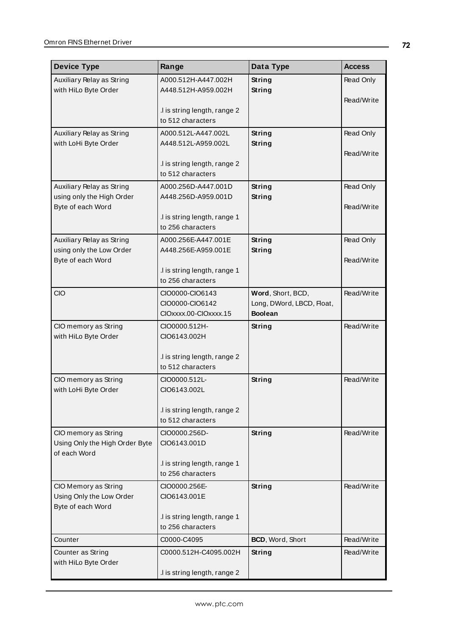| <b>Device Type</b>                               | Range                                             | Data Type                                   | <b>Access</b> |
|--------------------------------------------------|---------------------------------------------------|---------------------------------------------|---------------|
| Auxiliary Relay as String                        | A000.512H-A447.002H                               | <b>String</b>                               | Read Only     |
| with HiLo Byte Order                             | A448.512H-A959.002H                               | <b>String</b>                               |               |
|                                                  |                                                   |                                             | Read/Write    |
|                                                  | .I is string length, range 2                      |                                             |               |
|                                                  | to 512 characters                                 |                                             |               |
| Auxiliary Relay as String                        | A000.512L-A447.002L                               | String                                      | Read Only     |
| with LoHi Byte Order                             | A448.512L-A959.002L                               | String                                      | Read/Write    |
|                                                  | I is string length, range 2                       |                                             |               |
|                                                  | to 512 characters                                 |                                             |               |
| Auxiliary Relay as String                        | A000.256D-A447.001D                               | <b>String</b>                               | Read Only     |
| using only the High Order                        | A448.256D-A959.001D                               | <b>String</b>                               |               |
| Byte of each Word                                |                                                   |                                             | Read/Write    |
|                                                  | I is string length, range 1                       |                                             |               |
|                                                  | to 256 characters                                 |                                             |               |
| Auxiliary Relay as String                        | A000.256E-A447.001E                               | <b>String</b>                               | Read Only     |
| using only the Low Order                         | A448.256E-A959.001E                               | <b>String</b>                               |               |
| Byte of each Word                                |                                                   |                                             | Read/Write    |
|                                                  | .I is string length, range 1                      |                                             |               |
|                                                  | to 256 characters                                 |                                             |               |
| CIO                                              | CIO0000-CIO6143                                   | Word, Short, BCD,                           | Read/Write    |
|                                                  | CIO0000-CIO6142                                   | Long, DWord, LBCD, Float,<br><b>Boolean</b> |               |
|                                                  | CIOxxxx.00-CIOxxxx.15                             |                                             |               |
| CIO memory as String                             | CIO0000.512H-                                     | <b>String</b>                               | Read/Write    |
| with HiLo Byte Order                             | CIO6143.002H                                      |                                             |               |
|                                                  | .I is string length, range 2                      |                                             |               |
|                                                  | to 512 characters                                 |                                             |               |
| CIO memory as String                             | CIO0000.512L-                                     | <b>String</b>                               | Read/Write    |
| with LoHi Byte Order                             | CIO6143.002L                                      |                                             |               |
|                                                  |                                                   |                                             |               |
|                                                  | .I is string length, range 2                      |                                             |               |
|                                                  | to 512 characters                                 |                                             |               |
| CIO memory as String                             | CIO0000.256D-                                     | <b>String</b>                               | Read/Write    |
| Using Only the High Order Byte                   | CIO6143.001D                                      |                                             |               |
| of each Word                                     |                                                   |                                             |               |
|                                                  | .I is string length, range 1<br>to 256 characters |                                             |               |
|                                                  |                                                   |                                             |               |
| CIO Memory as String<br>Using Only the Low Order | CIO0000.256E-<br>CIO6143.001E                     | <b>String</b>                               | Read/Write    |
| Byte of each Word                                |                                                   |                                             |               |
|                                                  | .I is string length, range 1                      |                                             |               |
|                                                  | to 256 characters                                 |                                             |               |
| Counter                                          | C0000-C4095                                       | BCD, Word, Short                            | Read/Write    |
| Counter as String                                | C0000.512H-C4095.002H                             | <b>String</b>                               | Read/Write    |
| with HiLo Byte Order                             |                                                   |                                             |               |
|                                                  | .I is string length, range 2                      |                                             |               |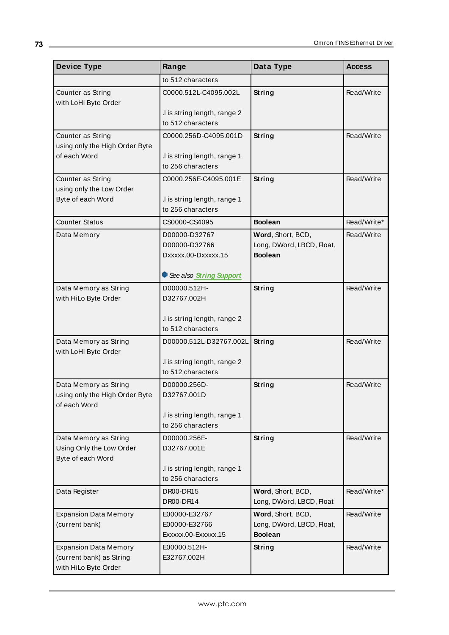| <b>Device Type</b>                                                               | Range                                                                            | Data Type                                                        | <b>Access</b> |
|----------------------------------------------------------------------------------|----------------------------------------------------------------------------------|------------------------------------------------------------------|---------------|
|                                                                                  | to 512 characters                                                                |                                                                  |               |
| Counter as String<br>with LoHi Byte Order                                        | C0000.512L-C4095.002L                                                            | String                                                           | Read/Write    |
|                                                                                  | .I is string length, range 2<br>to 512 characters                                |                                                                  |               |
| Counter as String                                                                | C0000.256D-C4095.001D                                                            | String                                                           | Read/Write    |
| using only the High Order Byte<br>of each Word                                   | .I is string length, range 1<br>to 256 characters                                |                                                                  |               |
| Counter as String                                                                | C0000.256E-C4095.001E                                                            | String                                                           | Read/Write    |
| using only the Low Order<br>Byte of each Word                                    | I is string length, range 1.<br>to 256 characters                                |                                                                  |               |
| <b>Counter Status</b>                                                            | CS0000-CS4095                                                                    | <b>Boolean</b>                                                   | Read/Write*   |
| Data Memory                                                                      | D00000-D32767<br>D00000-D32766<br>Dxxxxx.00-Dxxxxx.15<br>See also String Support | Word, Short, BCD,<br>Long, DWord, LBCD, Float,<br><b>Boolean</b> | Read/Write    |
| Data Memory as String                                                            | D00000.512H-                                                                     | String                                                           | Read/Write    |
| with HiLo Byte Order                                                             | D32767.002H                                                                      |                                                                  |               |
|                                                                                  | .I is string length, range 2<br>to 512 characters                                |                                                                  |               |
| Data Memory as String<br>with LoHi Byte Order                                    | D00000.512L-D32767.002L                                                          | String                                                           | Read/Write    |
|                                                                                  | I is string length, range 2<br>to 512 characters                                 |                                                                  |               |
| Data Memory as String<br>using only the High Order Byte<br>of each Word          | D00000.256D-<br>D32767.001D                                                      | String                                                           | Read/Write    |
|                                                                                  | I is string length, range 1<br>to 256 characters                                 |                                                                  |               |
| Data Memory as String<br>Using Only the Low Order<br>Byte of each Word           | D00000.256E-<br>D32767.001E                                                      | <b>String</b>                                                    | Read/Write    |
|                                                                                  | .I is string length, range 1<br>to 256 characters                                |                                                                  |               |
| Data Register                                                                    | DR00-DR15<br>DR00-DR14                                                           | Word, Short, BCD,<br>Long, DWord, LBCD, Float                    | Read/Write*   |
| <b>Expansion Data Memory</b><br>(current bank)                                   | E00000-E32767<br>E00000-E32766<br>Exxxxx.00-Exxxxx.15                            | Word, Short, BCD,<br>Long, DWord, LBCD, Float,<br><b>Boolean</b> | Read/Write    |
| <b>Expansion Data Memory</b><br>(current bank) as String<br>with HiLo Byte Order | E00000.512H-<br>E32767.002H                                                      | String                                                           | Read/Write    |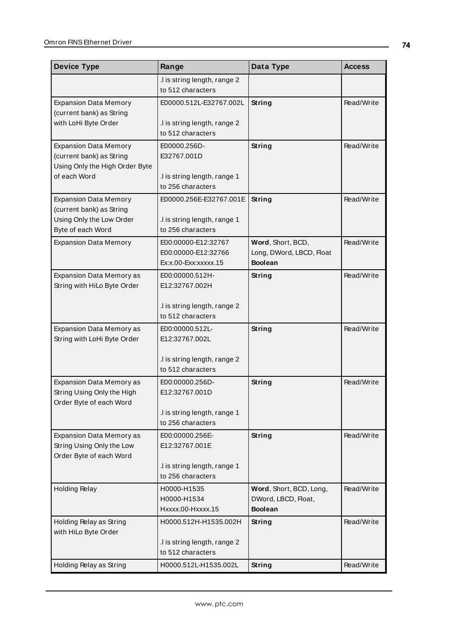| <b>Device Type</b>                                                                      | Range                                                              | Data Type                                                        | <b>Access</b> |
|-----------------------------------------------------------------------------------------|--------------------------------------------------------------------|------------------------------------------------------------------|---------------|
|                                                                                         | .I is string length, range 2<br>to 512 characters                  |                                                                  |               |
| <b>Expansion Data Memory</b><br>(current bank) as String                                | E00000.512L-E32767.002L                                            | <b>String</b>                                                    | Read/Write    |
| with LoHi Byte Order                                                                    | .I is string length, range 2<br>to 512 characters                  |                                                                  |               |
| <b>Expansion Data Memory</b><br>(current bank) as String                                | E00000.256D-<br>E32767.001D                                        | String                                                           | Read/Write    |
| Using Only the High Order Byte<br>of each Word                                          | .I is string length, range 1<br>to 256 characters                  |                                                                  |               |
| <b>Expansion Data Memory</b><br>(current bank) as String                                | E00000.256E-E32767.001E                                            | <b>String</b>                                                    | Read/Write    |
| Using Only the Low Order<br>Byte of each Word                                           | .I is string length, range 1<br>to 256 characters                  |                                                                  |               |
| <b>Expansion Data Memory</b>                                                            | E00:00000-E12:32767<br>E00:00000-E12:32766<br>Ex:x.00-Exx:xxxxx.15 | Word, Short, BCD,<br>Long, DWord, LBCD, Float<br><b>Boolean</b>  | Read/Write    |
| Expansion Data Memory as<br>String with HiLo Byte Order                                 | E00:00000.512H-<br>E12:32767.002H                                  | <b>String</b>                                                    | Read/Write    |
|                                                                                         | .I is string length, range 2<br>to 512 characters                  |                                                                  |               |
| Expansion Data Memory as<br>String with LoHi Byte Order                                 | E00:00000.512L-<br>E12:32767.002L                                  | String                                                           | Read/Write    |
|                                                                                         | .I is string length, range 2<br>to 512 characters                  |                                                                  |               |
| Expansion Data Memory as<br>String Using Only the High<br>Order Byte of each Word       | E00:00000.256D-<br>E12:32767.001D                                  | <b>String</b>                                                    | Read/Write    |
|                                                                                         | .I is string length, range 1<br>to 256 characters                  |                                                                  |               |
| <b>Expansion Data Memory as</b><br>String Using Only the Low<br>Order Byte of each Word | E00:00000.256E-<br>E12:32767.001E                                  | String                                                           | Read/Write    |
|                                                                                         | .I is string length, range 1<br>to 256 characters                  |                                                                  |               |
| <b>Holding Relay</b>                                                                    | H0000-H1535<br>H0000-H1534<br>Hxxxx.00-Hxxxx.15                    | Word, Short, BCD, Long,<br>DWord, LBCD, Float,<br><b>Boolean</b> | Read/Write    |
| Holding Relay as String<br>with HiLo Byte Order                                         | H0000.512H-H1535.002H                                              | String                                                           | Read/Write    |
|                                                                                         | .I is string length, range 2<br>to 512 characters                  |                                                                  |               |
| Holding Relay as String                                                                 | H0000.512L-H1535.002L                                              | <b>String</b>                                                    | Read/Write    |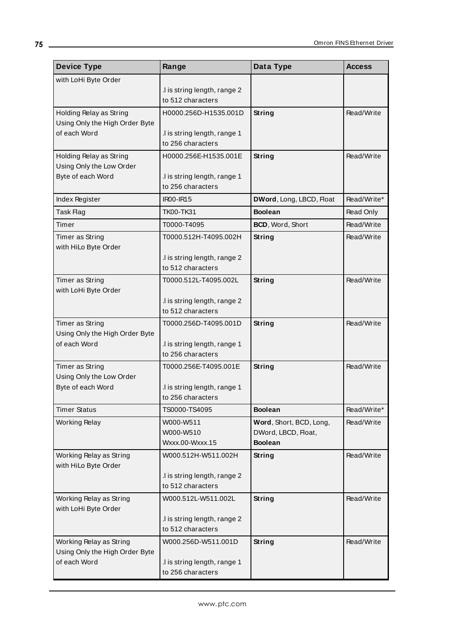| <b>Device Type</b>                                        | Range                                             | Data Type                                      | <b>Access</b> |
|-----------------------------------------------------------|---------------------------------------------------|------------------------------------------------|---------------|
| with LoHi Byte Order                                      |                                                   |                                                |               |
|                                                           | .I is string length, range 2                      |                                                |               |
|                                                           | to 512 characters                                 |                                                |               |
| Holding Relay as String<br>Using Only the High Order Byte | H0000.256D-H1535.001D                             | String                                         | Read/Write    |
| of each Word                                              | .I is string length, range 1                      |                                                |               |
|                                                           | to 256 characters                                 |                                                |               |
| Holding Relay as String                                   | H0000.256E-H1535.001E                             | String                                         | Read/Write    |
| Using Only the Low Order                                  |                                                   |                                                |               |
| Byte of each Word                                         | .I is string length, range 1<br>to 256 characters |                                                |               |
| Index Register                                            | <b>IR00-IR15</b>                                  | DWord, Long, LBCD, Float                       | Read/Write*   |
| Task Flag                                                 | TK00-TK31                                         | <b>Boolean</b>                                 | Read Only     |
| Timer                                                     | T0000-T4095                                       | BCD, Word, Short                               | Read/Write    |
| Timer as String                                           | T0000.512H-T4095.002H                             | String                                         | Read/Write    |
| with HiLo Byte Order                                      |                                                   |                                                |               |
|                                                           | .I is string length, range 2                      |                                                |               |
|                                                           | to 512 characters                                 |                                                |               |
| Timer as String<br>with LoHi Byte Order                   | T0000.512L-T4095.002L                             | String                                         | Read/Write    |
|                                                           | .I is string length, range 2                      |                                                |               |
|                                                           | to 512 characters                                 |                                                |               |
| Timer as String                                           | T0000.256D-T4095.001D                             | String                                         | Read/Write    |
| Using Only the High Order Byte<br>of each Word            |                                                   |                                                |               |
|                                                           | .I is string length, range 1<br>to 256 characters |                                                |               |
| Timer as String                                           | T0000.256E-T4095.001E                             | <b>String</b>                                  | Read/Write    |
| Using Only the Low Order                                  |                                                   |                                                |               |
| Byte of each Word                                         | .I is string length, range 1                      |                                                |               |
|                                                           | to 256 characters                                 |                                                |               |
| <b>Timer Status</b>                                       | TS0000-TS4095                                     | <b>Boolean</b>                                 | Read/Write*   |
| <b>Working Relay</b>                                      | W000-W511<br>W000-W510                            | Word, Short, BCD, Long,<br>DWord, LBCD, Float, | Read/Write    |
|                                                           | Wxxx.00-Wxxx.15                                   | <b>Boolean</b>                                 |               |
| Working Relay as String                                   | W000.512H-W511.002H                               | String                                         | Read/Write    |
| with HiLo Byte Order                                      |                                                   |                                                |               |
|                                                           | I is string length, range 2                       |                                                |               |
|                                                           | to 512 characters                                 |                                                |               |
| Working Relay as String<br>with LoHi Byte Order           | W000.512L-W511.002L                               | <b>String</b>                                  | Read/Write    |
|                                                           | I is string length, range 2                       |                                                |               |
|                                                           | to 512 characters                                 |                                                |               |
| Working Relay as String                                   | W000.256D-W511.001D                               | <b>String</b>                                  | Read/Write    |
| Using Only the High Order Byte                            |                                                   |                                                |               |
| of each Word                                              | .I is string length, range 1<br>to 256 characters |                                                |               |
|                                                           |                                                   |                                                |               |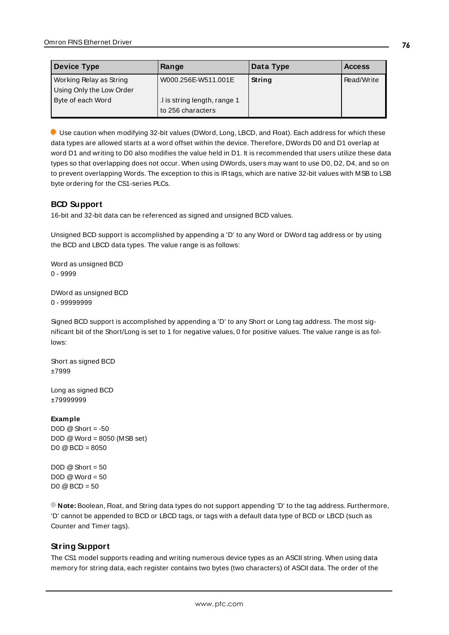| Device Type              | Range                        | Data Type | <b>Access</b> |
|--------------------------|------------------------------|-----------|---------------|
| Working Relay as String  | W000.256E-W511.001E          | String    | Read/Write    |
| Using Only the Low Order |                              |           |               |
| Byte of each Word        | .I is string length, range 1 |           |               |
|                          | to 256 characters            |           |               |

Use caution when modifying 32-bit values (DWord, Long, LBCD, and Float). Each address for which these data types are allowed starts at a word offset within the device. Therefore, DWords D0 and D1 overlap at word D1 and writing to D0 also modifies the value held in D1. It is recommended that users utilize these data types so that overlapping does not occur. When using DWords, users may want to use D0, D2, D4, and so on to prevent overlapping Words. The exception to this is IRtags, which are native 32-bit values with MSB to LSB byte ordering for the CS1-series PLCs.

## **BCD Support**

16-bit and 32-bit data can be referenced as signed and unsigned BCD values.

Unsigned BCD support is accomplished by appending a 'D' to any Word or DWord tag address or by using the BCD and LBCD data types. The value range is as follows:

Word as unsigned BCD 0 - 9999

DWord as unsigned BCD 0 - 99999999

Signed BCD support is accomplished by appending a 'D' to any Short or Long tag address. The most significant bit of the Short/Long is set to 1 for negative values, 0 for positive values. The value range is as follows:

Short as signed BCD ±7999

Long as signed BCD ±79999999

### **Example**

D0D  $@$  Short = -50 D0D @Word = 8050 (MSB set) D0 @BCD = 8050

 $DOD @ Short = 50$  $DOD @Word = 50$  $D0 @ BCD = 50$ 

<span id="page-75-0"></span>**Note:** Boolean, Float, and String data types do not support appending 'D' to the tag address. Furthermore, 'D' cannot be appended to BCD or LBCD tags, or tags with a default data type of BCD or LBCD (such as Counter and Timer tags).

## **String Support**

The CS1 model supports reading and writing numerous device types as an ASCII string. When using data memory for string data, each register contains two bytes (two characters) of ASCII data. The order of the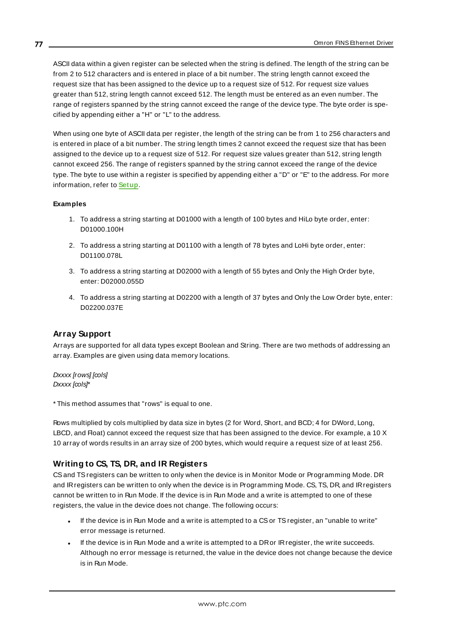ASCII data within a given register can be selected when the string is defined. The length of the string can be from 2 to 512 characters and is entered in place of a bit number. The string length cannot exceed the request size that has been assigned to the device up to a request size of 512. For request size values greater than 512, string length cannot exceed 512. The length must be entered as an even number. The range of registers spanned by the string cannot exceed the range of the device type. The byte order is specified by appending either a "H" or "L" to the address.

When using one byte of ASCII data per register, the length of the string can be from 1 to 256 characters and is entered in place of a bit number. The string length times 2 cannot exceed the request size that has been assigned to the device up to a request size of 512. For request size values greater than 512, string length cannot exceed 256. The range of registers spanned by the string cannot exceed the range of the device type. The byte to use within a register is specified by appending either a "D" or "E" to the address. For more information, refer to **[Setup](#page-4-0)**.

#### **Examples**

- 1. To address a string starting at D01000 with a length of 100 bytes and HiLo byte order, enter: D01000.100H
- 2. To address a string starting at D01100 with a length of 78 bytes and LoHi byte order, enter: D01100.078L
- 3. To address a string starting at D02000 with a length of 55 bytes and Only the High Order byte, enter: D02000.055D
- 4. To address a string starting at D02200 with a length of 37 bytes and Only the Low Order byte, enter: D02200.037E

### **Array Support**

Arrays are supported for all data types except Boolean and String. There are two methods of addressing an array. Examples are given using data memory locations.

Dxxxx [rows] [cols] Dxxxx [cols]\*

\* This method assumes that "rows" is equal to one.

Rows multiplied by cols multiplied by data size in bytes (2 for Word, Short, and BCD; 4 for DWord, Long, LBCD, and Float) cannot exceed the request size that has been assigned to the device. For example, a 10 X 10 array of words results in an array size of 200 bytes, which would require a request size of at least 256.

### **Writing to CS, TS, DR, and IR Registers**

CSand TSregisters can be written to only when the device is in Monitor Mode or Programming Mode. DR and IRregisters can be written to only when the device is in Programming Mode. CS, TS, DR, and IRregisters cannot be written to in Run Mode. If the device is in Run Mode and a write is attempted to one of these registers, the value in the device does not change. The following occurs:

- If the device is in Run Mode and a write is attempted to a CS or TS register, an "unable to write" error message is returned.
- . If the device is in Run Mode and a write is attempted to a DR or IR register, the write succeeds. Although no error message is returned, the value in the device does not change because the device is in Run Mode.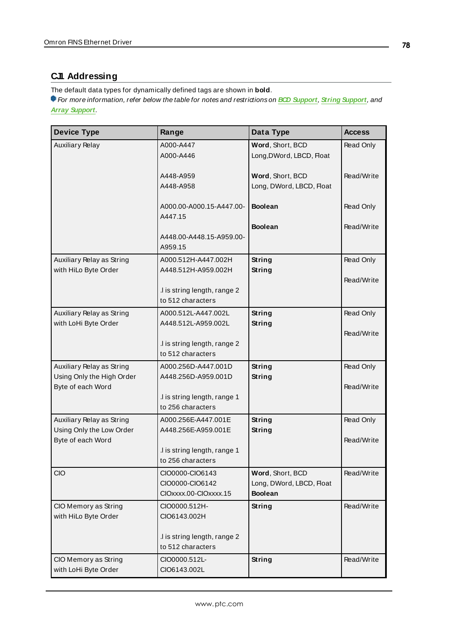## <span id="page-77-0"></span>**CJ1 Addressing**

The default data types for dynamically defined tags are shown in **bold**.

For more information, refer below the table for notes and restrictions on **BCD [Support](#page-80-0)**, **String [Support](#page-80-1)**, and **Array [Support](#page-80-1)**.

| <b>Device Type</b>                                | Range                                                       | Data Type                                                      | <b>Access</b> |
|---------------------------------------------------|-------------------------------------------------------------|----------------------------------------------------------------|---------------|
| <b>Auxiliary Relay</b>                            | A000-A447<br>A000-A446                                      | Word, Short, BCD<br>Long, DWord, LBCD, Float                   | Read Only     |
|                                                   | A448-A959<br>A448-A958                                      | Word, Short, BCD<br>Long, DWord, LBCD, Float                   | Read/Write    |
|                                                   | A000.00-A000.15-A447.00-<br>A447.15                         | <b>Boolean</b>                                                 | Read Only     |
|                                                   | A448.00-A448.15-A959.00-<br>A959.15                         | <b>Boolean</b>                                                 | Read/Write    |
| Auxiliary Relay as String<br>with HiLo Byte Order | A000.512H-A447.002H                                         | <b>String</b><br>String                                        | Read Only     |
|                                                   | A448.512H-A959.002H                                         |                                                                | Read/Write    |
|                                                   | .I is string length, range 2<br>to 512 characters           |                                                                |               |
| Auxiliary Relay as String                         | A000.512L-A447.002L                                         | String                                                         | Read Only     |
| with LoHi Byte Order                              | A448.512L-A959.002L                                         | String                                                         | Read/Write    |
|                                                   | .I is string length, range 2<br>to 512 characters           |                                                                |               |
| Auxiliary Relay as String                         | A000.256D-A447.001D                                         | String                                                         | Read Only     |
| Using Only the High Order<br>Byte of each Word    | A448.256D-A959.001D                                         | String                                                         | Read/Write    |
|                                                   | .I is string length, range 1<br>to 256 characters           |                                                                |               |
| Auxiliary Relay as String                         | A000.256E-A447.001E                                         | <b>String</b>                                                  | Read Only     |
| Using Only the Low Order<br>Byte of each Word     | A448.256E-A959.001E                                         | String                                                         | Read/Write    |
|                                                   | .I is string length, range 1<br>to 256 characters           |                                                                |               |
| <b>CIO</b>                                        | CIO0000-CIO6143<br>CIO0000-CIO6142<br>CIOxxxx.00-CIOxxxx.15 | Word, Short, BCD<br>Long, DWord, LBCD, Float<br><b>Boolean</b> | Read/Write    |
| CIO Memory as String<br>with HiLo Byte Order      | CIO0000.512H-<br>CIO6143.002H                               | String                                                         | Read/Write    |
|                                                   | .I is string length, range 2<br>to 512 characters           |                                                                |               |
| CIO Memory as String<br>with LoHi Byte Order      | CIO0000.512L-<br>CIO6143.002L                               | <b>String</b>                                                  | Read/Write    |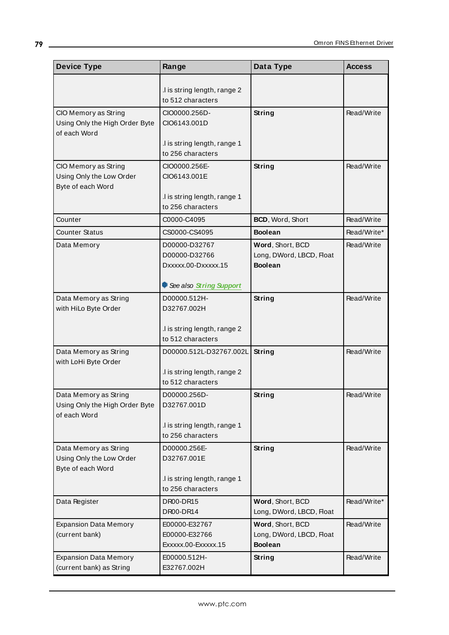| <b>Device Type</b>                                                      | Range                                                 | Data Type                                                      | <b>Access</b> |
|-------------------------------------------------------------------------|-------------------------------------------------------|----------------------------------------------------------------|---------------|
|                                                                         | .I is string length, range 2<br>to 512 characters     |                                                                |               |
| CIO Memory as String<br>Using Only the High Order Byte<br>of each Word  | CIO0000.256D-<br>CIO6143.001D                         | String                                                         | Read/Write    |
|                                                                         | .I is string length, range 1<br>to 256 characters     |                                                                |               |
| CIO Memory as String<br>Using Only the Low Order<br>Byte of each Word   | CIO0000.256E-<br>CIO6143.001E                         | String                                                         | Read/Write    |
|                                                                         | .I is string length, range 1<br>to 256 characters     |                                                                |               |
| Counter                                                                 | C0000-C4095                                           | BCD, Word, Short                                               | Read/Write    |
| <b>Counter Status</b>                                                   | CS0000-CS4095                                         | <b>Boolean</b>                                                 | Read/Write*   |
| Data Memory                                                             | D00000-D32767<br>D00000-D32766<br>Dxxxxx.00-Dxxxxx.15 | Word, Short, BCD<br>Long, DWord, LBCD, Float<br><b>Boolean</b> | Read/Write    |
|                                                                         | See also String Support                               |                                                                |               |
| Data Memory as String<br>with HiLo Byte Order                           | D00000.512H-<br>D32767.002H                           | String                                                         | Read/Write    |
|                                                                         | .I is string length, range 2<br>to 512 characters     |                                                                |               |
| Data Memory as String<br>with LoHi Byte Order                           | D00000.512L-D32767.002L                               | String                                                         | Read/Write    |
|                                                                         | .I is string length, range 2<br>to 512 characters     |                                                                |               |
| Data Memory as String<br>Using Only the High Order Byte<br>of each Word | D00000.256D-<br>D32767.001D                           | <b>String</b>                                                  | Read/Write    |
|                                                                         | .I is string length, range 1<br>to 256 characters     |                                                                |               |
| Data Memory as String<br>Using Only the Low Order<br>Byte of each Word  | D00000.256E-<br>D32767.001E                           | String                                                         | Read/Write    |
|                                                                         | I is string length, range 1<br>to 256 characters      |                                                                |               |
| Data Register                                                           | DR00-DR15<br>DR00-DR14                                | Word, Short, BCD<br>Long, DWord, LBCD, Float                   | Read/Write*   |
| <b>Expansion Data Memory</b><br>(current bank)                          | E00000-E32767<br>E00000-E32766<br>Exxxxx.00-Exxxxx.15 | Word, Short, BCD<br>Long, DWord, LBCD, Float<br><b>Boolean</b> | Read/Write    |
| <b>Expansion Data Memory</b><br>(current bank) as String                | E00000.512H-<br>E32767.002H                           | <b>String</b>                                                  | Read/Write    |

<u> 1980 - Johann Barn, mars an t-Amerikaansk politiker (</u>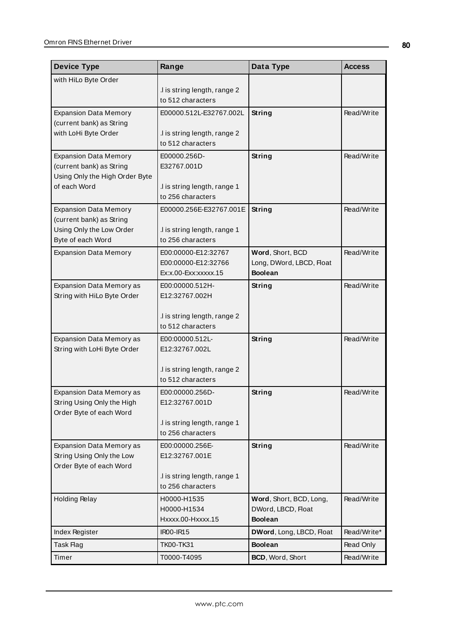| <b>Device Type</b>                                   | Range                                             | Data Type                | <b>Access</b> |
|------------------------------------------------------|---------------------------------------------------|--------------------------|---------------|
| with HiLo Byte Order                                 |                                                   |                          |               |
|                                                      | I is string length, range 2                       |                          |               |
|                                                      | to 512 characters                                 |                          |               |
| <b>Expansion Data Memory</b>                         | E00000.512L-E32767.002L                           | String                   | Read/Write    |
| (current bank) as String                             |                                                   |                          |               |
| with LoHi Byte Order                                 | .I is string length, range 2                      |                          |               |
|                                                      | to 512 characters                                 |                          |               |
| <b>Expansion Data Memory</b>                         | E00000.256D-                                      | String                   | Read/Write    |
| (current bank) as String                             | E32767.001D                                       |                          |               |
| Using Only the High Order Byte                       |                                                   |                          |               |
| of each Word                                         | .I is string length, range 1<br>to 256 characters |                          |               |
|                                                      |                                                   |                          |               |
| <b>Expansion Data Memory</b>                         | E00000.256E-E32767.001E                           | String                   | Read/Write    |
| (current bank) as String<br>Using Only the Low Order | .I is string length, range 1                      |                          |               |
| Byte of each Word                                    | to 256 characters                                 |                          |               |
| <b>Expansion Data Memory</b>                         | E00:00000-E12:32767                               | Word, Short, BCD         | Read/Write    |
|                                                      | E00:00000-E12:32766                               | Long, DWord, LBCD, Float |               |
|                                                      | $Ex:x.00$ - $Exx:xxxxx.15$                        | <b>Boolean</b>           |               |
| Expansion Data Memory as                             | E00:00000.512H-                                   | <b>String</b>            | Read/Write    |
| String with HiLo Byte Order                          | E12:32767.002H                                    |                          |               |
|                                                      |                                                   |                          |               |
|                                                      | .I is string length, range 2                      |                          |               |
|                                                      | to 512 characters                                 |                          |               |
| Expansion Data Memory as                             | E00:00000.512L-                                   | String                   | Read/Write    |
| String with LoHi Byte Order                          | E12:32767.002L                                    |                          |               |
|                                                      |                                                   |                          |               |
|                                                      | I is string length, range 2                       |                          |               |
|                                                      | to 512 characters                                 |                          |               |
| Expansion Data Memory as                             | E00:00000.256D-                                   | String                   | Read/Write    |
| String Using Only the High                           | E12:32767.001D                                    |                          |               |
| Order Byte of each Word                              |                                                   |                          |               |
|                                                      | I is string length, range 1                       |                          |               |
|                                                      | to 256 characters                                 |                          |               |
| Expansion Data Memory as                             | E00:00000.256E-                                   | String                   | Read/Write    |
| String Using Only the Low<br>Order Byte of each Word | E12:32767.001E                                    |                          |               |
|                                                      | .I is string length, range 1                      |                          |               |
|                                                      | to 256 characters                                 |                          |               |
| <b>Holding Relay</b>                                 | H0000-H1535                                       | Word, Short, BCD, Long,  | Read/Write    |
|                                                      | H0000-H1534                                       | DWord, LBCD, Float       |               |
|                                                      | Hxxxx.00-Hxxxx.15                                 | <b>Boolean</b>           |               |
| Index Register                                       | IR00-IR15                                         | DWord, Long, LBCD, Float | Read/Write*   |
| Task Flag                                            | <b>TK00-TK31</b>                                  | <b>Boolean</b>           | Read Only     |
| Timer                                                | T0000-T4095                                       | BCD, Word, Short         | Read/Write    |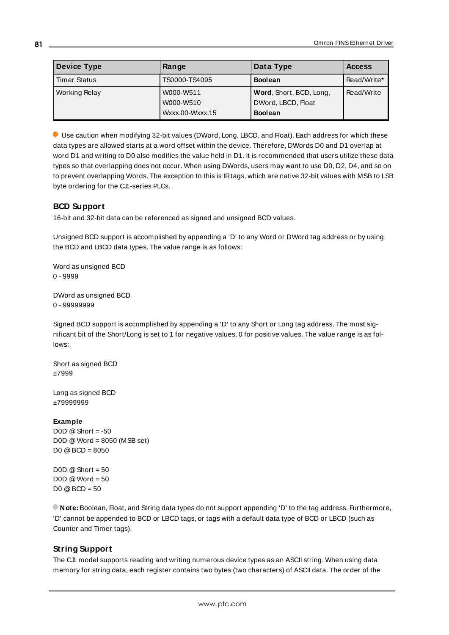| <b>Device Type</b>   | Range           | Data Type               | <b>Access</b> |
|----------------------|-----------------|-------------------------|---------------|
| <b>Timer Status</b>  | TS0000-TS4095   | <b>Boolean</b>          | Read/Write*   |
| <b>Working Relay</b> | W000-W511       | Word, Short, BCD, Long, | Read/Write    |
|                      | W000-W510       | DWord, LBCD, Float      |               |
|                      | Wxxx.00-Wxxx.15 | <b>Boolean</b>          |               |

Use caution when modifying 32-bit values (DWord, Long, LBCD, and Float). Each address for which these data types are allowed starts at a word offset within the device. Therefore, DWords D0 and D1 overlap at word D1 and writing to D0 also modifies the value held in D1. It is recommended that users utilize these data types so that overlapping does not occur. When using DWords, users may want to use D0, D2, D4, and so on to prevent overlapping Words. The exception to this is IRtags, which are native 32-bit values with MSB to LSB byte ordering for the CJI-series PLCs.

## <span id="page-80-0"></span>**BCD Support**

16-bit and 32-bit data can be referenced as signed and unsigned BCD values.

Unsigned BCD support is accomplished by appending a 'D' to any Word or DWord tag address or by using the BCD and LBCD data types. The value range is as follows:

Word as unsigned BCD 0 - 9999

DWord as unsigned BCD 0 - 99999999

Signed BCD support is accomplished by appending a 'D' to any Short or Long tag address. The most significant bit of the Short/Long is set to 1 for negative values, 0 for positive values. The value range is as follows:

Short as signed BCD ±7999

Long as signed BCD ±79999999

### **Example**

D0D  $@$  Short = -50 D0D @Word = 8050 (MSB set) D0 @BCD = 8050

 $D0D \ @$  Short = 50  $DOD @Word = 50$ D0 @BCD = 50

<span id="page-80-1"></span>**Note:** Boolean, Float, and String data types do not support appending 'D' to the tag address. Furthermore, 'D' cannot be appended to BCD or LBCD tags, or tags with a default data type of BCD or LBCD (such as Counter and Timer tags).

## **String Support**

The CJ1 model supports reading and writing numerous device types as an ASCII string. When using data memory for string data, each register contains two bytes (two characters) of ASCII data. The order of the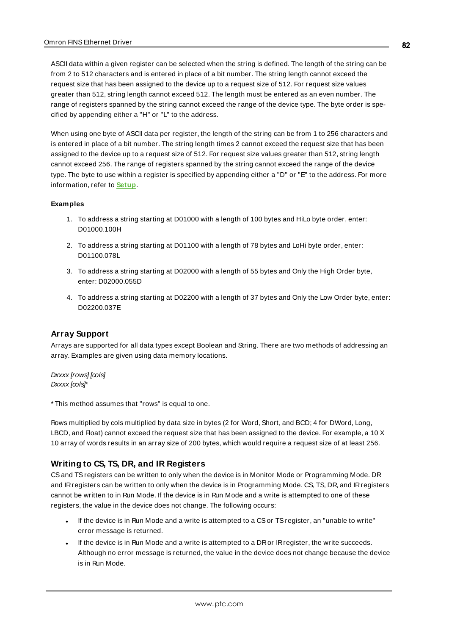ASCII data within a given register can be selected when the string is defined. The length of the string can be from 2 to 512 characters and is entered in place of a bit number. The string length cannot exceed the request size that has been assigned to the device up to a request size of 512. For request size values greater than 512, string length cannot exceed 512. The length must be entered as an even number. The range of registers spanned by the string cannot exceed the range of the device type. The byte order is specified by appending either a "H" or "L" to the address.

When using one byte of ASCII data per register, the length of the string can be from 1 to 256 characters and is entered in place of a bit number. The string length times 2 cannot exceed the request size that has been assigned to the device up to a request size of 512. For request size values greater than 512, string length cannot exceed 256. The range of registers spanned by the string cannot exceed the range of the device type. The byte to use within a register is specified by appending either a "D" or "E" to the address. For more information, refer to **[Setup](#page-4-0)**.

#### **Examples**

- 1. To address a string starting at D01000 with a length of 100 bytes and HiLo byte order, enter: D01000.100H
- 2. To address a string starting at D01100 with a length of 78 bytes and LoHi byte order, enter: D01100.078L
- 3. To address a string starting at D02000 with a length of 55 bytes and Only the High Order byte, enter: D02000.055D
- 4. To address a string starting at D02200 with a length of 37 bytes and Only the Low Order byte, enter: D02200.037E

### **Array Support**

Arrays are supported for all data types except Boolean and String. There are two methods of addressing an array. Examples are given using data memory locations.

Dxxxx [rows] [cols] Dxxxx [cols]\*

\* This method assumes that "rows" is equal to one.

Rows multiplied by cols multiplied by data size in bytes (2 for Word, Short, and BCD; 4 for DWord, Long, LBCD, and Float) cannot exceed the request size that has been assigned to the device. For example, a 10 X 10 array of words results in an array size of 200 bytes, which would require a request size of at least 256.

### **Writing to CS, TS, DR, and IR Registers**

CSand TSregisters can be written to only when the device is in Monitor Mode or Programming Mode. DR and IRregisters can be written to only when the device is in Programming Mode. CS, TS, DR, and IRregisters cannot be written to in Run Mode. If the device is in Run Mode and a write is attempted to one of these registers, the value in the device does not change. The following occurs:

- If the device is in Run Mode and a write is attempted to a CS or TS register, an "unable to write" error message is returned.
- If the device is in Run Mode and a write is attempted to a DR or IR register, the write succeeds. Although no error message is returned, the value in the device does not change because the device is in Run Mode.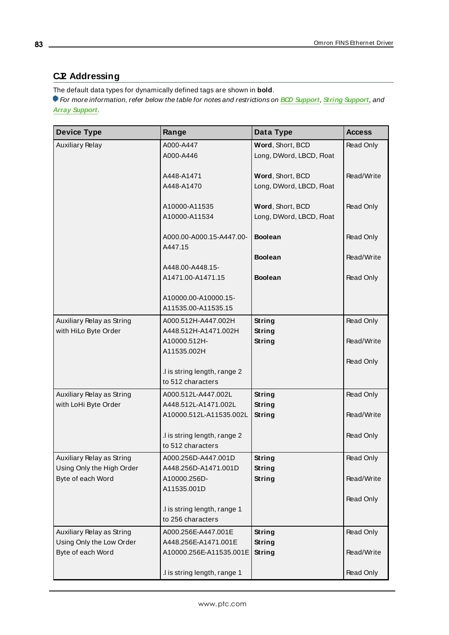## <span id="page-82-0"></span>**CJ2 Addressing**

The default data types for dynamically defined tags are shown in **bold**.

For more information, refer below the table for notes and restrictions on **BCD [Support](#page-85-0)**, **String [Support](#page-86-0)**, and **Array [Support](#page-86-0)**.

| <b>Device Type</b>                             | Range                                               | Data Type                                    | <b>Access</b> |
|------------------------------------------------|-----------------------------------------------------|----------------------------------------------|---------------|
| <b>Auxiliary Relay</b>                         | A000-A447<br>A000-A446                              | Word, Short, BCD<br>Long, DWord, LBCD, Float | Read Only     |
|                                                | A448-A1471<br>A448-A1470                            | Word, Short, BCD<br>Long, DWord, LBCD, Float | Read/Write    |
|                                                | A10000-A11535<br>A10000-A11534                      | Word, Short, BCD<br>Long, DWord, LBCD, Float | Read Only     |
|                                                | A000.00-A000.15-A447.00-<br>A447.15                 | <b>Boolean</b>                               | Read Only     |
|                                                |                                                     | <b>Boolean</b>                               | Read/Write    |
|                                                | A448.00-A448.15-<br>A1471.00-A1471.15               | <b>Boolean</b>                               | Read Only     |
|                                                | A10000.00-A10000.15-<br>A11535.00-A11535.15         |                                              |               |
| Auxiliary Relay as String                      | A000.512H-A447.002H                                 | String                                       | Read Only     |
| with HiLo Byte Order                           | A448.512H-A1471.002H<br>A10000.512H-<br>A11535.002H | <b>String</b><br><b>String</b>               | Read/Write    |
|                                                | .I is string length, range 2                        |                                              | Read Only     |
| Auxiliary Relay as String                      | to 512 characters<br>A000.512L-A447.002L            | <b>String</b>                                | Read Only     |
| with LoHi Byte Order                           | A448.512L-A1471.002L                                | <b>String</b>                                |               |
|                                                | A10000.512L-A11535.002L                             | String                                       | Read/Write    |
|                                                | .I is string length, range 2<br>to 512 characters   |                                              | Read Only     |
| Auxiliary Relay as String                      | A000.256D-A447.001D                                 | <b>String</b>                                | Read Only     |
| Using Only the High Order<br>Byte of each Word | A448.256D-A1471.001D<br>A10000.256D-<br>A11535.001D | <b>String</b><br><b>String</b>               | Read/Write    |
|                                                |                                                     |                                              | Read Only     |
|                                                | .I is string length, range 1<br>to 256 characters   |                                              |               |
| Auxiliary Relay as String                      | A000.256E-A447.001E                                 | <b>String</b>                                | Read Only     |
| Using Only the Low Order<br>Byte of each Word  | A448.256E-A1471.001E<br>A10000.256E-A11535.001E     | <b>String</b><br><b>String</b>               | Read/Write    |
|                                                | .I is string length, range 1                        |                                              | Read Only     |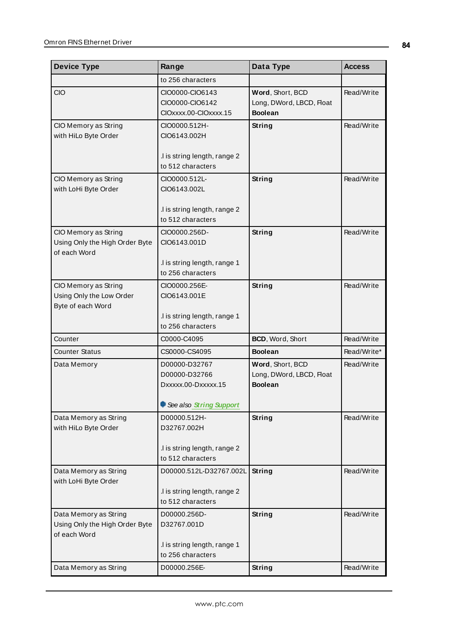| <b>Device Type</b>                                                      | Range                                                       | Data Type                                                      | <b>Access</b> |
|-------------------------------------------------------------------------|-------------------------------------------------------------|----------------------------------------------------------------|---------------|
|                                                                         | to 256 characters                                           |                                                                |               |
| <b>CIO</b>                                                              | CIO0000-CIO6143<br>CIO0000-CIO6142<br>CIOxxxx.00-CIOxxxx.15 | Word, Short, BCD<br>Long, DWord, LBCD, Float<br><b>Boolean</b> | Read/Write    |
| CIO Memory as String<br>with HiLo Byte Order                            | CIO0000.512H-<br>CIO6143.002H                               | String                                                         | Read/Write    |
|                                                                         | .I is string length, range 2<br>to 512 characters           |                                                                |               |
| CIO Memory as String<br>with LoHi Byte Order                            | CIO0000.512L-<br>CIO6143.002L                               | String                                                         | Read/Write    |
|                                                                         | .I is string length, range 2<br>to 512 characters           |                                                                |               |
| CIO Memory as String<br>Using Only the High Order Byte<br>of each Word  | CIO0000.256D-<br>CIO6143.001D                               | <b>String</b>                                                  | Read/Write    |
|                                                                         | .I is string length, range 1<br>to 256 characters           |                                                                |               |
| CIO Memory as String<br>Using Only the Low Order<br>Byte of each Word   | CIO0000.256E-<br>CIO6143.001E                               | <b>String</b>                                                  | Read/Write    |
|                                                                         | .I is string length, range 1<br>to 256 characters           |                                                                |               |
| Counter                                                                 | C0000-C4095                                                 | BCD, Word, Short                                               | Read/Write    |
| <b>Counter Status</b>                                                   | CS0000-CS4095                                               | <b>Boolean</b>                                                 | Read/Write*   |
| Data Memory                                                             | D00000-D32767<br>D00000-D32766<br>Dxxxxx.00-Dxxxxx.15       | Word, Short, BCD<br>Long, DWord, LBCD, Float<br><b>Boolean</b> | Read/Write    |
|                                                                         | See also String Support                                     |                                                                |               |
| Data Memory as String<br>with HiLo Byte Order                           | D00000.512H-<br>D32767.002H<br>.I is string length, range 2 | <b>String</b>                                                  | Read/Write    |
|                                                                         | to 512 characters                                           |                                                                |               |
| Data Memory as String<br>with LoHi Byte Order                           | D00000.512L-D32767.002L                                     | String                                                         | Read/Write    |
|                                                                         | .I is string length, range 2<br>to 512 characters           |                                                                |               |
| Data Memory as String<br>Using Only the High Order Byte<br>of each Word | D00000.256D-<br>D32767.001D                                 | String                                                         | Read/Write    |
|                                                                         | .I is string length, range 1<br>to 256 characters           |                                                                |               |
| Data Memory as String                                                   | D00000.256E-                                                | String                                                         | Read/Write    |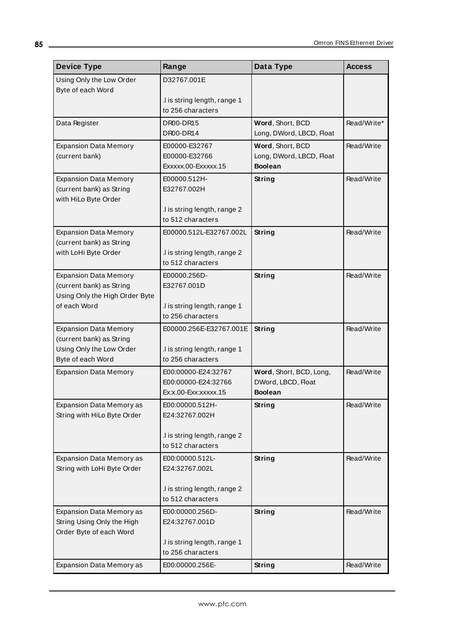| <b>Device Type</b>                                    | Range                                             | Data Type                                  | <b>Access</b> |
|-------------------------------------------------------|---------------------------------------------------|--------------------------------------------|---------------|
| Using Only the Low Order                              | D32767.001E                                       |                                            |               |
| Byte of each Word                                     | I is string length, range 1.                      |                                            |               |
|                                                       | to 256 characters                                 |                                            |               |
| Data Register                                         | DR00-DR15                                         | Word, Short, BCD                           | Read/Write*   |
|                                                       | DR00-DR14                                         | Long, DWord, LBCD, Float                   |               |
| <b>Expansion Data Memory</b>                          | E00000-E32767                                     | Word, Short, BCD                           | Read/Write    |
| (current bank)                                        | E00000-E32766<br>Exxxxx.00-Exxxxx.15              | Long, DWord, LBCD, Float<br><b>Boolean</b> |               |
| <b>Expansion Data Memory</b>                          | E00000.512H-                                      | String                                     | Read/Write    |
| (current bank) as String                              | E32767.002H                                       |                                            |               |
| with HiLo Byte Order                                  | .I is string length, range 2                      |                                            |               |
|                                                       | to 512 characters                                 |                                            |               |
| <b>Expansion Data Memory</b>                          | E00000.512L-E32767.002L                           | String                                     | Read/Write    |
| (current bank) as String                              |                                                   |                                            |               |
| with LoHi Byte Order                                  | I is string length, range 2<br>to 512 characters  |                                            |               |
| <b>Expansion Data Memory</b>                          | E00000.256D-                                      | String                                     | Read/Write    |
| (current bank) as String                              | E32767.001D                                       |                                            |               |
| Using Only the High Order Byte                        |                                                   |                                            |               |
| of each Word                                          | .I is string length, range 1<br>to 256 characters |                                            |               |
| <b>Expansion Data Memory</b>                          | E00000.256E-E32767.001E                           | String                                     | Read/Write    |
| (current bank) as String                              |                                                   |                                            |               |
| Using Only the Low Order                              | .I is string length, range 1                      |                                            |               |
| Byte of each Word<br><b>Expansion Data Memory</b>     | to 256 characters<br>E00:00000-E24:32767          | Word, Short, BCD, Long,                    | Read/Write    |
|                                                       | E00:00000-E24:32766                               | DWord, LBCD, Float                         |               |
|                                                       | Ex:x.00-Exx:xxxxx.15                              | <b>Boolean</b>                             |               |
| <b>Expansion Data Memory as</b>                       | E00:00000.512H-                                   | <b>String</b>                              | Read/Write    |
| String with HiLo Byte Order                           | E24:32767.002H                                    |                                            |               |
|                                                       | I is string length, range 2                       |                                            |               |
|                                                       | to 512 characters                                 |                                            |               |
| Expansion Data Memory as                              | E00:00000.512L-                                   | String                                     | Read/Write    |
| String with LoHi Byte Order                           | E24:32767.002L                                    |                                            |               |
|                                                       | I is string length, range 2                       |                                            |               |
|                                                       | to 512 characters                                 |                                            |               |
| Expansion Data Memory as                              | E00:00000.256D-                                   | <b>String</b>                              | Read/Write    |
| String Using Only the High<br>Order Byte of each Word | E24:32767.001D                                    |                                            |               |
|                                                       | .I is string length, range 1                      |                                            |               |
|                                                       | to 256 characters                                 |                                            |               |
| Expansion Data Memory as                              | E00:00000.256E-                                   | <b>String</b>                              | Read/Write    |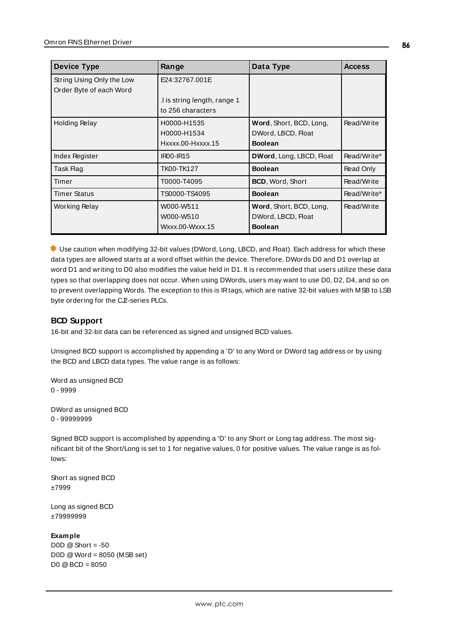| <b>Device Type</b>                                   | Range                                            | Data Type                                                       | <b>Access</b> |
|------------------------------------------------------|--------------------------------------------------|-----------------------------------------------------------------|---------------|
| String Using Only the Low<br>Order Byte of each Word | E24:32767.001E                                   |                                                                 |               |
|                                                      | I is string length, range 1<br>to 256 characters |                                                                 |               |
| <b>Holding Relay</b>                                 | H0000-H1535<br>H0000-H1534<br>Hxxxx.00-Hxxxx.15  | Word, Short, BCD, Long,<br>DWord, LBCD, Float<br><b>Boolean</b> | Read/Write    |
| Index Register                                       | <b>IR00-IR15</b>                                 | <b>DWord, Long, LBCD, Float</b>                                 | Read/Write*   |
| Task Flag                                            | TK00-TK127                                       | <b>Boolean</b>                                                  | Read Only     |
| Timer                                                | T0000-T4095                                      | BCD, Word, Short                                                | Read/Write    |
| <b>Timer Status</b>                                  | TS0000-TS4095                                    | <b>Boolean</b>                                                  | Read/Write*   |
| Working Relay                                        | W000-W511<br>W000-W510<br>Wxxx.00-Wxxx.15        | Word, Short, BCD, Long,<br>DWord, LBCD, Float<br><b>Boolean</b> | Read/Write    |

Use caution when modifying 32-bit values (DWord, Long, LBCD, and Float). Each address for which these data types are allowed starts at a word offset within the device. Therefore, DWords D0 and D1 overlap at word D1 and writing to D0 also modifies the value held in D1. It is recommended that users utilize these data types so that overlapping does not occur. When using DWords, users may want to use D0, D2, D4, and so on to prevent overlapping Words. The exception to this is IRtags, which are native 32-bit values with MSB to LSB byte ordering for the C.P-series PLCs.

### <span id="page-85-0"></span>**BCD Support**

16-bit and 32-bit data can be referenced as signed and unsigned BCD values.

Unsigned BCD support is accomplished by appending a 'D' to any Word or DWord tag address or by using the BCD and LBCD data types. The value range is as follows:

Word as unsigned BCD 0 - 9999

DWord as unsigned BCD 0 - 99999999

Signed BCD support is accomplished by appending a 'D' to any Short or Long tag address. The most significant bit of the Short/Long is set to 1 for negative values, 0 for positive values. The value range is as follows:

Short as signed BCD ±7999

Long as signed BCD ±79999999

#### **Example**

 $DOD \t@$  Short = -50 D0D @Word = 8050 (MSB set) D0 @BCD = 8050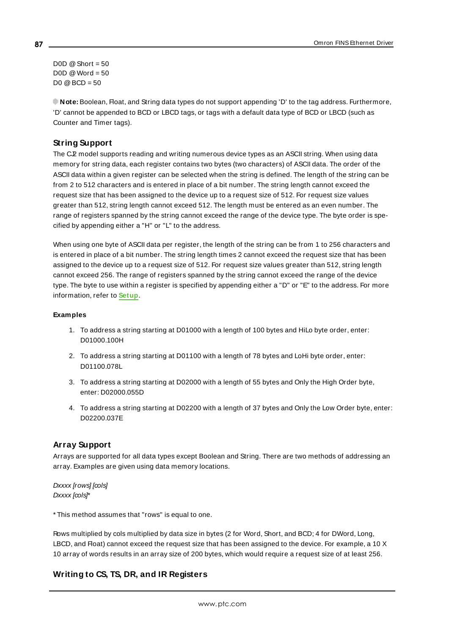D0D  $@$  Short = 50  $DOD @Word = 50$  $D0 @ BCD = 50$ 

<span id="page-86-0"></span>**Note:** Boolean, Float, and String data types do not support appending 'D' to the tag address. Furthermore, 'D' cannot be appended to BCD or LBCD tags, or tags with a default data type of BCD or LBCD (such as Counter and Timer tags).

## **String Support**

The C<sub>J</sub>2 model supports reading and writing numerous device types as an ASCII string. When using data memory for string data, each register contains two bytes (two characters) of ASCII data. The order of the ASCII data within a given register can be selected when the string is defined. The length of the string can be from 2 to 512 characters and is entered in place of a bit number. The string length cannot exceed the request size that has been assigned to the device up to a request size of 512. For request size values greater than 512, string length cannot exceed 512. The length must be entered as an even number. The range of registers spanned by the string cannot exceed the range of the device type. The byte order is specified by appending either a "H" or "L" to the address.

When using one byte of ASCII data per register, the length of the string can be from 1 to 256 characters and is entered in place of a bit number. The string length times 2 cannot exceed the request size that has been assigned to the device up to a request size of 512. For request size values greater than 512, string length cannot exceed 256. The range of registers spanned by the string cannot exceed the range of the device type. The byte to use within a register is specified by appending either a "D" or "E" to the address. For more information, refer to **[Setup](#page-4-0)**.

#### **Examples**

- 1. To address a string starting at D01000 with a length of 100 bytes and HiLo byte order, enter: D01000.100H
- 2. To address a string starting at D01100 with a length of 78 bytes and LoHi byte order, enter: D01100.078L
- 3. To address a string starting at D02000 with a length of 55 bytes and Only the High Order byte, enter: D02000.055D
- 4. To address a string starting at D02200 with a length of 37 bytes and Only the Low Order byte, enter: D02200.037E

### **Array Support**

Arrays are supported for all data types except Boolean and String. There are two methods of addressing an array. Examples are given using data memory locations.

Dxxxx [rows] [cols] Dxxxx [cols]\*

\* This method assumes that "rows" is equal to one.

Rows multiplied by cols multiplied by data size in bytes (2 for Word, Short, and BCD; 4 for DWord, Long, LBCD, and Float) cannot exceed the request size that has been assigned to the device. For example, a 10 X 10 array of words results in an array size of 200 bytes, which would require a request size of at least 256.

## **Writing to CS, TS, DR, and IR Registers**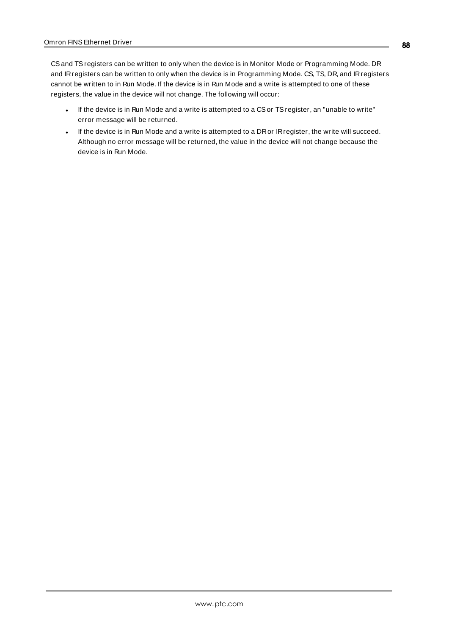CSand TSregisters can be written to only when the device is in Monitor Mode or Programming Mode. DR and IRregisters can be written to only when the device is in Programming Mode. CS, TS, DR, and IRregisters cannot be written to in Run Mode. If the device is in Run Mode and a write is attempted to one of these registers, the value in the device will not change. The following will occur:

- If the device is in Run Mode and a write is attempted to a CS or TS register, an "unable to write" error message will be returned.
- . If the device is in Run Mode and a write is attempted to a DR or IR register, the write will succeed. Although no error message will be returned, the value in the device will not change because the device is in Run Mode.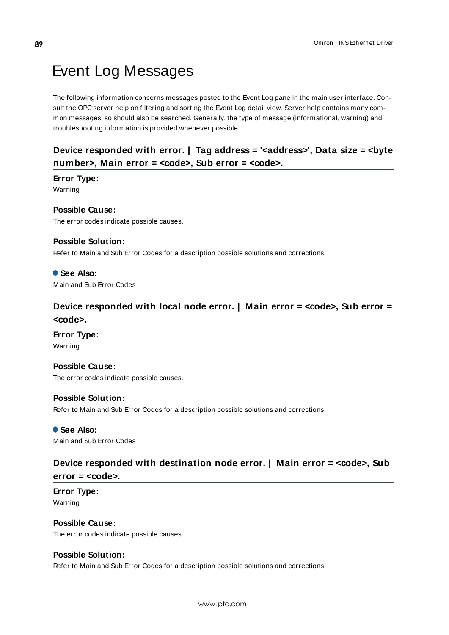# <span id="page-88-3"></span>Event Log Messages

The following information concerns messages posted to the Event Log pane in the main user interface. Consult the OPC server help on filtering and sorting the Event Log detail view. Server help contains many common messages, so should also be searched. Generally, the type of message (informational, warning) and troubleshooting information is provided whenever possible.

## <span id="page-88-1"></span>**Device responded with error. | Tag address = '<address>', Data size = <byte number>, Main error = <code>, Sub error = <code>.**

## **Error Type:**

Warning

## **Possible Cause:**

The error codes indicate possible causes.

## **Possible Solution:**

Refer to Main and Sub Error Codes for a description possible solutions and corrections.

## **See Also:**

<span id="page-88-2"></span>Main and Sub Error Codes

## **Device responded with local node error. | Main error = <code>, Sub error = <code>.**

### **Error Type:** Warning

## **Possible Cause:**

The error codes indicate possible causes.

### **Possible Solution:**

Refer to Main and Sub Error Codes for a description possible solutions and corrections.

 **See Also:** Main and Sub Error Codes

## <span id="page-88-0"></span>**Device responded with destination node error. | Main error = <code>, Sub error = <code>.**

**Error Type:** Warning

**Possible Cause:** The error codes indicate possible causes.

### **Possible Solution:**

Refer to Main and Sub Error Codes for a description possible solutions and corrections.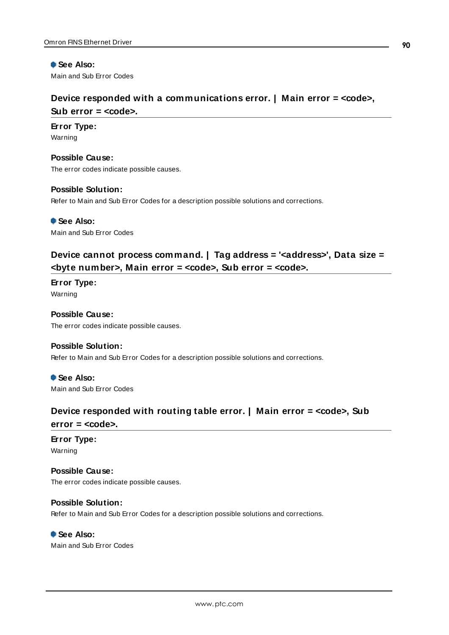## **See Also:**

<span id="page-89-1"></span>Main and Sub Error Codes

## **Device responded with a communications error. | Main error = <code>,**

### **Sub error = <code>.**

#### **Error Type:**

Warning

**Possible Cause:** The error codes indicate possible causes.

#### **Possible Solution:**

Refer to Main and Sub Error Codes for a description possible solutions and corrections.

 **See Also:** Main and Sub Error Codes

## <span id="page-89-0"></span>**Device cannot process command. | Tag address = '<address>', Data size = <byte number>, Main error = <code>, Sub error = <code>.**

**Error Type:** Warning

## **Possible Cause:** The error codes indicate possible causes.

### **Possible Solution:**

Refer to Main and Sub Error Codes for a description possible solutions and corrections.

 **See Also:** Main and Sub Error Codes

## <span id="page-89-2"></span>**Device responded with routing table error. | Main error = <code>, Sub error = <code>.**

### **Error Type:** Warning

**Possible Cause:**

The error codes indicate possible causes.

### **Possible Solution:**

Refer to Main and Sub Error Codes for a description possible solutions and corrections.

### **See Also:**

Main and Sub Error Codes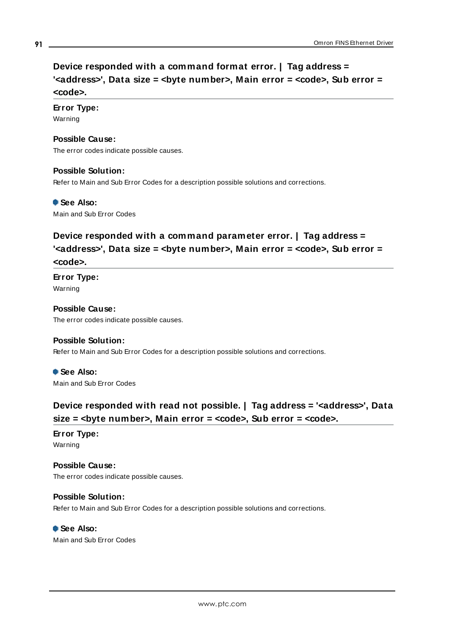## <span id="page-90-0"></span>**Device responded with a command format error. | Tag address = '<address>', Data size = <byte number>, Main error = <code>, Sub error = <code>.**

## **Error Type:**

Warning

### **Possible Cause:**

The error codes indicate possible causes.

### **Possible Solution:**

Refer to Main and Sub Error Codes for a description possible solutions and corrections.

 **See Also:**

<span id="page-90-1"></span>Main and Sub Error Codes

## **Device responded with a command parameter error. | Tag address = '<address>', Data size = <byte number>, Main error = <code>, Sub error = <code>.**

**Error Type:** Warning

**Possible Cause:** The error codes indicate possible causes.

## **Possible Solution:**

Refer to Main and Sub Error Codes for a description possible solutions and corrections.

 **See Also:** Main and Sub Error Codes

## <span id="page-90-2"></span>**Device responded with read not possible. | Tag address = '<address>', Data size = <byte number>, Main error = <code>, Sub error = <code>.**

**Error Type:** Warning

### **Possible Cause:** The error codes indicate possible causes.

## **Possible Solution:** Refer to Main and Sub Error Codes for a description possible solutions and corrections.

 **See Also:** Main and Sub Error Codes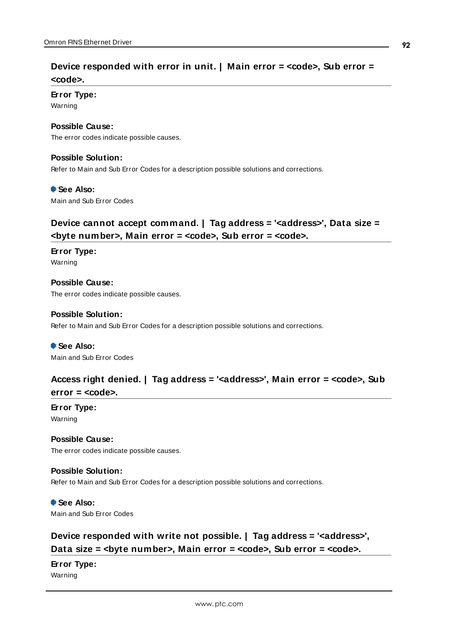## <span id="page-91-2"></span>**Device responded with error in unit. | Main error = <code>, Sub error = <code>.**

## **Error Type:**

Warning

#### **Possible Cause:**

The error codes indicate possible causes.

#### **Possible Solution:**

Refer to Main and Sub Error Codes for a description possible solutions and corrections.

#### **See Also:**

<span id="page-91-1"></span>Main and Sub Error Codes

## **Device cannot accept command. | Tag address = '<address>', Data size = <byte number>, Main error = <code>, Sub error = <code>.**

**Error Type:** Warning

**Possible Cause:** The error codes indicate possible causes.

#### **Possible Solution:**

Refer to Main and Sub Error Codes for a description possible solutions and corrections.

 **See Also:** Main and Sub Error Codes

## <span id="page-91-0"></span>**Access right denied. | Tag address = '<address>', Main error = <code>, Sub error = <code>.**

**Error Type:**

Warning

**Possible Cause:** The error codes indicate possible causes.

### **Possible Solution:**

Refer to Main and Sub Error Codes for a description possible solutions and corrections.

 **See Also:** Main and Sub Error Codes

## <span id="page-91-3"></span>**Device responded with write not possible. | Tag address = '<address>', Data** size = *<byte* number>, Main error = *<code>*, Sub error = *<code>*.

## **Error Type:**

Warning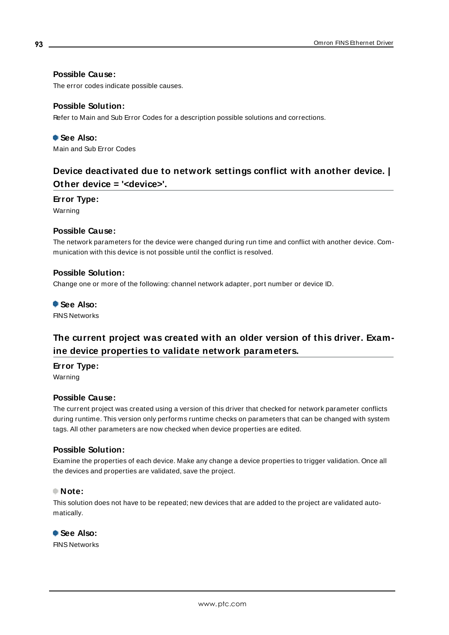## **Possible Cause:**

The error codes indicate possible causes.

### **Possible Solution:**

Refer to Main and Sub Error Codes for a description possible solutions and corrections.

## **See Also:** Main and Sub Error Codes

## <span id="page-92-0"></span>**Device deactivated due to network settings conflict with another device. | Other device = '<device>'.**

#### **Error Type:**

Warning

### **Possible Cause:**

The network parameters for the device were changed during run time and conflict with another device. Communication with this device is not possible until the conflict is resolved.

### **Possible Solution:**

Change one or more of the following: channel network adapter, port number or device ID.

#### **See Also:**

<span id="page-92-1"></span>FINS Networks

## **The current project was created with an older version of this driver. Examine device properties to validate network parameters.**

### **Error Type:**

Warning

### **Possible Cause:**

The current project was created using a version of this driver that checked for network parameter conflicts during runtime. This version only performs runtime checks on parameters that can be changed with system tags. All other parameters are now checked when device properties are edited.

## **Possible Solution:**

Examine the properties of each device. Make any change a device properties to trigger validation. Once all the devices and properties are validated, save the project.

### **Note:**

This solution does not have to be repeated; new devices that are added to the project are validated automatically.

 **See Also:** FINS Networks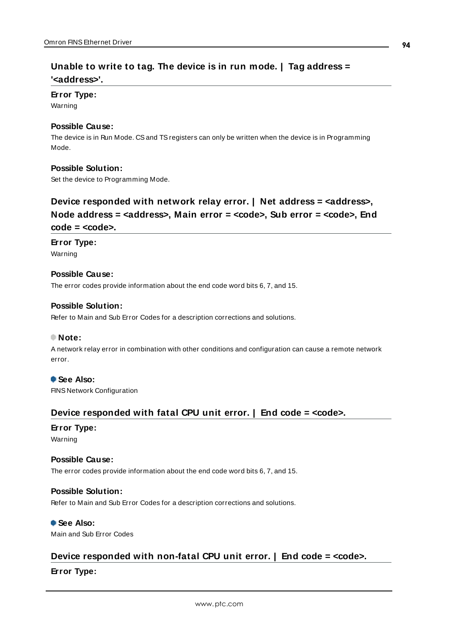## <span id="page-93-3"></span>**Unable to write to tag. The device is in run mode. | Tag address = '<address>'.**

#### **Error Type:**

Warning

#### **Possible Cause:**

The device is in Run Mode. CSand TSregisters can only be written when the device is in Programming Mode.

#### **Possible Solution:**

<span id="page-93-1"></span>Set the device to Programming Mode.

## **Device responded with network relay error. | Net address = <address>, Node address = <address>, Main error = <code>, Sub error = <code>, End code = <code>.**

#### **Error Type:**

Warning

#### **Possible Cause:**

The error codes provide information about the end code word bits 6, 7, and 15.

#### **Possible Solution:**

Refer to Main and Sub Error Codes for a description corrections and solutions.

#### **Note:**

A network relay error in combination with other conditions and configuration can cause a remote network error.

### **See Also:**

<span id="page-93-0"></span>FINS Network Configuration

## **Device responded with fatal CPU unit error. | End code = <code>.**

## **Error Type:**

Warning

#### **Possible Cause:**

The error codes provide information about the end code word bits 6, 7, and 15.

#### **Possible Solution:**

Refer to Main and Sub Error Codes for a description corrections and solutions.

## **See Also:**

<span id="page-93-2"></span>Main and Sub Error Codes

## **Device responded with non-fatal CPU unit error. | End code = <code>.**

### **Error Type:**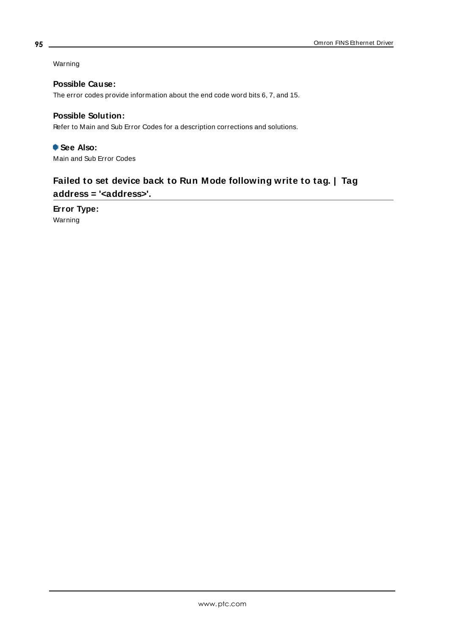Warning

**Possible Cause:**

The error codes provide information about the end code word bits 6, 7, and 15.

## **Possible Solution:**

Refer to Main and Sub Error Codes for a description corrections and solutions.

 **See Also:** Main and Sub Error Codes

## <span id="page-94-0"></span>**Failed to set device back to Run Mode following write to tag. | Tag address = '<address>'.**

**Error Type:** Warning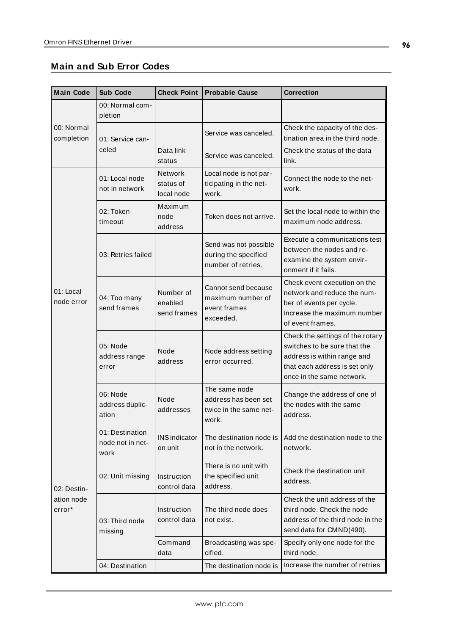<span id="page-95-3"></span><span id="page-95-2"></span><span id="page-95-1"></span><span id="page-95-0"></span>

| <b>Main Code</b>                 | <b>Sub Code</b>                             | <b>Check Point</b>                        | <b>Probable Cause</b>                                                    | Correction                                                                                                                                                    |
|----------------------------------|---------------------------------------------|-------------------------------------------|--------------------------------------------------------------------------|---------------------------------------------------------------------------------------------------------------------------------------------------------------|
|                                  | 00: Normal com-<br>pletion                  |                                           |                                                                          |                                                                                                                                                               |
| 00: Normal<br>completion         | 01: Service can-                            |                                           | Service was canceled.                                                    | Check the capacity of the des-<br>tination area in the third node.                                                                                            |
|                                  | celed                                       | Data link<br>status                       | Service was canceled.                                                    | Check the status of the data<br>link.                                                                                                                         |
|                                  | 01: Local node<br>not in network            | <b>Network</b><br>status of<br>local node | Local node is not par-<br>ticipating in the net-<br>work.                | Connect the node to the net-<br>work.                                                                                                                         |
|                                  | 02: Token<br>timeout                        | Maximum<br>node<br>address                | Token does not arrive.                                                   | Set the local node to within the<br>maximum node address.                                                                                                     |
|                                  | 03: Retries failed                          |                                           | Send was not possible<br>during the specified<br>number of retries.      | Execute a communications test<br>between the nodes and re-<br>examine the system envir-<br>onment if it fails.                                                |
| 01: Local<br>node error          | 04: Too many<br>send frames                 | Number of<br>enabled<br>send frames       | Cannot send because<br>maximum number of<br>event frames<br>exceeded.    | Check event execution on the<br>network and reduce the num-<br>ber of events per cycle.<br>Increase the maximum number<br>of event frames.                    |
|                                  | 05: Node<br>address range<br>error          | Node<br>address                           | Node address setting<br>error occurred.                                  | Check the settings of the rotary<br>switches to be sure that the<br>address is within range and<br>that each address is set only<br>once in the same network. |
|                                  | 06: Node<br>address duplic-<br>ation        | Node<br>addresses                         | The same node<br>address has been set<br>twice in the same net-<br>work. | Change the address of one of<br>the nodes with the same<br>address.                                                                                           |
|                                  | 01: Destination<br>node not in net-<br>work | <b>INS</b> indicator<br>on unit           | The destination node is<br>not in the network.                           | Add the destination node to the<br>network.                                                                                                                   |
| 02: Destin-                      | 02: Unit missing                            | Instruction<br>control data               | There is no unit with<br>the specified unit<br>address.                  | Check the destination unit<br>address.                                                                                                                        |
| ation node<br>error <sup>*</sup> | 03: Third node<br>missing                   | Instruction<br>control data               | The third node does<br>not exist.                                        | Check the unit address of the<br>third node. Check the node<br>address of the third node in the<br>send data for CMND(490).                                   |
|                                  |                                             | Command<br>data                           | Broadcasting was spe-<br>cified.                                         | Specify only one node for the<br>third node.                                                                                                                  |
|                                  | 04: Destination                             |                                           | The destination node is                                                  | Increase the number of retries                                                                                                                                |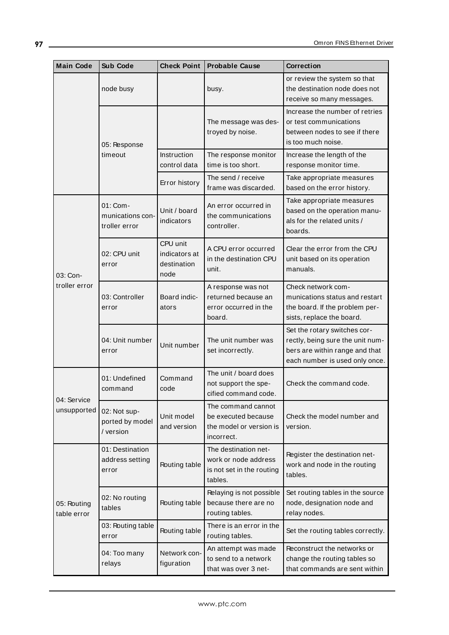| <b>Main Code</b>           | <b>Sub Code</b>                               | <b>Check Point</b>                               | <b>Probable Cause</b>                                                                | Correction                                                                                                                           |
|----------------------------|-----------------------------------------------|--------------------------------------------------|--------------------------------------------------------------------------------------|--------------------------------------------------------------------------------------------------------------------------------------|
|                            | node busy                                     |                                                  | busy.                                                                                | or review the system so that<br>the destination node does not<br>receive so many messages.                                           |
|                            | 05: Response<br>timeout                       |                                                  | The message was des-<br>troyed by noise.                                             | Increase the number of retries<br>or test communications<br>between nodes to see if there<br>is too much noise.                      |
|                            |                                               | Instruction<br>control data                      | The response monitor<br>time is too short.                                           | Increase the length of the<br>response monitor time.                                                                                 |
|                            |                                               | Error history                                    | The send / receive<br>frame was discarded.                                           | Take appropriate measures<br>based on the error history.                                                                             |
|                            | 01: Com-<br>munications con-<br>troller error | Unit / board<br>indicators                       | An error occurred in<br>the communications<br>controller.                            | Take appropriate measures<br>based on the operation manu-<br>als for the related units /<br>boards.                                  |
| 03: Con-                   | 02: CPU unit<br>error                         | CPU unit<br>indicators at<br>destination<br>node | A CPU error occurred<br>in the destination CPU<br>unit.                              | Clear the error from the CPU<br>unit based on its operation<br>manuals.                                                              |
| troller error              | 03: Controller<br>error                       | Board indic-<br>ators                            | A response was not<br>returned because an<br>error occurred in the<br>board.         | Check network com-<br>munications status and restart<br>the board. If the problem per-<br>sists, replace the board.                  |
|                            | 04: Unit number<br>error                      | Unit number                                      | The unit number was<br>set incorrectly.                                              | Set the rotary switches cor-<br>rectly, being sure the unit num-<br>bers are within range and that<br>each number is used only once. |
| 04: Service<br>unsupported | 01: Undefined<br>command                      | Command<br>code                                  | The unit / board does<br>not support the spe-<br>cified command code.                | Check the command code.                                                                                                              |
|                            | 02: Not sup-<br>ported by model<br>/ version  | Unit model<br>and version                        | The command cannot<br>be executed because<br>the model or version is<br>incorrect.   | Check the model number and<br>version.                                                                                               |
| 05: Routing<br>table error | 01: Destination<br>address setting<br>error   | Routing table                                    | The destination net-<br>work or node address<br>is not set in the routing<br>tables. | Register the destination net-<br>work and node in the routing<br>tables.                                                             |
|                            | 02: No routing<br>tables                      | Routing table                                    | Relaying is not possible<br>because there are no<br>routing tables.                  | Set routing tables in the source<br>node, designation node and<br>relay nodes.                                                       |
|                            | 03: Routing table<br>error                    | Routing table                                    | There is an error in the<br>routing tables.                                          | Set the routing tables correctly.                                                                                                    |
|                            | 04: Too many<br>relays                        | Network con-<br>figuration                       | An attempt was made<br>to send to a network<br>that was over 3 net-                  | Reconstruct the networks or<br>change the routing tables so<br>that commands are sent within                                         |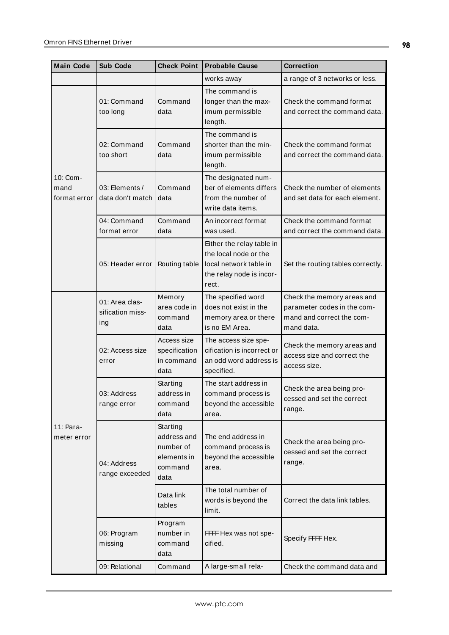| <b>Main Code</b>                 | <b>Sub Code</b>                           | <b>Check Point</b>                                                     | <b>Probable Cause</b>                                                                                             | <b>Correction</b>                                                                                    |
|----------------------------------|-------------------------------------------|------------------------------------------------------------------------|-------------------------------------------------------------------------------------------------------------------|------------------------------------------------------------------------------------------------------|
|                                  |                                           |                                                                        | works away                                                                                                        | a range of 3 networks or less.                                                                       |
| 10: Com-<br>mand<br>format error | 01: Command<br>too long                   | Command<br>data                                                        | The command is<br>longer than the max-<br>imum permissible<br>length.                                             | Check the command format<br>and correct the command data.                                            |
|                                  | 02: Command<br>too short                  | Command<br>data                                                        | The command is<br>shorter than the min-<br>imum permissible<br>length.                                            | Check the command format<br>and correct the command data.                                            |
|                                  | 03: Elements /<br>data don't match        | Command<br>data                                                        | The designated num-<br>ber of elements differs<br>from the number of<br>write data items.                         | Check the number of elements<br>and set data for each element.                                       |
|                                  | 04: Command<br>format error               | Command<br>data                                                        | An incorrect format<br>was used.                                                                                  | Check the command format<br>and correct the command data.                                            |
|                                  | 05: Header error                          | Routing table                                                          | Either the relay table in<br>the local node or the<br>local network table in<br>the relay node is incor-<br>rect. | Set the routing tables correctly.                                                                    |
| 11: Para-<br>meter error         | 01: Area clas-<br>sification miss-<br>ing | Memory<br>area code in<br>command<br>data                              | The specified word<br>does not exist in the<br>memory area or there<br>is no EM Area.                             | Check the memory areas and<br>parameter codes in the com-<br>mand and correct the com-<br>mand data. |
|                                  | 02: Access size<br>error                  | Access size<br>specification<br>in command<br>data                     | The access size spe-<br>cification is incorrect or<br>an odd word address is<br>specified.                        | Check the memory areas and<br>access size and correct the<br>access size.                            |
|                                  | 03: Address<br>range error                | Starting<br>address in<br>command<br>data                              | The start address in<br>command process is<br>beyond the accessible<br>area.                                      | Check the area being pro-<br>cessed and set the correct<br>range.                                    |
|                                  | 04: Address<br>range exceeded             | Starting<br>address and<br>number of<br>elements in<br>command<br>data | The end address in<br>command process is<br>beyond the accessible<br>area.                                        | Check the area being pro-<br>cessed and set the correct<br>range.                                    |
|                                  |                                           | Data link<br>tables                                                    | The total number of<br>words is beyond the<br>limit.                                                              | Correct the data link tables.                                                                        |
|                                  | 06: Program<br>missing                    | Program<br>number in<br>command<br>data                                | FFFF Hex was not spe-<br>cified.                                                                                  | Specify FFFF Hex.                                                                                    |
|                                  | 09: Relational                            | Command                                                                | A large-small rela-                                                                                               | Check the command data and                                                                           |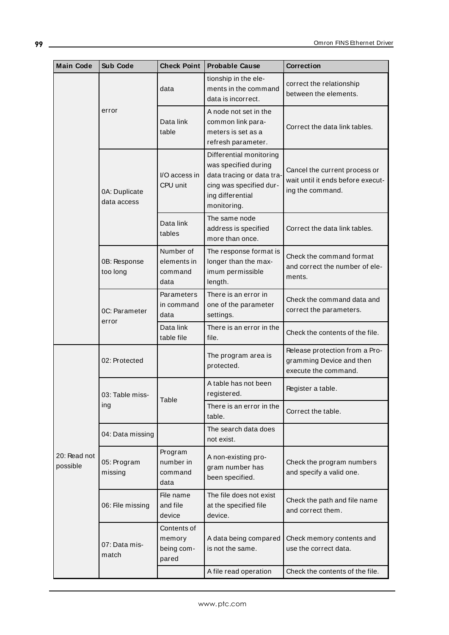| <b>Main Code</b>         | <b>Sub Code</b>              | <b>Check Point</b>                           | <b>Probable Cause</b>                                                                                                                      | Correction                                                                             |
|--------------------------|------------------------------|----------------------------------------------|--------------------------------------------------------------------------------------------------------------------------------------------|----------------------------------------------------------------------------------------|
|                          | error                        | data                                         | tionship in the ele-<br>ments in the command<br>data is incorrect.                                                                         | correct the relationship<br>between the elements.                                      |
|                          |                              | Data link<br>table                           | A node not set in the<br>common link para-<br>meters is set as a<br>refresh parameter.                                                     | Correct the data link tables.                                                          |
|                          | 0A: Duplicate<br>data access | I/O access in<br>CPU unit                    | Differential monitoring<br>was specified during<br>data tracing or data tra-<br>cing was specified dur-<br>ing differential<br>monitoring. | Cancel the current process or<br>wait until it ends before execut-<br>ing the command. |
|                          |                              | Data link<br>tables                          | The same node<br>address is specified<br>more than once.                                                                                   | Correct the data link tables.                                                          |
|                          | 0B: Response<br>too long     | Number of<br>elements in<br>command<br>data  | The response format is<br>longer than the max-<br>imum permissible<br>length.                                                              | Check the command format<br>and correct the number of ele-<br>ments.                   |
|                          | 0C: Parameter<br>error       | Parameters<br>in command<br>data             | There is an error in<br>one of the parameter<br>settings.                                                                                  | Check the command data and<br>correct the parameters.                                  |
|                          |                              | Data link<br>table file                      | There is an error in the<br>file.                                                                                                          | Check the contents of the file.                                                        |
|                          | 02: Protected                |                                              | The program area is<br>protected.                                                                                                          | Release protection from a Pro-<br>gramming Device and then<br>execute the command.     |
|                          | 03: Table miss-<br>ing       | Table                                        | A table has not been<br>registered.                                                                                                        | Register a table.                                                                      |
|                          |                              |                                              | There is an error in the<br>table.                                                                                                         | Correct the table.                                                                     |
|                          | 04: Data missing             |                                              | The search data does<br>not exist.                                                                                                         |                                                                                        |
| 20: Read not<br>possible | 05: Program<br>missing       | Program<br>number in<br>command<br>data      | A non-existing pro-<br>gram number has<br>been specified.                                                                                  | Check the program numbers<br>and specify a valid one.                                  |
|                          | 06: File missing             | File name<br>and file<br>device              | The file does not exist<br>at the specified file<br>device.                                                                                | Check the path and file name<br>and correct them.                                      |
|                          | 07: Data mis-<br>match       | Contents of<br>memory<br>being com-<br>pared | A data being compared<br>is not the same.                                                                                                  | Check memory contents and<br>use the correct data.                                     |
|                          |                              |                                              | A file read operation                                                                                                                      | Check the contents of the file.                                                        |

<u> 1980 - Johann Barbara, martxa amerikan personal (h. 1980).</u>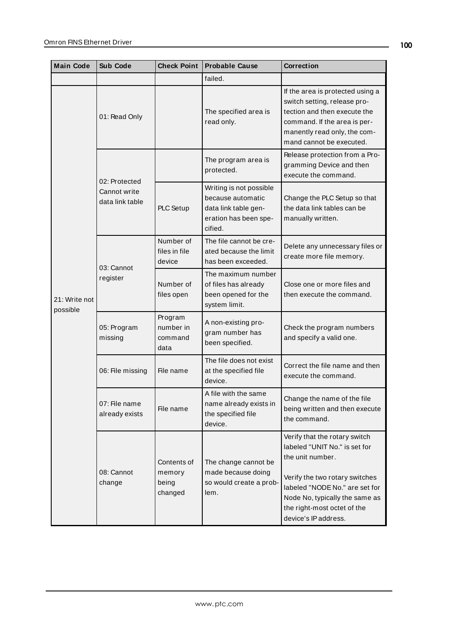| <b>Main Code</b>          | Sub Code                                         | <b>Check Point</b>                        | <b>Probable Cause</b>                                                                                    | <b>Correction</b>                                                                                                                                                                                                                               |
|---------------------------|--------------------------------------------------|-------------------------------------------|----------------------------------------------------------------------------------------------------------|-------------------------------------------------------------------------------------------------------------------------------------------------------------------------------------------------------------------------------------------------|
|                           |                                                  |                                           | failed.                                                                                                  |                                                                                                                                                                                                                                                 |
| 21: Write not<br>possible | 01: Read Only                                    |                                           | The specified area is<br>read only.                                                                      | If the area is protected using a<br>switch setting, release pro-<br>tection and then execute the<br>command. If the area is per-<br>manently read only, the com-<br>mand cannot be executed.                                                    |
|                           | 02: Protected<br>Cannot write<br>data link table |                                           | The program area is<br>protected.                                                                        | Release protection from a Pro-<br>gramming Device and then<br>execute the command.                                                                                                                                                              |
|                           |                                                  | PLC Setup                                 | Writing is not possible<br>because automatic<br>data link table gen-<br>eration has been spe-<br>cified. | Change the PLC Setup so that<br>the data link tables can be<br>manually written.                                                                                                                                                                |
|                           | 03: Cannot<br>register                           | Number of<br>files in file<br>device      | The file cannot be cre-<br>ated because the limit<br>has been exceeded.                                  | Delete any unnecessary files or<br>create more file memory.                                                                                                                                                                                     |
|                           |                                                  | Number of<br>files open                   | The maximum number<br>of files has already<br>been opened for the<br>system limit.                       | Close one or more files and<br>then execute the command.                                                                                                                                                                                        |
|                           | 05: Program<br>missing                           | Program<br>number in<br>command<br>data   | A non-existing pro-<br>gram number has<br>been specified.                                                | Check the program numbers<br>and specify a valid one.                                                                                                                                                                                           |
|                           | 06: File missing                                 | File name                                 | The file does not exist<br>at the specified file<br>device.                                              | Correct the file name and then<br>execute the command.                                                                                                                                                                                          |
|                           | 07: File name<br>already exists                  | File name                                 | A file with the same<br>name already exists in<br>the specified file<br>device.                          | Change the name of the file<br>being written and then execute<br>the command.                                                                                                                                                                   |
|                           | 08: Cannot<br>change                             | Contents of<br>memory<br>being<br>changed | The change cannot be<br>made because doing<br>so would create a prob-<br>lem.                            | Verify that the rotary switch<br>labeled "UNIT No." is set for<br>the unit number.<br>Verify the two rotary switches<br>labeled "NODE No." are set for<br>Node No, typically the same as<br>the right-most octet of the<br>device's IP address. |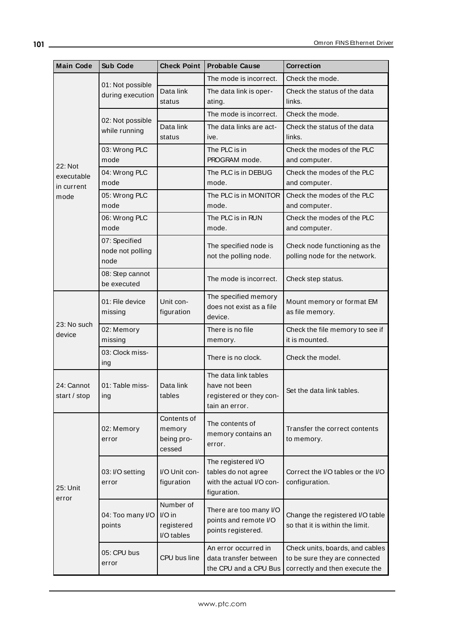| <b>Main Code</b>                    | <b>Sub Code</b>                           | <b>Check Point</b>                              | <b>Probable Cause</b>                                                                | <b>Correction</b>                                                                                  |
|-------------------------------------|-------------------------------------------|-------------------------------------------------|--------------------------------------------------------------------------------------|----------------------------------------------------------------------------------------------------|
|                                     | 01: Not possible<br>during execution      |                                                 | The mode is incorrect.                                                               | Check the mode.                                                                                    |
|                                     |                                           | Data link<br>status                             | The data link is oper-<br>ating.                                                     | Check the status of the data<br>links.                                                             |
|                                     | 02: Not possible                          |                                                 | The mode is incorrect.                                                               | Check the mode.                                                                                    |
|                                     | while running                             | Data link<br>status                             | The data links are act-<br>ive.                                                      | Check the status of the data<br>links.                                                             |
|                                     | 03: Wrong PLC<br>mode                     |                                                 | The PLC is in<br>PROGRAM mode.                                                       | Check the modes of the PLC<br>and computer.                                                        |
| 22: Not<br>executable<br>in current | 04: Wrong PLC<br>mode                     |                                                 | The PLC is in DEBUG<br>mode.                                                         | Check the modes of the PLC<br>and computer.                                                        |
| mode                                | 05: Wrong PLC<br>mode                     |                                                 | The PLC is in MONITOR<br>mode.                                                       | Check the modes of the PLC<br>and computer.                                                        |
|                                     | 06: Wrong PLC<br>mode                     |                                                 | The PLC is in RUN<br>mode.                                                           | Check the modes of the PLC<br>and computer.                                                        |
|                                     | 07: Specified<br>node not polling<br>node |                                                 | The specified node is<br>not the polling node.                                       | Check node functioning as the<br>polling node for the network.                                     |
|                                     | 08: Step cannot<br>be executed            |                                                 | The mode is incorrect.                                                               | Check step status.                                                                                 |
|                                     | 01: File device<br>missing                | Unit con-<br>figuration                         | The specified memory<br>does not exist as a file<br>device.                          | Mount memory or format EM<br>as file memory.                                                       |
| 23: No such<br>device               | 02: Memory<br>missing                     |                                                 | There is no file<br>memory.                                                          | Check the file memory to see if<br>it is mounted.                                                  |
|                                     | 03: Clock miss-<br>ing                    |                                                 | There is no clock.                                                                   | Check the model.                                                                                   |
| 24: Cannot<br>start / stop          | 01: Table miss-<br>ing                    | Data link<br>tables                             | The data link tables<br>have not been<br>registered or they con-<br>tain an error.   | Set the data link tables.                                                                          |
| 25: Unit<br>error                   | 02: Memory<br>error                       | Contents of<br>memory<br>being pro-<br>cessed   | The contents of<br>memory contains an<br>error.                                      | Transfer the correct contents<br>to memory.                                                        |
|                                     | 03: I/O setting<br>error                  | I/O Unit con-<br>figuration                     | The registered I/O<br>tables do not agree<br>with the actual I/O con-<br>figuration. | Correct the I/O tables or the I/O<br>configuration.                                                |
|                                     | 04: Too many I/O<br>points                | Number of<br>I/O in<br>registered<br>I/O tables | There are too many I/O<br>points and remote I/O<br>points registered.                | Change the registered I/O table<br>so that it is within the limit.                                 |
|                                     | 05: CPU bus<br>error                      | CPU bus line                                    | An error occurred in<br>data transfer between<br>the CPU and a CPU Bus               | Check units, boards, and cables<br>to be sure they are connected<br>correctly and then execute the |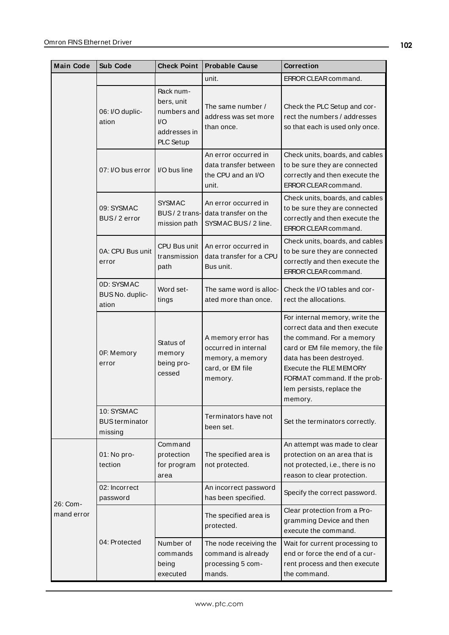| <b>Main Code</b>       | <b>Sub Code</b>                                | <b>Check Point</b>                                                         | <b>Probable Cause</b>                                                                         | Correction                                                                                                                                                                                                                                                      |
|------------------------|------------------------------------------------|----------------------------------------------------------------------------|-----------------------------------------------------------------------------------------------|-----------------------------------------------------------------------------------------------------------------------------------------------------------------------------------------------------------------------------------------------------------------|
|                        |                                                |                                                                            | unit.                                                                                         | ERROR CLEAR command.                                                                                                                                                                                                                                            |
|                        | 06: I/O duplic-<br>ation                       | Rack num-<br>bers, unit<br>numbers and<br>$U$<br>addresses in<br>PLC Setup | The same number /<br>address was set more<br>than once.                                       | Check the PLC Setup and cor-<br>rect the numbers / addresses<br>so that each is used only once.                                                                                                                                                                 |
|                        | 07: I/O bus error                              | I/O bus line                                                               | An error occurred in<br>data transfer between<br>the CPU and an I/O<br>unit.                  | Check units, boards, and cables<br>to be sure they are connected<br>correctly and then execute the<br>ERROR CLEAR command.                                                                                                                                      |
|                        | 09: SYSMAC<br>BUS/2 error                      | <b>SYSMAC</b><br>BUS/2 trans-<br>mission path                              | An error occurred in<br>data transfer on the<br>SYSMAC BUS / 2 line.                          | Check units, boards, and cables<br>to be sure they are connected<br>correctly and then execute the<br>ERROR CLEAR command.                                                                                                                                      |
|                        | 0A: CPU Bus unit<br>error                      | CPU Bus unit<br>transmission<br>path                                       | An error occurred in<br>data transfer for a CPU<br>Bus unit.                                  | Check units, boards, and cables<br>to be sure they are connected<br>correctly and then execute the<br>ERROR CLEAR command.                                                                                                                                      |
|                        | 0D: SYSMAC<br>BUS No. duplic-<br>ation         | Word set-<br>tings                                                         | The same word is alloc-<br>ated more than once.                                               | Check the I/O tables and cor-<br>rect the allocations.                                                                                                                                                                                                          |
| 26: Com-<br>mand error | OF: Memory<br>error                            | Status of<br>memory<br>being pro-<br>cessed                                | A memory error has<br>occurred in internal<br>memory, a memory<br>card, or EM file<br>memory. | For internal memory, write the<br>correct data and then execute<br>the command. For a memory<br>card or EM file memory, the file<br>data has been destroyed.<br>Execute the FILE MEMORY<br>FORMAT command. If the prob-<br>lem persists, replace the<br>memory. |
|                        | 10: SYSMAC<br><b>BUS</b> terminator<br>missing |                                                                            | Terminators have not<br>been set.                                                             | Set the terminators correctly.                                                                                                                                                                                                                                  |
|                        | 01: No pro-<br>tection                         | Command<br>protection<br>for program<br>area                               | The specified area is<br>not protected.                                                       | An attempt was made to clear<br>protection on an area that is<br>not protected, i.e., there is no<br>reason to clear protection.                                                                                                                                |
|                        | 02: Incorrect<br>password                      |                                                                            | An incorrect password<br>has been specified.                                                  | Specify the correct password.                                                                                                                                                                                                                                   |
|                        |                                                |                                                                            | The specified area is<br>protected.                                                           | Clear protection from a Pro-<br>gramming Device and then<br>execute the command.                                                                                                                                                                                |
|                        | 04: Protected                                  | Number of<br>commands<br>being<br>executed                                 | The node receiving the<br>command is already<br>processing 5 com-<br>mands.                   | Wait for current processing to<br>end or force the end of a cur-<br>rent process and then execute<br>the command.                                                                                                                                               |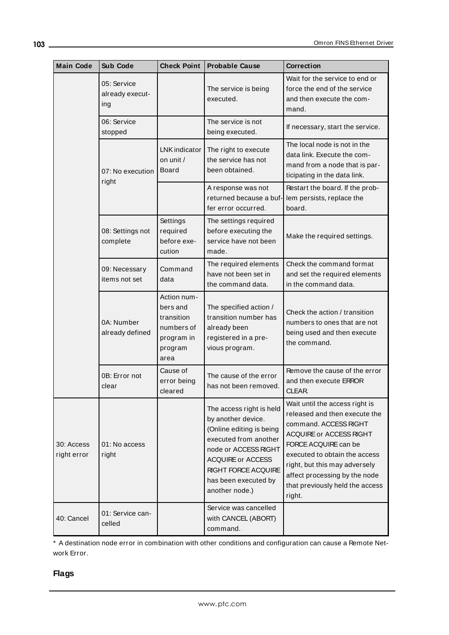| <b>Main Code</b>          | <b>Sub Code</b>                       | <b>Check Point</b>                                                                   | <b>Probable Cause</b>                                                                                                                                                                                                    | Correction                                                                                                                                                                                                                                                                                  |
|---------------------------|---------------------------------------|--------------------------------------------------------------------------------------|--------------------------------------------------------------------------------------------------------------------------------------------------------------------------------------------------------------------------|---------------------------------------------------------------------------------------------------------------------------------------------------------------------------------------------------------------------------------------------------------------------------------------------|
|                           | 05: Service<br>already execut-<br>ing |                                                                                      | The service is being<br>executed.                                                                                                                                                                                        | Wait for the service to end or<br>force the end of the service<br>and then execute the com-<br>mand.                                                                                                                                                                                        |
|                           | 06: Service<br>stopped                |                                                                                      | The service is not<br>being executed.                                                                                                                                                                                    | If necessary, start the service.                                                                                                                                                                                                                                                            |
|                           | 07: No execution                      | LNK indicator<br>on unit /<br><b>Board</b>                                           | The right to execute<br>the service has not<br>been obtained.                                                                                                                                                            | The local node is not in the<br>data link. Execute the com-<br>mand from a node that is par-<br>ticipating in the data link.                                                                                                                                                                |
|                           | right                                 |                                                                                      | A response was not<br>returned because a buf-<br>fer error occurred.                                                                                                                                                     | Restart the board. If the prob-<br>lem persists, replace the<br>board.                                                                                                                                                                                                                      |
|                           | 08: Settings not<br>complete          | Settings<br>required<br>before exe-<br>cution                                        | The settings required<br>before executing the<br>service have not been<br>made.                                                                                                                                          | Make the required settings.                                                                                                                                                                                                                                                                 |
|                           | 09: Necessary<br>items not set        | Command<br>data                                                                      | The required elements<br>have not been set in<br>the command data.                                                                                                                                                       | Check the command format<br>and set the required elements<br>in the command data.                                                                                                                                                                                                           |
|                           | 0A: Number<br>already defined         | Action num-<br>bers and<br>transition<br>numbers of<br>program in<br>program<br>area | The specified action /<br>transition number has<br>already been<br>registered in a pre-<br>vious program.                                                                                                                | Check the action / transition<br>numbers to ones that are not<br>being used and then execute<br>the command.                                                                                                                                                                                |
|                           | 0B: Error not<br>clear                | Cause of<br>error being<br>cleared                                                   | The cause of the error<br>has not been removed.                                                                                                                                                                          | Remove the cause of the error<br>and then execute ERROR<br>CLEAR.                                                                                                                                                                                                                           |
| 30: Access<br>right error | 01: No access<br>right                |                                                                                      | The access right is held<br>by another device.<br>(Online editing is being<br>executed from another<br>node or ACCESS RIGHT<br><b>ACQUIRE or ACCESS</b><br>RIGHT FORCE ACQUIRE<br>has been executed by<br>another node.) | Wait until the access right is<br>released and then execute the<br>command. ACCESS RIGHT<br>ACQUIRE or ACCESS RIGHT<br>FORCE ACQUIRE can be<br>executed to obtain the access<br>right, but this may adversely<br>affect processing by the node<br>that previously held the access<br>right. |
| 40: Cancel                | 01: Service can-<br>celled            |                                                                                      | Service was cancelled<br>with CANCEL (ABORT)<br>command.                                                                                                                                                                 |                                                                                                                                                                                                                                                                                             |

\* A destination node error in combination with other conditions and configuration can cause a Remote Network Error.

## **Flags**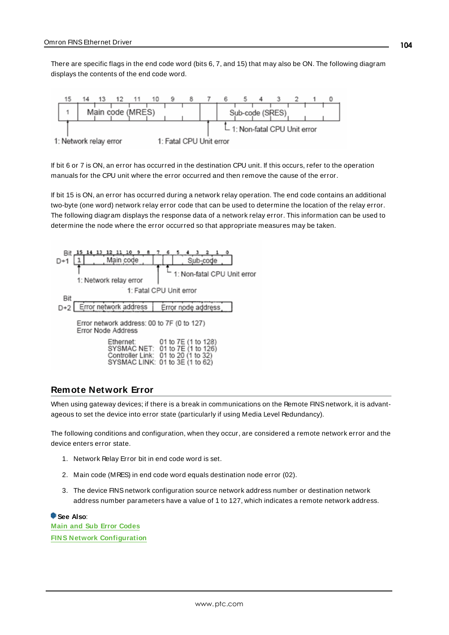There are specific flags in the end code word (bits 6, 7, and 15) that may also be ON. The following diagram displays the contents of the end code word.



If bit 6 or 7 is ON, an error has occurred in the destination CPU unit. If this occurs, refer to the operation manuals for the CPU unit where the error occurred and then remove the cause of the error.

If bit 15 is ON, an error has occurred during a network relay operation. The end code contains an additional two-byte (one word) network relay error code that can be used to determine the location of the relay error. The following diagram displays the response data of a network relay error. This information can be used to determine the node where the error occurred so that appropriate measures may be taken.



### <span id="page-103-0"></span>**Remote Network Error**

When using gateway devices; if there is a break in communications on the Remote FINS network, it is advantageous to set the device into error state (particularly if using Media Level Redundancy).

The following conditions and configuration, when they occur, are considered a remote network error and the device enters error state.

- 1. Network Relay Error bit in end code word is set.
- 2. Main code (MRES) in end code word equals destination node error (02).
- 3. The device FINSnetwork configuration source network address number or destination network address number parameters have a value of 1 to 127, which indicates a remote network address.

**See Also**: **Main and Sub Error [Codes](#page-95-0) FINS Network [Configuration](#page-12-0)**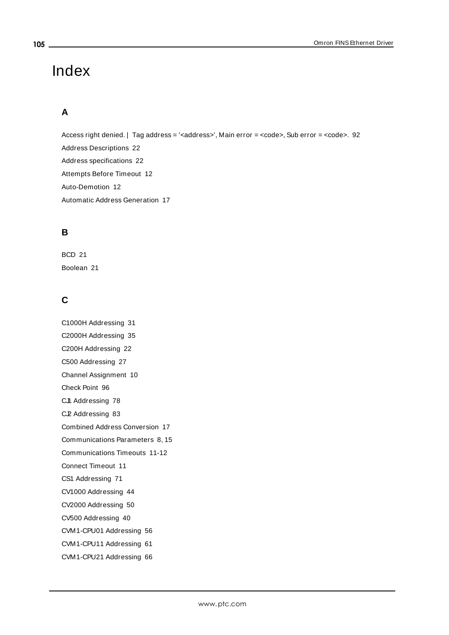# Index

## **A**

Access right denied. | Tag address = '<address>', Main error = <code>, Sub error = <code>. [92](#page-91-0) Address Descriptions [22](#page-21-0) Address specifications [22](#page-21-1) Attempts Before Timeout [12](#page-11-0) Auto-Demotion [12](#page-11-1) Automatic Address Generation [17](#page-16-0)

## **B**

BCD [21](#page-20-0) Boolean [21](#page-20-1)

## **C**

C1000H Addressing [31](#page-30-0) C2000H Addressing [35](#page-34-0) C200H Addressing [22](#page-21-2) C500 Addressing [27](#page-26-0) Channel Assignment [10](#page-9-0) Check Point [96](#page-95-1) CJI Addressing [78](#page-77-0) C.P. Addressing [83](#page-82-0) Combined Address Conversion [17](#page-16-1) Communications Parameters [8,](#page-7-0) [15](#page-14-0) Communications Timeouts [11-12](#page-10-0) Connect Timeout [11](#page-10-1) CS1 Addressing [71](#page-70-0) CV1000 Addressing [44](#page-43-0) CV2000 Addressing [50](#page-49-0) CV500 Addressing [40](#page-39-0) CVM1-CPU01 Addressing [56](#page-55-0) CVM1-CPU11 Addressing [61](#page-60-0) CVM1-CPU21 Addressing [66](#page-65-0)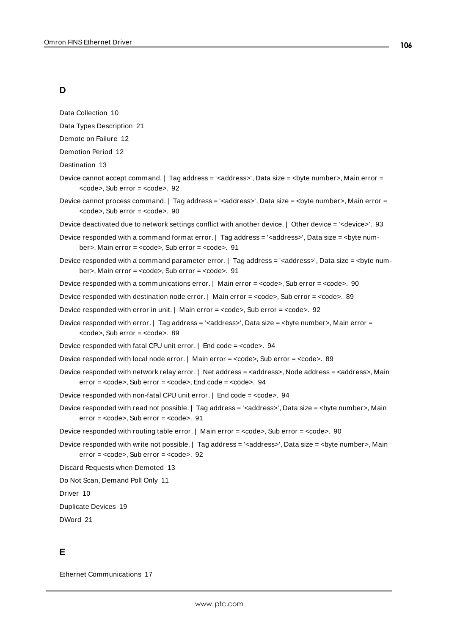## **D**

Data Collection [10](#page-9-1)

Data Types Description [21](#page-20-2)

Demote on Failure [12](#page-11-2)

Demotion Period [12](#page-11-3)

Destination [13](#page-12-1)

- Device cannot accept command. | Tag address = '<address>', Data size = <br/> <br/> <br/>stements, Main error =  $<$ code>, Sub error =  $<$ code>. [92](#page-91-1)
- Device cannot process command. | Tag address = '<address>', Data size = <br/>sbyte number>, Main error =  $<$ code>, Sub error =  $<$ code>. [90](#page-89-0)

Device deactivated due to network settings conflict with another device. | Other device = '<device>'. [93](#page-92-0)

- Device responded with a command format error. | Tag address = '<address>', Data size = <br/>styte num-ber>, Main error = <code>, Sub error = <code>. [91](#page-90-0)</sup>
- Device responded with a command parameter error. | Tag address = '<address>', Data size = <br/>byte num-ber>, Main error = <code>, Sub error = <code>. [91](#page-90-1)</sup>

Device responded with a communications error. | Main error = <code>, Sub error = <code>. [90](#page-89-1)

Device responded with destination node error. | Main error = <code>, Sub error = <code>. [89](#page-88-0)

Device responded with error in unit. | Main error = <code>, Sub error = <code>. [92](#page-91-2)

Device responded with error. | Tag address = '<address>', Data size = <br/>sbyte number>, Main error =  $<$ code>, Sub error =  $<$ code>. [89](#page-88-1)

Device responded with fatal CPU unit error. | End code = <code>. [94](#page-93-0)</code>

Device responded with local node error. | Main error = <code>, Sub error = <code>. [89](#page-88-2)

Device responded with network relay error. | Net address = <address>, Node address = <address>, Main error = <code>, Sub error = <code>, End code = <code>. [94](#page-93-1)</code>

Device responded with non-fatal CPU unit error. | End code = <code>. [94](#page-93-2)</sup>

Device responded with read not possible. | Tag address = '<address>', Data size = <br/>byte number>, Main error = <code></sub>, Sub error = <code>. [91](#page-90-2)

Device responded with routing table error. | Main error = <code>, Sub error = <code>. [90](#page-89-2)

Device responded with write not possible. | Tag address = '<address>', Data size = <br/>byte number>, Main error = <code>, Sub error = <code>. [92](#page-91-3)

Discard Requests when Demoted [13](#page-12-2)

Do Not Scan, Demand Poll Only [11](#page-10-2)

Driver [10](#page-9-2)

Duplicate Devices [19](#page-18-0)

DWord [21](#page-20-3)

### **E**

Ethernet Communications [17](#page-16-2)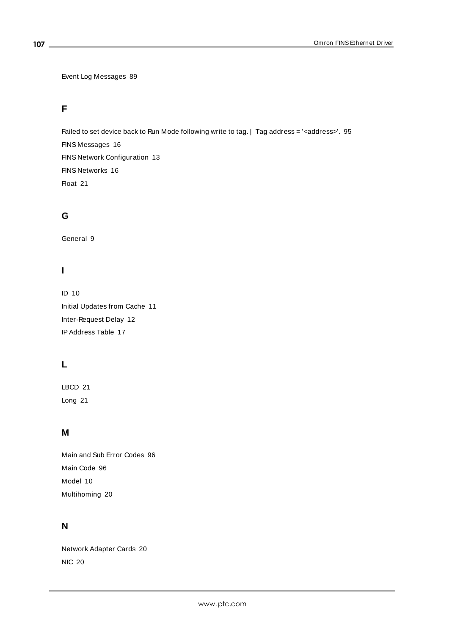Event Log Messages [89](#page-88-3)

## **F**

Failed to set device back to Run Mode following write to tag. | Tag address = '<address>'. [95](#page-94-0) FINS Messages [16](#page-15-0) FINS Network Configuration [13](#page-12-0) FINS Networks [16](#page-15-1) Float [21](#page-20-4)

## **G**

General [9](#page-8-0)

## **I**

ID [10](#page-9-3) Initial Updates from Cache [11](#page-10-3) Inter-Request Delay [12](#page-11-4) IPAddress Table [17](#page-16-3)

## **L**

LBCD [21](#page-20-5) Long [21](#page-20-6)

## **M**

Main and Sub Error Codes [96](#page-95-0) Main Code [96](#page-95-2) Model [10](#page-9-4) Multihoming [20](#page-19-0)

## **N**

Network Adapter Cards [20](#page-19-1) NIC [20](#page-19-1)